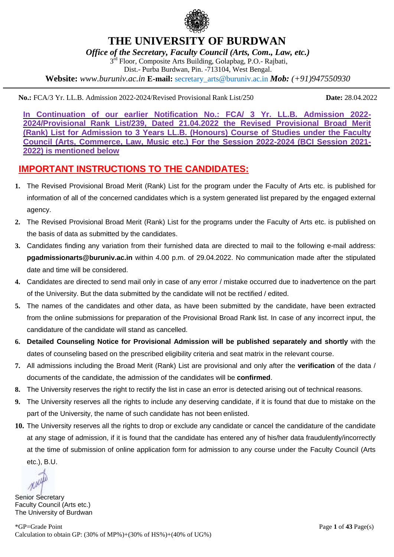

## **THE UNIVERSITY OF BURDWAN**

*Office of the Secretary, Faculty Council (Arts, Com., Law, etc.)*

3<sup>rd</sup> Floor, Composite Arts Building, Golapbag, P.O.- Rajbati,

Dist.- Purba Burdwan, Pin. -713104, West Bengal.

**Website:** *www.buruniv.ac.in* **E-mail:** secretary\_arts@buruniv.ac.in *Mob: (+91)947550930*

**No.:** FCA/3 Yr. LL.B. Admission 2022-2024/Revised Provisional Rank List/250 **Date:** 28.04.2022

**In Continuation of our earlier Notification No.: FCA/ 3 Yr. LL.B. Admission 2022- 2024/Provisional Rank List/239, Dated 21.04.2022 the Revised Provisional Broad Merit (Rank) List for Admission to 3 Years LL.B. (Honours) Course of Studies under the Faculty Council (Arts, Commerce, Law, Music etc.) For the Session 2022-2024 (BCI Session 2021- 2022) is mentioned below**

## **IMPORTANT INSTRUCTIONS TO THE CANDIDATES:**

- **1.** The Revised Provisional Broad Merit (Rank) List for the program under the Faculty of Arts etc. is published for information of all of the concerned candidates which is a system generated list prepared by the engaged external agency.
- **2.** The Revised Provisional Broad Merit (Rank) List for the programs under the Faculty of Arts etc. is published on the basis of data as submitted by the candidates.
- **3.** Candidates finding any variation from their furnished data are directed to mail to the following e-mail address: **pgadmissionarts@buruniv.ac.in** within 4.00 p.m. of 29.04.2022. No communication made after the stipulated date and time will be considered.
- **4.** Candidates are directed to send mail only in case of any error / mistake occurred due to inadvertence on the part of the University. But the data submitted by the candidate will not be rectified / edited.
- **5.** The names of the candidates and other data, as have been submitted by the candidate, have been extracted from the online submissions for preparation of the Provisional Broad Rank list. In case of any incorrect input, the candidature of the candidate will stand as cancelled.
- **6. Detailed Counseling Notice for Provisional Admission will be published separately and shortly** with the dates of counseling based on the prescribed eligibility criteria and seat matrix in the relevant course.
- **7.** All admissions including the Broad Merit (Rank) List are provisional and only after the **verification** of the data / documents of the candidate, the admission of the candidates will be **confirmed**.
- **8.** The University reserves the right to rectify the list in case an error is detected arising out of technical reasons.
- **9.** The University reserves all the rights to include any deserving candidate, if it is found that due to mistake on the part of the University, the name of such candidate has not been enlisted.
- **10.** The University reserves all the rights to drop or exclude any candidate or cancel the candidature of the candidate at any stage of admission, if it is found that the candidate has entered any of his/her data fraudulently/incorrectly at the time of submission of online application form for admission to any course under the Faculty Council (Arts etc.), B.U.

Senior Secretary Faculty Council (Arts etc.) The University of Burdwan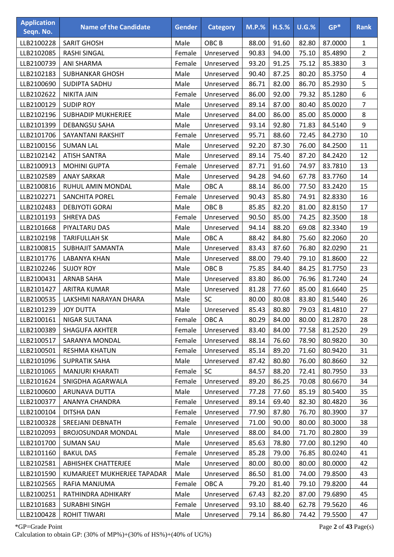| <b>Application</b><br>Seqn. No. | <b>Name of the Candidate</b> | <b>Gender</b> | <b>Category</b>  | <b>M.P.%</b> | $H.S.\%$ | U.G.% | $GP*$   | <b>Rank</b>    |
|---------------------------------|------------------------------|---------------|------------------|--------------|----------|-------|---------|----------------|
| LLB2100228                      | <b>SARIT GHOSH</b>           | Male          | OBC <sub>B</sub> | 88.00        | 91.60    | 82.80 | 87.0000 | $\mathbf{1}$   |
| LLB2102085                      | <b>RASHI SINGAL</b>          | Female        | Unreserved       | 90.83        | 94.00    | 75.10 | 85.4890 | $\overline{2}$ |
| LLB2100739                      | <b>ANI SHARMA</b>            | Female        | Unreserved       | 93.20        | 91.25    | 75.12 | 85.3830 | 3              |
| LLB2102183                      | <b>SUBHANKAR GHOSH</b>       | Male          | Unreserved       | 90.40        | 87.25    | 80.20 | 85.3750 | 4              |
| LLB2100690                      | <b>SUDIPTA SADHU</b>         | Male          | Unreserved       | 86.71        | 82.00    | 86.70 | 85.2930 | 5              |
| LLB2102622                      | <b>NIKITA JAIN</b>           | Female        | Unreserved       | 86.00        | 92.00    | 79.32 | 85.1280 | 6              |
| LLB2100129                      | <b>SUDIP ROY</b>             | Male          | Unreserved       | 89.14        | 87.00    | 80.40 | 85.0020 | $\overline{7}$ |
| LLB2102196                      | <b>SUBHADIP MUKHERJEE</b>    | Male          | Unreserved       | 84.00        | 86.00    | 85.00 | 85.0000 | 8              |
| LLB2101399                      | <b>DEBANGSU SAHA</b>         | Male          | Unreserved       | 93.14        | 92.80    | 71.83 | 84.5140 | 9              |
| LLB2101706                      | SAYANTANI RAKSHIT            | Female        | Unreserved       | 95.71        | 88.60    | 72.45 | 84.2730 | 10             |
| LLB2100156                      | <b>SUMAN LAL</b>             | Male          | Unreserved       | 92.20        | 87.30    | 76.00 | 84.2500 | 11             |
| LLB2102142                      | <b>ATISH SANTRA</b>          | Male          | Unreserved       | 89.14        | 75.40    | 87.20 | 84.2420 | 12             |
| LLB2100913                      | <b>MOHINI GUPTA</b>          | Female        | Unreserved       | 87.71        | 91.60    | 74.97 | 83.7810 | 13             |
| LLB2102589                      | <b>ANAY SARKAR</b>           | Male          | Unreserved       | 94.28        | 94.60    | 67.78 | 83.7760 | 14             |
| LLB2100816                      | RUHUL AMIN MONDAL            | Male          | OBC A            | 88.14        | 86.00    | 77.50 | 83.2420 | 15             |
| LLB2102271                      | <b>SANCHITA POREL</b>        | Female        | Unreserved       | 90.43        | 85.80    | 74.91 | 82.8330 | 16             |
| LLB2102483                      | <b>DEBJYOTI GORAI</b>        | Male          | OBC <sub>B</sub> | 85.85        | 82.20    | 81.00 | 82.8150 | 17             |
| LLB2101193                      | <b>SHREYA DAS</b>            | Female        | Unreserved       | 90.50        | 85.00    | 74.25 | 82.3500 | 18             |
| LLB2101668                      | PIYALTARU DAS                | Male          | Unreserved       | 94.14        | 88.20    | 69.08 | 82.3340 | 19             |
| LLB2102198                      | <b>TARIFULLAH SK</b>         | Male          | OBC A            | 88.42        | 84.80    | 75.60 | 82.2060 | 20             |
| LLB2100815                      | <b>SUBHAJIT SAMANTA</b>      | Male          | Unreserved       | 83.43        | 87.60    | 76.80 | 82.0290 | 21             |
| LLB2101776                      | <b>LABANYA KHAN</b>          | Male          | Unreserved       | 88.00        | 79.40    | 79.10 | 81.8600 | 22             |
| LLB2102246                      | <b>SUJOY ROY</b>             | Male          | OBC <sub>B</sub> | 75.85        | 84.40    | 84.25 | 81.7750 | 23             |
| LLB2100431                      | <b>ARNAB SAHA</b>            | Male          | Unreserved       | 83.80        | 86.00    | 76.96 | 81.7240 | 24             |
| LLB2101427                      | <b>ARITRA KUMAR</b>          | Male          | Unreserved       | 81.28        | 77.60    | 85.00 | 81.6640 | 25             |
| LLB2100535                      | LAKSHMI NARAYAN DHARA        | Male          | <b>SC</b>        | 80.00        | 80.08    | 83.80 | 81.5440 | 26             |
| LLB2101239                      | <b>JOY DUTTA</b>             | Male          | Unreserved       | 85.43        | 80.80    | 79.03 | 81.4810 | 27             |
| LLB2100161                      | <b>NIGAR SULTANA</b>         | Female        | OBC A            | 80.29        | 84.00    | 80.00 | 81.2870 | 28             |
| LLB2100389                      | <b>SHAGUFA AKHTER</b>        | Female        | Unreserved       | 83.40        | 84.00    | 77.58 | 81.2520 | 29             |
| LLB2100517                      | SARANYA MONDAL               | Female        | Unreserved       | 88.14        | 76.60    | 78.90 | 80.9820 | 30             |
| LLB2100501                      | <b>RESHMA KHATUN</b>         | Female        | Unreserved       | 85.14        | 89.20    | 71.60 | 80.9420 | 31             |
| LLB2101096                      | <b>SUPRATIK SAHA</b>         | Male          | Unreserved       | 87.42        | 80.80    | 76.00 | 80.8660 | 32             |
| LLB2101065                      | <b>MANJURI KHARATI</b>       | Female        | <b>SC</b>        | 84.57        | 88.20    | 72.41 | 80.7950 | 33             |
| LLB2101624                      | SNIGDHA AGARWALA             | Female        | Unreserved       | 89.20        | 86.25    | 70.08 | 80.6670 | 34             |
| LLB2100600                      | ARUNAVA DUTTA                | Male          | Unreserved       | 77.28        | 77.60    | 85.19 | 80.5400 | 35             |
| LLB2100377                      | ANANYA CHANDRA               | Female        | Unreserved       | 89.14        | 69.40    | 82.30 | 80.4820 | 36             |
| LLB2100104                      | <b>DITSHA DAN</b>            | Female        | Unreserved       | 77.90        | 87.80    | 76.70 | 80.3900 | 37             |
| LLB2100328                      | <b>SREEJANI DEBNATH</b>      | Female        | Unreserved       | 71.00        | 90.00    | 80.00 | 80.3000 | 38             |
| LLB2102093                      | <b>BROJOSUNDAR MONDAL</b>    | Male          | Unreserved       | 88.00        | 84.00    | 71.70 | 80.2800 | 39             |
| LLB2101700                      | <b>SUMAN SAU</b>             | Male          | Unreserved       | 85.63        | 78.80    | 77.00 | 80.1290 | 40             |
| LLB2101160                      | <b>BAKUL DAS</b>             | Female        | Unreserved       | 85.28        | 79.00    | 76.85 | 80.0240 | 41             |
| LLB2102581                      | <b>ABHISHEK CHATTERJEE</b>   | Male          | Unreserved       | 80.00        | 80.00    | 80.00 | 80.0000 | 42             |
| LLB2101590                      | KUMARJEET MUKHERJEE TAPADAR  | Male          | Unreserved       | 86.50        | 81.00    | 74.00 | 79.8500 | 43             |
| LLB2102565                      | RAFIA MANJUMA                | Female        | OBC A            | 79.20        | 81.40    | 79.10 | 79.8200 | 44             |
| LLB2100251                      | RATHINDRA ADHIKARY           | Male          | Unreserved       | 67.43        | 82.20    | 87.00 | 79.6890 | 45             |
| LLB2101683                      | <b>SURABHI SINGH</b>         | Female        | Unreserved       | 93.10        | 88.40    | 62.78 | 79.5620 | 46             |
| LLB2100428                      | <b>ROHIT TIWARI</b>          | Male          | Unreserved       | 79.14        | 86.80    | 74.42 | 79.5500 | 47             |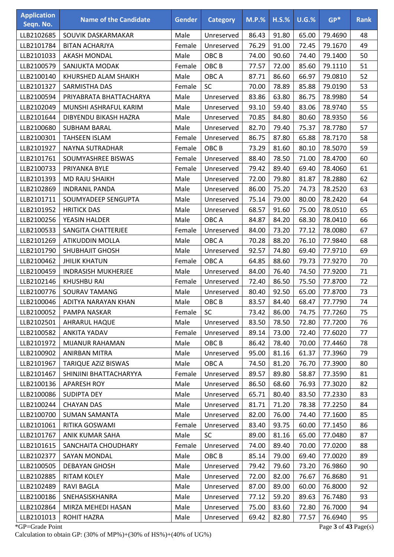| <b>Application</b><br>Seqn. No. | <b>Name of the Candidate</b> | <b>Gender</b> | <b>Category</b>  | <b>M.P.%</b> | $H.S.\%$ | $U.G.\%$ | $GP*$   | <b>Rank</b> |
|---------------------------------|------------------------------|---------------|------------------|--------------|----------|----------|---------|-------------|
| LLB2102685                      | SOUVIK DASKARMAKAR           | Male          | Unreserved       | 86.43        | 91.80    | 65.00    | 79.4690 | 48          |
| LLB2101784                      | <b>BITAN ACHARJYA</b>        | Female        | Unreserved       | 76.29        | 91.00    | 72.45    | 79.1670 | 49          |
| LLB2101033                      | <b>AKASH MONDAL</b>          | Male          | OBC <sub>B</sub> | 74.00        | 90.60    | 74.40    | 79.1400 | 50          |
| LLB2100579                      | SANJUKTA MODAK               | Female        | OBC <sub>B</sub> | 77.57        | 72.00    | 85.60    | 79.1110 | 51          |
| LLB2100140                      | KHURSHED ALAM SHAIKH         | Male          | OBC A            | 87.71        | 86.60    | 66.97    | 79.0810 | 52          |
| LLB2101327                      | SARMISTHA DAS                | Female        | SC               | 70.00        | 78.89    | 85.88    | 79.0190 | 53          |
| LLB2100594                      | PRIYABRATA BHATTACHARYA      | Male          | Unreserved       | 83.86        | 63.80    | 86.75    | 78.9980 | 54          |
| LLB2102049                      | MUNSHI ASHRAFUL KARIM        | Male          | Unreserved       | 93.10        | 59.40    | 83.06    | 78.9740 | 55          |
| LLB2101644                      | DIBYENDU BIKASH HAZRA        | Male          | Unreserved       | 70.85        | 84.80    | 80.60    | 78.9350 | 56          |
| LLB2100680                      | <b>SUBHAM BARAL</b>          | Male          | Unreserved       | 82.70        | 79.40    | 75.37    | 78.7780 | 57          |
| LLB2100301                      | <b>TAHSEEN ISLAM</b>         | Female        | Unreserved       | 86.75        | 87.80    | 65.88    | 78.7170 | 58          |
| LLB2101927                      | NAYNA SUTRADHAR              | Female        | OBC <sub>B</sub> | 73.29        | 81.60    | 80.10    | 78.5070 | 59          |
| LLB2101761                      | SOUMYASHREE BISWAS           | Female        | Unreserved       | 88.40        | 78.50    | 71.00    | 78.4700 | 60          |
| LLB2100733                      | PRIYANKA BYLE                | Female        | Unreserved       | 79.42        | 89.40    | 69.40    | 78.4060 | 61          |
| LLB2101393                      | <b>MD RAJU SHAIKH</b>        | Male          | Unreserved       | 72.00        | 79.80    | 81.87    | 78.2880 | 62          |
| LLB2102869                      | <b>INDRANIL PANDA</b>        | Male          | Unreserved       | 86.00        | 75.20    | 74.73    | 78.2520 | 63          |
| LLB2101711                      | SOUMYADEEP SENGUPTA          | Male          | Unreserved       | 75.14        | 79.00    | 80.00    | 78.2420 | 64          |
| LLB2101952                      | <b>HRITICK DAS</b>           | Male          | Unreserved       | 68.57        | 91.60    | 75.00    | 78.0510 | 65          |
| LLB2100256                      | YEASIN HALDER                | Male          | OBC A            | 84.87        | 84.20    | 68.30    | 78.0410 | 66          |
| LLB2100533                      | SANGITA CHATTERJEE           | Female        | Unreserved       | 84.00        | 73.20    | 77.12    | 78.0080 | 67          |
| LLB2101269                      | <b>ATIKUDDIN MOLLA</b>       | Male          | OBC A            | 70.28        | 88.20    | 76.10    | 77.9840 | 68          |
| LLB2101790                      | <b>SHUBHAJIT GHOSH</b>       | Male          | Unreserved       | 92.57        | 74.80    | 69.40    | 77.9710 | 69          |
| LLB2100462                      | <b>JHILIK KHATUN</b>         | Female        | OBC A            | 64.85        | 88.60    | 79.73    | 77.9270 | 70          |
| LLB2100459                      | <b>INDRASISH MUKHERJEE</b>   | Male          | Unreserved       | 84.00        | 76.40    | 74.50    | 77.9200 | 71          |
| LLB2102146                      | <b>KHUSHBU RAI</b>           | Female        | Unreserved       | 72.40        | 86.50    | 75.50    | 77.8700 | 72          |
| LLB2100776                      | <b>SOURAV TAMANG</b>         | Male          | Unreserved       | 80.40        | 92.50    | 65.00    | 77.8700 | 73          |
| LLB2100046                      | ADITYA NARAYAN KHAN          | Male          | OBC <sub>B</sub> | 83.57        | 84.40    | 68.47    | 77.7790 | 74          |
| LLB2100052                      | PAMPA NASKAR                 | Female        | <b>SC</b>        | 73.42        | 86.00    | 74.75    | 77.7260 | 75          |
| LLB2102501                      | AHRARUL HAQUE                | Male          | Unreserved       | 83.50        | 78.50    | 72.80    | 77.7200 | 76          |
| LLB2100582                      | <b>ANKITA YADAV</b>          | Female        | Unreserved       | 89.14        | 73.00    | 72.40    | 77.6020 | 77          |
| LLB2101972                      | <b>MIJANUR RAHAMAN</b>       | Male          | OBC <sub>B</sub> | 86.42        | 78.40    | 70.00    | 77.4460 | 78          |
| LLB2100902                      | ANIRBAN MITRA                | Male          | Unreserved       | 95.00        | 81.16    | 61.37    | 77.3960 | 79          |
| LLB2101967                      | <b>TARIQUE AZIZ BISWAS</b>   | Male          | OBC A            | 74.50        | 81.20    | 76.70    | 77.3900 | 80          |
| LLB2101467                      | SHINJINI BHATTACHARYYA       | Female        | Unreserved       | 89.57        | 89.80    | 58.87    | 77.3590 | 81          |
| LLB2100136                      | <b>APARESH ROY</b>           | Male          | Unreserved       | 86.50        | 68.60    | 76.93    | 77.3020 | 82          |
| LLB2100086                      | <b>SUDIPTA DEY</b>           | Male          | Unreserved       | 65.71        | 80.40    | 83.50    | 77.2330 | 83          |
| LLB2100244                      | <b>CHAYAN DAS</b>            | Male          | Unreserved       | 81.71        | 71.20    | 78.38    | 77.2250 | 84          |
| LLB2100700                      | <b>SUMAN SAMANTA</b>         | Male          | Unreserved       | 82.00        | 76.00    | 74.40    | 77.1600 | 85          |
| LLB2101061                      | RITIKA GOSWAMI               | Female        | Unreserved       | 83.40        | 93.75    | 60.00    | 77.1450 | 86          |
| LLB2101767                      | ANIK KUMAR SAHA              | Male          | <b>SC</b>        | 89.00        | 81.16    | 65.00    | 77.0480 | 87          |
| LLB2101615                      | SANCHAITA CHOUDHARY          | Female        | Unreserved       | 74.00        | 89.40    | 70.00    | 77.0200 | 88          |
| LLB2102377                      | <b>SAYAN MONDAL</b>          | Male          | OBC <sub>B</sub> | 85.14        | 79.00    | 69.40    | 77.0020 | 89          |
| LLB2100505                      | DEBAYAN GHOSH                | Male          | Unreserved       | 79.42        | 79.60    | 73.20    | 76.9860 | 90          |
| LLB2102885                      | <b>RITAM KOLEY</b>           | Male          | Unreserved       | 72.00        | 82.00    | 76.67    | 76.8680 | 91          |
| LLB2102489                      | <b>RAVI BAGLA</b>            | Male          | Unreserved       | 87.00        | 89.00    | 60.00    | 76.8000 | 92          |
| LLB2100186                      | SNEHASISKHANRA               | Male          | Unreserved       | 77.12        | 59.20    | 89.63    | 76.7480 | 93          |
| LLB2102864                      | MIRZA MEHEDI HASAN           | Male          | Unreserved       | 75.00        | 83.60    | 72.80    | 76.7000 | 94          |
| LLB2101013                      | <b>ROHIT HAZRA</b>           | Male          | Unreserved       | 69.42        | 82.80    | 77.57    | 76.6940 | 95          |

\*GP=Grade Point Page **3** of **43** Page(s) Calculation to obtain GP: (30% of MP%)+(30% of HS%)+(40% of UG%)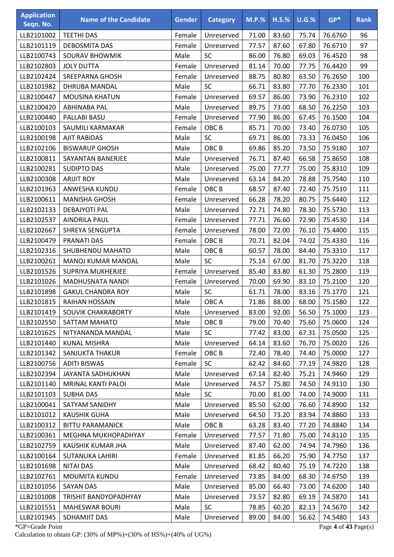| <b>Application</b><br>Seqn. No. | <b>Name of the Candidate</b> | <b>Gender</b> | <b>Category</b>  | <b>M.P.%</b> | $H.S.\%$ | $U.G.\%$ | $GP*$   | <b>Rank</b> |
|---------------------------------|------------------------------|---------------|------------------|--------------|----------|----------|---------|-------------|
| LLB2101002                      | <b>TEETHI DAS</b>            | Female        | Unreserved       | 71.00        | 83.60    | 75.74    | 76.6760 | 96          |
| LLB2101119                      | <b>DEBOSMITA DAS</b>         | Female        | Unreserved       | 77.57        | 87.60    | 67.80    | 76.6710 | 97          |
| LLB2100743                      | <b>SOURAV BHOWMIK</b>        | Male          | SC               | 86.00        | 76.80    | 69.03    | 76.4520 | 98          |
| LLB2102803                      | <b>JOLY DUTTA</b>            | Female        | Unreserved       | 81.14        | 70.00    | 77.75    | 76.4420 | 99          |
| LLB2102424                      | <b>SREEPARNA GHOSH</b>       | Female        | Unreserved       | 88.75        | 80.80    | 63.50    | 76.2650 | 100         |
| LLB2101982                      | <b>DHRUBA MANDAL</b>         | Male          | SC               | 66.71        | 83.80    | 77.70    | 76.2330 | 101         |
| LLB2100447                      | <b>MOUSINA KHATUN</b>        | Female        | Unreserved       | 69.57        | 86.00    | 73.90    | 76.2310 | 102         |
| LLB2100420                      | ABHINABA PAL                 | Male          | Unreserved       | 89.75        | 73.00    | 68.50    | 76.2250 | 103         |
| LLB2100440                      | PALLABI BASU                 | Female        | Unreserved       | 77.90        | 86.00    | 67.45    | 76.1500 | 104         |
| LLB2100103                      | SAUMILI KARMAKAR             | Female        | OBC <sub>B</sub> | 85.71        | 70.00    | 73.40    | 76.0730 | 105         |
| LLB2100198                      | <b>AJIT RABIDAS</b>          | Male          | <b>SC</b>        | 69.71        | 86.00    | 73.33    | 76.0450 | 106         |
| LLB2102106                      | <b>BISWARUP GHOSH</b>        | Male          | OBC <sub>B</sub> | 69.86        | 85.20    | 73.50    | 75.9180 | 107         |
| LLB2100811                      | SAYANTAN BANERJEE            | Male          | Unreserved       | 76.71        | 87.40    | 66.58    | 75.8650 | 108         |
| LLB2100281                      | <b>SUDIPTO DAS</b>           | Male          | Unreserved       | 75.00        | 77.77    | 75.00    | 75.8310 | 109         |
| LLB2100308                      | <b>ARIJIT ROY</b>            | Male          | Unreserved       | 63.14        | 84.20    | 78.88    | 75.7540 | 110         |
| LLB2101963                      | ANWESHA KUNDU                | Female        | OBC <sub>B</sub> | 68.57        | 87.40    | 72.40    | 75.7510 | 111         |
| LLB2100611                      | <b>MANISHA GHOSH</b>         | Female        | Unreserved       | 66.28        | 78.20    | 80.75    | 75.6440 | 112         |
| LLB2102133                      | <b>DEBAJYOTI PAL</b>         | Male          | Unreserved       | 72.71        | 74.80    | 78.30    | 75.5730 | 113         |
| LLB2102537                      | <b>AINDRILA PAUL</b>         | Female        | Unreserved       | 77.71        | 76.60    | 72.90    | 75.4530 | 114         |
| LLB2102667                      | SHREYA SENGUPTA              | Female        | Unreserved       | 78.00        | 72.00    | 76.10    | 75.4400 | 115         |
| LLB2100479                      | PRANATI DAS                  | Female        | OBC <sub>B</sub> | 70.71        | 82.04    | 74.02    | 75.4330 | 116         |
| LLB2102316                      | SHUBHENDU MAHATO             | Male          | OBC <sub>B</sub> | 60.57        | 78.00    | 84.40    | 75.3310 | 117         |
| LLB2100261                      | MANOJ KUMAR MANDAL           | Male          | SC               | 75.14        | 67.00    | 81.70    | 75.3220 | 118         |
| LLB2101526                      | SUPRIYA MUKHERJEE            | Female        | Unreserved       | 85.40        | 83.80    | 61.30    | 75.2800 | 119         |
| LLB2101026                      | MADHUSNATA NANDI             | Female        | Unreserved       | 70.00        | 69.90    | 83.10    | 75.2100 | 120         |
| LLB2101898                      | <b>GAKUL CHANDRA ROY</b>     | Male          | SC               | 61.71        | 78.00    | 83.16    | 75.1770 | 121         |
| LLB2101815                      | RAIHAN HOSSAIN               | Male          | OBC A            | 71.86        | 88.00    | 68.00    | 75.1580 | 122         |
| LLB2101419                      | SOUVIK CHAKRABORTY           | Male          | Unreserved       | 83.00        | 92.00    | 56.50    | 75.1000 | 123         |
| LLB2102550                      | SATTAM MAHATO                | Male          | OBC <sub>B</sub> | 79.00        | 70.40    | 75.60    | 75.0600 | 124         |
| LLB2101625                      | NITYANANDA MANDAL            | Male          | <b>SC</b>        | 77.42        | 83.00    | 67.31    | 75.0500 | 125         |
| LLB2101440                      | <b>KUNAL MISHRA</b>          | Male          | Unreserved       | 64.14        | 83.60    | 76.70    | 75.0020 | 126         |
| LLB2101342                      | <b>SANJUKTA THAKUR</b>       | Female        | OBC <sub>B</sub> | 72.40        | 78.40    | 74.40    | 75.0000 | 127         |
| LLB2100756                      | <b>ADITI BISWAS</b>          | Female        | <b>SC</b>        | 62.42        | 84.60    | 77.19    | 74.9820 | 128         |
| LLB2102394                      | JAYANTA SADHUKHAN            | Male          | Unreserved       | 67.14        | 82.40    | 75.21    | 74.9460 | 129         |
| LLB2101140                      | MRINAL KANTI PALOI           | Male          | Unreserved       | 74.57        | 75.80    | 74.50    | 74.9110 | 130         |
| LLB2101103                      | <b>SUBHA DAS</b>             | Male          | <b>SC</b>        | 70.00        | 81.00    | 74.00    | 74.9000 | 131         |
| LLB2100041                      | <b>SATYAM SANIDHY</b>        | Male          | Unreserved       | 85.50        | 62.00    | 76.60    | 74.8900 | 132         |
| LLB2101012                      | <b>KAUSHIK GUHA</b>          | Male          | Unreserved       | 64.50        | 73.20    | 83.94    | 74.8860 | 133         |
| LLB2100312                      | <b>BITTU PARAMANICK</b>      | Male          | OBC B            | 63.28        | 83.40    | 77.20    | 74.8840 | 134         |
| LLB2100361                      | MEGHNA MUKHOPADHYAY          | Female        | Unreserved       | 77.57        | 71.80    | 75.00    | 74.8110 | 135         |
| LLB2102759                      | KAUSHIK KUMAR JHA            | Male          | Unreserved       | 87.40        | 62.00    | 74.94    | 74.7960 | 136         |
| LLB2100164                      | <b>SUTANUKA LAHIRI</b>       | Female        | Unreserved       | 81.85        | 66.20    | 75.90    | 74.7750 | 137         |
| LLB2101698                      | <b>NITAI DAS</b>             | Male          | Unreserved       | 68.42        | 80.40    | 75.19    | 74.7220 | 138         |
| LLB2102761                      | MOUMITA KUNDU                | Female        | Unreserved       | 73.85        | 84.00    | 68.30    | 74.6750 | 139         |
| LLB2101056                      | <b>SAYAN DAS</b>             | Male          | Unreserved       | 85.00        | 66.40    | 73.00    | 74.6200 | 140         |
| LLB2101008                      | TRISHIT BANDYOPADHYAY        | Male          | Unreserved       | 73.57        | 82.80    | 69.19    | 74.5870 | 141         |
| LLB2101551                      | <b>MAHESWAR BOURI</b>        | Male          | SC               | 78.85        | 60.20    | 82.13    | 74.5670 | 142         |
| LLB2101945                      | SOHAMJIT DAS                 | Male          | Unreserved       | 89.00        | 84.00    | 56.62    | 74.5480 | 143         |

\*GP=Grade Point Page **4** of **43** Page(s) Calculation to obtain GP: (30% of MP%)+(30% of HS%)+(40% of UG%)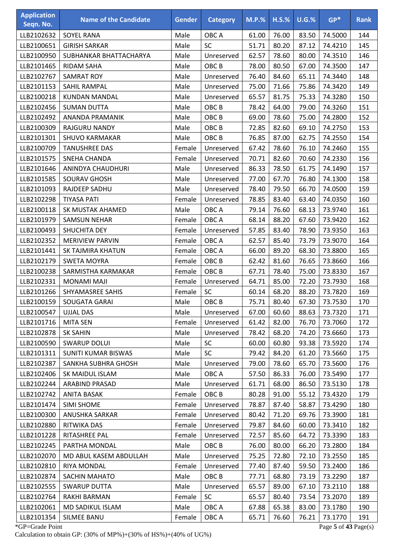| <b>Application</b><br>Seqn. No. | <b>Name of the Candidate</b> | <b>Gender</b> | <b>Category</b>  | $M.P.$ % | $H.S.\%$ | $U.G.\%$ | $GP*$   | <b>Rank</b> |
|---------------------------------|------------------------------|---------------|------------------|----------|----------|----------|---------|-------------|
| LLB2102632                      | <b>SOYEL RANA</b>            | Male          | OBC A            | 61.00    | 76.00    | 83.50    | 74.5000 | 144         |
| LLB2100651                      | <b>GIRISH SARKAR</b>         | Male          | SC               | 51.71    | 80.20    | 87.12    | 74.4210 | 145         |
| LLB2100950                      | SUBHANKAR BHATTACHARYA       | Male          | Unreserved       | 62.57    | 78.60    | 80.00    | 74.3510 | 146         |
| LLB2101465                      | <b>RIDAM SAHA</b>            | Male          | OBC <sub>B</sub> | 78.00    | 80.50    | 67.00    | 74.3500 | 147         |
| LLB2102767                      | <b>SAMRAT ROY</b>            | Male          | Unreserved       | 76.40    | 84.60    | 65.11    | 74.3440 | 148         |
| LLB2101153                      | SAHIL RAMPAL                 | Male          | Unreserved       | 75.00    | 71.66    | 75.86    | 74.3420 | 149         |
| LLB2100218                      | <b>KUNDAN MANDAL</b>         | Male          | Unreserved       | 65.57    | 81.75    | 75.33    | 74.3280 | 150         |
| LLB2102456                      | <b>SUMAN DUTTA</b>           | Male          | OBC <sub>B</sub> | 78.42    | 64.00    | 79.00    | 74.3260 | 151         |
| LLB2102492                      | ANANDA PRAMANIK              | Male          | OBC <sub>B</sub> | 69.00    | 78.60    | 75.00    | 74.2800 | 152         |
| LLB2100309                      | RAJGURU NANDY                | Male          | OBC <sub>B</sub> | 72.85    | 82.60    | 69.10    | 74.2750 | 153         |
| LLB2101301                      | <b>SHUVO KARMAKAR</b>        | Male          | OBC <sub>B</sub> | 76.85    | 87.00    | 62.75    | 74.2550 | 154         |
| LLB2100709                      | <b>TANUSHREE DAS</b>         | Female        | Unreserved       | 67.42    | 78.60    | 76.10    | 74.2460 | 155         |
| LLB2101575                      | <b>SNEHA CHANDA</b>          | Female        | Unreserved       | 70.71    | 82.60    | 70.60    | 74.2330 | 156         |
| LLB2101646                      | ANINDYA CHAUDHURI            | Male          | Unreserved       | 86.33    | 78.50    | 61.75    | 74.1490 | 157         |
| LLB2101585                      | <b>SOURAV GHOSH</b>          | Male          | Unreserved       | 77.00    | 67.70    | 76.80    | 74.1300 | 158         |
| LLB2101093                      | RAJDEEP SADHU                | Male          | Unreserved       | 78.40    | 79.50    | 66.70    | 74.0500 | 159         |
| LLB2102298                      | <b>TIYASA PATI</b>           | Female        | Unreserved       | 78.85    | 83.40    | 63.40    | 74.0350 | 160         |
| LLB2100118                      | SK MUSTAK AHAMED             | Male          | OBC A            | 79.14    | 76.60    | 68.13    | 73.9740 | 161         |
| LLB2101979                      | <b>SAMSUN NEHAR</b>          | Female        | OBC A            | 68.14    | 88.20    | 67.60    | 73.9420 | 162         |
| LLB2100493                      | SHUCHITA DEY                 | Female        | Unreserved       | 57.85    | 83.40    | 78.90    | 73.9350 | 163         |
| LLB2102352                      | <b>MERIVIEW PARVIN</b>       | Female        | OBC A            | 62.57    | 85.40    | 73.79    | 73.9070 | 164         |
| LLB2101441                      | SK TAJMIRA KHATUN            | Female        | OBC A            | 66.00    | 89.20    | 68.30    | 73.8800 | 165         |
| LLB2102179                      | <b>SWETA MOYRA</b>           | Female        | OBC <sub>B</sub> | 62.42    | 81.60    | 76.65    | 73.8660 | 166         |
| LLB2100238                      | SARMISTHA KARMAKAR           | Female        | OBC <sub>B</sub> | 67.71    | 78.40    | 75.00    | 73.8330 | 167         |
| LLB2102331                      | MONAMI MAJI                  | Female        | Unreserved       | 64.71    | 85.00    | 72.20    | 73.7930 | 168         |
| LLB2101266                      | <b>SHYAMASREE SAHIS</b>      | Female        | SC               | 60.14    | 68.20    | 88.20    | 73.7820 | 169         |
| LLB2100159                      | SOUGATA GARAI                | Male          | OBC <sub>B</sub> | 75.71    | 80.40    | 67.30    | 73.7530 | 170         |
| LLB2100547                      | <b>UJJAL DAS</b>             | Male          | Unreserved       | 67.00    | 60.60    | 88.63    | 73.7320 | 171         |
| LLB2101716                      | <b>MITA SEN</b>              | Female        | Unreserved       | 61.42    | 82.00    | 76.70    | 73.7060 | 172         |
| LLB2102878                      | <b>SK SAHIN</b>              | Male          | Unreserved       | 78.42    | 68.20    | 74.20    | 73.6660 | 173         |
| LLB2100590                      | <b>SWARUP DOLUI</b>          | Male          | <b>SC</b>        | 60.00    | 60.80    | 93.38    | 73.5920 | 174         |
| LLB2101311                      | SUNITI KUMAR BISWAS          | Male          | <b>SC</b>        | 79.42    | 84.20    | 61.20    | 73.5660 | 175         |
| LLB2102387                      | SANKHA SUBHRA GHOSH          | Male          | Unreserved       | 79.00    | 78.60    | 65.70    | 73.5600 | 176         |
| LLB2102406                      | SK MAIDUL ISLAM              | Male          | OBC A            | 57.50    | 86.33    | 76.00    | 73.5490 | 177         |
| LLB2102244                      | ARABIND PRASAD               | Male          | Unreserved       | 61.71    | 68.00    | 86.50    | 73.5130 | 178         |
| LLB2102742                      | <b>ANITA BASAK</b>           | Female        | OBC <sub>B</sub> | 80.28    | 91.00    | 55.12    | 73.4320 | 179         |
| LLB2101474                      | <b>SIMI SHOME</b>            | Female        | Unreserved       | 78.87    | 87.40    | 58.87    | 73.4290 | 180         |
| LLB2100300                      | <b>ANUSHKA SARKAR</b>        | Female        | Unreserved       | 80.42    | 71.20    | 69.76    | 73.3900 | 181         |
| LLB2102880                      | RITWIKA DAS                  | Female        | Unreserved       | 79.87    | 84.60    | 60.00    | 73.3410 | 182         |
| LLB2101228                      | RITASHREE PAL                | Female        | Unreserved       | 72.57    | 85.60    | 64.72    | 73.3390 | 183         |
| LLB2102245                      | PARTHA MONDAL                | Male          | OBC <sub>B</sub> | 76.00    | 80.00    | 66.20    | 73.2800 | 184         |
| LLB2102070                      | MD ABUL KASEM ABDULLAH       | Male          | Unreserved       | 75.25    | 72.80    | 72.10    | 73.2550 | 185         |
| LLB2102810                      | RIYA MONDAL                  | Female        | Unreserved       | 77.40    | 87.40    | 59.50    | 73.2400 | 186         |
| LLB2102874                      | SACHIN MAHATO                | Male          | OBC <sub>B</sub> | 77.71    | 68.80    | 73.19    | 73.2290 | 187         |
| LLB2102555                      | <b>SWARUP DUTTA</b>          | Male          | Unreserved       | 65.57    | 89.00    | 67.10    | 73.2110 | 188         |
| LLB2102764                      | RAKHI BARMAN                 | Female        | <b>SC</b>        | 65.57    | 80.40    | 73.54    | 73.2070 | 189         |
| LLB2102061                      | MD SADIKUL ISLAM             | Male          | OBC A            | 67.88    | 65.38    | 83.00    | 73.1780 | 190         |
| LLB2101354                      | SILMEE BANU                  | Female        | OBC A            | 65.71    | 76.60    | 76.21    | 73.1770 | 191         |

\*GP=Grade Point Page **5** of **43** Page(s) Calculation to obtain GP: (30% of MP%)+(30% of HS%)+(40% of UG%)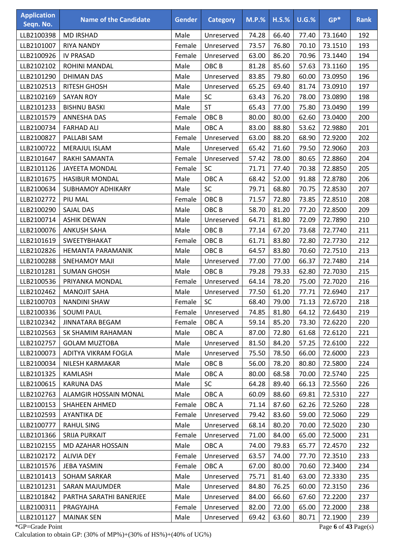| <b>Application</b><br>Seqn. No. | <b>Name of the Candidate</b> | <b>Gender</b> | <b>Category</b>  | <b>M.P.%</b> | $H.S.\%$ | $U.G.\%$ | $GP*$   | <b>Rank</b> |
|---------------------------------|------------------------------|---------------|------------------|--------------|----------|----------|---------|-------------|
| LLB2100398                      | <b>MD IRSHAD</b>             | Male          | Unreserved       | 74.28        | 66.40    | 77.40    | 73.1640 | 192         |
| LLB2101007                      | <b>RIYA NANDY</b>            | Female        | Unreserved       | 73.57        | 76.80    | 70.10    | 73.1510 | 193         |
| LLB2100926                      | <b>IV PRASAD</b>             | Female        | Unreserved       | 63.00        | 86.20    | 70.96    | 73.1440 | 194         |
| LLB2102102                      | ROHINI MANDAL                | Male          | OBC <sub>B</sub> | 81.28        | 85.60    | 57.63    | 73.1160 | 195         |
| LLB2101290                      | <b>DHIMAN DAS</b>            | Male          | Unreserved       | 83.85        | 79.80    | 60.00    | 73.0950 | 196         |
| LLB2102513                      | <b>RITESH GHOSH</b>          | Male          | Unreserved       | 65.25        | 69.40    | 81.74    | 73.0910 | 197         |
| LLB2102169                      | <b>SAYAN ROY</b>             | Male          | SC               | 63.43        | 76.20    | 78.00    | 73.0890 | 198         |
| LLB2101233                      | <b>BISHNU BASKI</b>          | Male          | <b>ST</b>        | 65.43        | 77.00    | 75.80    | 73.0490 | 199         |
| LLB2101579                      | <b>ANNESHA DAS</b>           | Female        | OBC <sub>B</sub> | 80.00        | 80.00    | 62.60    | 73.0400 | 200         |
| LLB2100734                      | <b>FARHAD ALI</b>            | Male          | OBC A            | 83.00        | 88.80    | 53.62    | 72.9880 | 201         |
| LLB2100827                      | PALLABI SAM                  | Female        | Unreserved       | 63.00        | 88.20    | 68.90    | 72.9200 | 202         |
| LLB2100722                      | MERAJUL ISLAM                | Male          | Unreserved       | 65.42        | 71.60    | 79.50    | 72.9060 | 203         |
| LLB2101647                      | RAKHI SAMANTA                | Female        | Unreserved       | 57.42        | 78.00    | 80.65    | 72.8860 | 204         |
| LLB2101126                      | <b>JAYEETA MONDAL</b>        | Female        | SC               | 71.71        | 77.40    | 70.38    | 72.8850 | 205         |
| LLB2101675                      | <b>HASIBUR MONDAL</b>        | Male          | OBC A            | 68.42        | 52.00    | 91.88    | 72.8780 | 206         |
| LLB2100634                      | <b>SUBHAMOY ADHIKARY</b>     | Male          | SC               | 79.71        | 68.80    | 70.75    | 72.8530 | 207         |
| LLB2102772                      | PIU MAL                      | Female        | OBC <sub>B</sub> | 71.57        | 72.80    | 73.85    | 72.8510 | 208         |
| LLB2100290                      | <b>SAJAL DAS</b>             | Male          | OBC <sub>B</sub> | 58.70        | 81.20    | 77.20    | 72.8500 | 209         |
| LLB2100714                      | <b>ASHIK DEWAN</b>           | Male          | Unreserved       | 64.71        | 81.80    | 72.09    | 72.7890 | 210         |
| LLB2100076                      | <b>ANKUSH SAHA</b>           | Male          | OBC <sub>B</sub> | 77.14        | 67.20    | 73.68    | 72.7740 | 211         |
| LLB2101619                      | SWEETYBHAKAT                 | Female        | OBC <sub>B</sub> | 61.71        | 83.80    | 72.80    | 72.7730 | 212         |
| LLB2102826                      | HEMANTA PARAMANIK            | Male          | OBC <sub>B</sub> | 64.57        | 83.80    | 70.60    | 72.7510 | 213         |
| LLB2100288                      | <b>SNEHAMOY MAJI</b>         | Male          | Unreserved       | 77.00        | 77.00    | 66.37    | 72.7480 | 214         |
| LLB2101281                      | <b>SUMAN GHOSH</b>           | Male          | OBC <sub>B</sub> | 79.28        | 79.33    | 62.80    | 72.7030 | 215         |
| LLB2100536                      | PRIYANKA MONDAL              | Female        | Unreserved       | 64.14        | 78.20    | 75.00    | 72.7020 | 216         |
| LLB2102462                      | <b>MANOJIT SAHA</b>          | Male          | Unreserved       | 77.50        | 61.20    | 77.71    | 72.6940 | 217         |
| LLB2100703                      | <b>NANDINI SHAW</b>          | Female        | <b>SC</b>        | 68.40        | 79.00    | 71.13    | 72.6720 | 218         |
| LLB2100336                      | <b>SOUMI PAUL</b>            | Female        | Unreserved       | 74.85        | 81.80    | 64.12    | 72.6430 | 219         |
| LLB2102342                      | JINNATARA BEGAM              | Female        | OBC A            | 59.14        | 85.20    | 73.30    | 72.6220 | 220         |
| LLB2102563                      | SK SHAMIM RAHAMAN            | Male          | OBC A            | 87.00        | 72.80    | 61.68    | 72.6120 | 221         |
| LLB2102757                      | <b>GOLAM MUZTOBA</b>         | Male          | Unreserved       | 81.50        | 84.20    | 57.25    | 72.6100 | 222         |
| LLB2100073                      | ADITYA VIKRAM FOGLA          | Male          | Unreserved       | 75.50        | 78.50    | 66.00    | 72.6000 | 223         |
| LLB2100034                      | NILESH KARMAKAR              | Male          | OBC <sub>B</sub> | 56.00        | 78.20    | 80.80    | 72.5800 | 224         |
| LLB2101325                      | <b>KAMLASH</b>               | Male          | OBC A            | 80.00        | 68.58    | 70.00    | 72.5740 | 225         |
| LLB2100615                      | <b>KARUNA DAS</b>            | Male          | SC               | 64.28        | 89.40    | 66.13    | 72.5560 | 226         |
| LLB2102763                      | ALAMGIR HOSSAIN MONAL        | Male          | OBC A            | 60.09        | 88.60    | 69.81    | 72.5310 | 227         |
| LLB2100153                      | <b>SHAHEEN AHMED</b>         | Female        | OBC A            | 71.14        | 87.60    | 62.26    | 72.5260 | 228         |
| LLB2102593                      | <b>AYANTIKA DE</b>           | Female        | Unreserved       | 79.42        | 83.60    | 59.00    | 72.5060 | 229         |
| LLB2100777                      | <b>RAHUL SING</b>            | Male          | Unreserved       | 68.14        | 80.20    | 70.00    | 72.5020 | 230         |
| LLB2101366                      | SRIJA PURKAIT                | Female        | Unreserved       | 71.00        | 84.00    | 65.00    | 72.5000 | 231         |
| LLB2102155                      | MD AZAHAR HOSSAIN            | Male          | OBC A            | 74.00        | 79.83    | 65.77    | 72.4570 | 232         |
| LLB2102172                      | <b>ALIVIA DEY</b>            | Female        | Unreserved       | 63.57        | 74.00    | 77.70    | 72.3510 | 233         |
| LLB2101576                      | JEBA YASMIN                  | Female        | OBC A            | 67.00        | 80.00    | 70.60    | 72.3400 | 234         |
| LLB2101413                      | <b>SOHAM SARKAR</b>          | Male          | Unreserved       | 75.71        | 81.40    | 63.00    | 72.3330 | 235         |
| LLB2101231                      | <b>SARAN MAJUMDER</b>        | Male          | Unreserved       | 84.80        | 76.25    | 60.00    | 72.3150 | 236         |
| LLB2101842                      | PARTHA SARATHI BANERJEE      | Male          | Unreserved       | 84.00        | 66.60    | 67.60    | 72.2200 | 237         |
| LLB2100311                      | PRAGYAJHA                    | Female        | Unreserved       | 82.00        | 72.00    | 65.00    | 72.2000 | 238         |
| LLB2101127                      | <b>MAINAK SEN</b>            | Male          | Unreserved       | 69.42        | 63.60    | 80.71    | 72.1900 | 239         |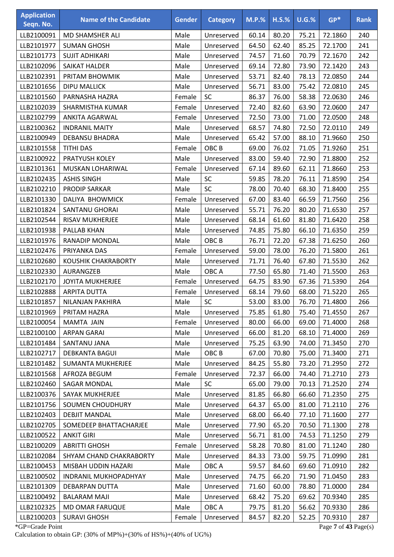| <b>Application</b><br>Seqn. No. | <b>Name of the Candidate</b> | <b>Gender</b> | <b>Category</b>  | <b>M.P.%</b> | $H.S.\%$ | $U.G.\%$ | $GP*$   | <b>Rank</b> |
|---------------------------------|------------------------------|---------------|------------------|--------------|----------|----------|---------|-------------|
| LLB2100091                      | MD SHAMSHER ALI              | Male          | Unreserved       | 60.14        | 80.20    | 75.21    | 72.1860 | 240         |
| LLB2101977                      | <b>SUMAN GHOSH</b>           | Male          | Unreserved       | 64.50        | 62.40    | 85.25    | 72.1700 | 241         |
| LLB2101773                      | <b>SUJIT ADHIKARI</b>        | Male          | Unreserved       | 74.57        | 71.60    | 70.79    | 72.1670 | 242         |
| LLB2102096                      | SAIKAT HALDER                | Male          | Unreserved       | 69.14        | 72.80    | 73.90    | 72.1420 | 243         |
| LLB2102391                      | PRITAM BHOWMIK               | Male          | Unreserved       | 53.71        | 82.40    | 78.13    | 72.0850 | 244         |
| LLB2101656                      | <b>DIPU MALLICK</b>          | Male          | Unreserved       | 56.71        | 83.00    | 75.42    | 72.0810 | 245         |
| LLB2101560                      | PARNASHA HAZRA               | Female        | SC               | 86.37        | 76.00    | 58.38    | 72.0630 | 246         |
| LLB2102039                      | SHARMISTHA KUMAR             | Female        | Unreserved       | 72.40        | 82.60    | 63.90    | 72.0600 | 247         |
| LLB2102799                      | <b>ANKITA AGARWAL</b>        | Female        | Unreserved       | 72.50        | 73.00    | 71.00    | 72.0500 | 248         |
| LLB2100362                      | <b>INDRANIL MAITY</b>        | Male          | Unreserved       | 68.57        | 74.80    | 72.50    | 72.0110 | 249         |
| LLB2100949                      | <b>DEBANSU BHADRA</b>        | Male          | Unreserved       | 65.42        | 57.00    | 88.10    | 71.9660 | 250         |
| LLB2101558                      | <b>TITHI DAS</b>             | Female        | OBC <sub>B</sub> | 69.00        | 76.02    | 71.05    | 71.9260 | 251         |
| LLB2100922                      | PRATYUSH KOLEY               | Male          | Unreserved       | 83.00        | 59.40    | 72.90    | 71.8800 | 252         |
| LLB2101361                      | MUSKAN LOHARIWAL             | Female        | Unreserved       | 67.14        | 89.60    | 62.11    | 71.8660 | 253         |
| LLB2102435                      | <b>ASHIS SINGH</b>           | Male          | SC               | 59.85        | 78.20    | 76.11    | 71.8590 | 254         |
| LLB2102210                      | <b>PRODIP SARKAR</b>         | Male          | SC               | 78.00        | 70.40    | 68.30    | 71.8400 | 255         |
| LLB2101330                      | DALIYA BHOWMICK              | Female        | Unreserved       | 67.00        | 83.40    | 66.59    | 71.7560 | 256         |
| LLB2101824                      | <b>SANTANU GHORAI</b>        | Male          | Unreserved       | 55.71        | 76.20    | 80.20    | 71.6530 | 257         |
| LLB2102544                      | <b>RISAV MUKHERJEE</b>       | Male          | Unreserved       | 68.14        | 61.60    | 81.80    | 71.6420 | 258         |
| LLB2101938                      | PALLAB KHAN                  | Male          | Unreserved       | 74.85        | 75.80    | 66.10    | 71.6350 | 259         |
| LLB2101976                      | <b>RANADIP MONDAL</b>        | Male          | OBC <sub>B</sub> | 76.71        | 72.20    | 67.38    | 71.6250 | 260         |
| LLB2102476                      | PRIYANKA DAS                 | Female        | Unreserved       | 59.00        | 78.00    | 76.20    | 71.5800 | 261         |
| LLB2102680                      | KOUSHIK CHAKRABORTY          | Male          | Unreserved       | 71.71        | 76.40    | 67.80    | 71.5530 | 262         |
| LLB2102330                      | AURANGZEB                    | Male          | OBC A            | 77.50        | 65.80    | 71.40    | 71.5500 | 263         |
| LLB2102170                      | <b>JOYITA MUKHERJEE</b>      | Female        | Unreserved       | 64.75        | 83.90    | 67.36    | 71.5390 | 264         |
| LLB2102888                      | <b>ARPITA DUTTA</b>          | Female        | Unreserved       | 68.14        | 79.60    | 68.00    | 71.5220 | 265         |
| LLB2101857                      | NILANJAN PAKHIRA             | Male          | SC               | 53.00        | 83.00    | 76.70    | 71.4800 | 266         |
| LLB2101969                      | PRITAM HAZRA                 | Male          | Unreserved       | 75.85        | 61.80    | 75.40    | 71.4550 | 267         |
| LLB2100054                      | MAMTA JAIN                   | Female        | Unreserved       | 80.00        | 66.00    | 69.00    | 71.4000 | 268         |
| LLB2100100                      | <b>ARPAN GARAI</b>           | Male          | Unreserved       | 66.00        | 81.20    | 68.10    | 71.4000 | 269         |
| LLB2101484                      | SANTANU JANA                 | Male          | Unreserved       | 75.25        | 63.90    | 74.00    | 71.3450 | 270         |
| LLB2102717                      | <b>DEBKANTA BAGUI</b>        | Male          | OBC <sub>B</sub> | 67.00        | 70.80    | 75.00    | 71.3400 | 271         |
| LLB2101482                      | <b>SUMANTA MUKHERJEE</b>     | Male          | Unreserved       | 84.25        | 55.80    | 73.20    | 71.2950 | 272         |
| LLB2101568                      | AFROZA BEGUM                 | Female        | Unreserved       | 72.37        | 66.00    | 74.40    | 71.2710 | 273         |
| LLB2102460                      | SAGAR MONDAL                 | Male          | <b>SC</b>        | 65.00        | 79.00    | 70.13    | 71.2520 | 274         |
| LLB2100376                      | <b>SAYAK MUKHERJEE</b>       | Male          | Unreserved       | 81.85        | 66.80    | 66.60    | 71.2350 | 275         |
| LLB2101756                      | SOUMEN CHOUDHURY             | Male          | Unreserved       | 64.37        | 65.00    | 81.00    | 71.2110 | 276         |
| LLB2102403                      | <b>DEBJIT MANDAL</b>         | Male          | Unreserved       | 68.00        | 66.40    | 77.10    | 71.1600 | 277         |
| LLB2102705                      | SOMEDEEP BHATTACHARJEE       | Male          | Unreserved       | 77.90        | 65.20    | 70.50    | 71.1300 | 278         |
| LLB2100522                      | <b>ANKIT GIRI</b>            | Male          | Unreserved       | 56.71        | 81.00    | 74.53    | 71.1250 | 279         |
| LLB2100209                      | <b>ABRITTI GHOSH</b>         | Female        | Unreserved       | 58.28        | 70.80    | 81.00    | 71.1240 | 280         |
| LLB2102084                      | SHYAM CHAND CHAKRABORTY      | Male          | Unreserved       | 84.33        | 73.00    | 59.75    | 71.0990 | 281         |
| LLB2100453                      | MISBAH UDDIN HAZARI          | Male          | OBC A            | 59.57        | 84.60    | 69.60    | 71.0910 | 282         |
| LLB2100502                      | <b>INDRANIL MUKHOPADHYAY</b> | Male          | Unreserved       | 74.75        | 66.20    | 71.90    | 71.0450 | 283         |
| LLB2101309                      | <b>DEBARPAN DUTTA</b>        | Male          | Unreserved       | 71.60        | 60.00    | 78.80    | 71.0000 | 284         |
| LLB2100492                      | <b>BALARAM MAJI</b>          | Male          | Unreserved       | 68.42        | 75.20    | 69.62    | 70.9340 | 285         |
| LLB2102325                      | MD OMAR FARUQUE              | Male          | OBC A            | 79.75        | 81.20    | 56.62    | 70.9330 | 286         |
| LLB2100203                      | <b>SURAVI GHOSH</b>          | Female        | Unreserved       | 84.57        | 82.20    | 52.25    | 70.9310 | 287         |

\*GP=Grade Point Page **7** of **43** Page(s) Calculation to obtain GP: (30% of MP%)+(30% of HS%)+(40% of UG%)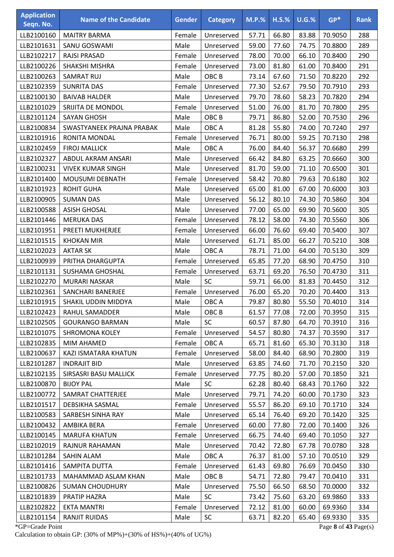| <b>Application</b><br>Seqn. No. | <b>Name of the Candidate</b> | <b>Gender</b> | <b>Category</b>  | $M.P.$ % | $H.S.\%$ | $U.G.\%$ | $GP*$   | <b>Rank</b> |
|---------------------------------|------------------------------|---------------|------------------|----------|----------|----------|---------|-------------|
| LLB2100160                      | <b>MAITRY BARMA</b>          | Female        | Unreserved       | 57.71    | 66.80    | 83.88    | 70.9050 | 288         |
| LLB2101631                      | SANU GOSWAMI                 | Male          | Unreserved       | 59.00    | 77.60    | 74.75    | 70.8800 | 289         |
| LLB2102217                      | <b>RAJSI PRASAD</b>          | Female        | Unreserved       | 78.00    | 70.00    | 66.10    | 70.8400 | 290         |
| LLB2100226                      | SHAKSHI MISHRA               | Female        | Unreserved       | 73.00    | 81.80    | 61.00    | 70.8400 | 291         |
| LLB2100263                      | <b>SAMRAT RUJ</b>            | Male          | OBC <sub>B</sub> | 73.14    | 67.60    | 71.50    | 70.8220 | 292         |
| LLB2102359                      | <b>SUNRITA DAS</b>           | Female        | Unreserved       | 77.30    | 52.67    | 79.50    | 70.7910 | 293         |
| LLB2100130                      | <b>BAIVAB HALDER</b>         | Male          | Unreserved       | 79.70    | 78.60    | 58.23    | 70.7820 | 294         |
| LLB2101029                      | SRIJITA DE MONDOL            | Female        | Unreserved       | 51.00    | 76.00    | 81.70    | 70.7800 | 295         |
| LLB2101124                      | <b>SAYAN GHOSH</b>           | Male          | OBC <sub>B</sub> | 79.71    | 86.80    | 52.00    | 70.7530 | 296         |
| LLB2100834                      | SWASTYANEEK PRAJNA PRABAK    | Male          | OBC A            | 81.28    | 55.80    | 74.00    | 70.7240 | 297         |
| LLB2101916                      | <b>RONITA MONDAL</b>         | Female        | Unreserved       | 76.71    | 80.00    | 59.25    | 70.7130 | 298         |
| LLB2102459                      | <b>FIROJ MALLICK</b>         | Male          | OBC A            | 76.00    | 84.40    | 56.37    | 70.6680 | 299         |
| LLB2102327                      | ABDUL AKRAM ANSARI           | Male          | Unreserved       | 66.42    | 84.80    | 63.25    | 70.6660 | 300         |
| LLB2100231                      | <b>VIVEK KUMAR SINGH</b>     | Male          | Unreserved       | 81.70    | 59.00    | 71.10    | 70.6500 | 301         |
| LLB2101400                      | MOUSUMI DEBNATH              | Female        | Unreserved       | 58.42    | 70.80    | 79.63    | 70.6180 | 302         |
| LLB2101923                      | <b>ROHIT GUHA</b>            | Male          | Unreserved       | 65.00    | 81.00    | 67.00    | 70.6000 | 303         |
| LLB2100905                      | <b>SUMAN DAS</b>             | Male          | Unreserved       | 56.12    | 80.10    | 74.30    | 70.5860 | 304         |
| LLB2100588                      | <b>ASISH GHOSAL</b>          | Male          | Unreserved       | 77.00    | 65.00    | 69.90    | 70.5600 | 305         |
| LLB2101446                      | <b>MERUKA DAS</b>            | Female        | Unreserved       | 78.12    | 58.00    | 74.30    | 70.5560 | 306         |
| LLB2101951                      | PREETI MUKHERJEE             | Female        | Unreserved       | 66.00    | 76.60    | 69.40    | 70.5400 | 307         |
| LLB2101515                      | <b>KHOKAN MIR</b>            | Male          | Unreserved       | 61.71    | 85.00    | 66.27    | 70.5210 | 308         |
| LLB2102023                      | <b>AKTAR SK</b>              | Male          | OBC A            | 78.71    | 71.00    | 64.00    | 70.5130 | 309         |
| LLB2100939                      | PRITHA DHARGUPTA             | Female        | Unreserved       | 65.85    | 77.20    | 68.90    | 70.4750 | 310         |
| LLB2101131                      | <b>SUSHAMA GHOSHAL</b>       | Female        | Unreserved       | 63.71    | 69.20    | 76.50    | 70.4730 | 311         |
| LLB2102270                      | MURARI NASKAR                | Male          | <b>SC</b>        | 59.71    | 66.00    | 81.83    | 70.4450 | 312         |
| LLB2102361                      | <b>SANCHARI BANERJEE</b>     | Female        | Unreserved       | 76.00    | 65.20    | 70.20    | 70.4400 | 313         |
| LLB2101915                      | SHAKIL UDDIN MIDDYA          | Male          | OBC A            | 79.87    | 80.80    | 55.50    | 70.4010 | 314         |
| LLB2102423                      | RAHUL SAMADDER               | Male          | OBC <sub>B</sub> | 61.57    | 77.08    | 72.00    | 70.3950 | 315         |
| LLB2102505                      | <b>GOURANGO BARMAN</b>       | Male          | <b>SC</b>        | 60.57    | 87.80    | 64.70    | 70.3910 | 316         |
| LLB2101075                      | <b>SHROMONA KOLEY</b>        | Female        | Unreserved       | 54.57    | 80.80    | 74.37    | 70.3590 | 317         |
| LLB2102835                      | MIM AHAMED                   | Female        | OBC A            | 65.71    | 81.60    | 65.30    | 70.3130 | 318         |
| LLB2100637                      | KAZI ISMATARA KHATUN         | Female        | Unreserved       | 58.00    | 84.40    | 68.90    | 70.2800 | 319         |
| LLB2101287                      | <b>INDRAJIT BID</b>          | Male          | Unreserved       | 63.85    | 74.60    | 71.70    | 70.2150 | 320         |
| LLB2102135                      | SIRSASRI BASU MALLICK        | Female        | Unreserved       | 77.75    | 80.20    | 57.00    | 70.1850 | 321         |
| LLB2100870                      | <b>BIJOY PAL</b>             | Male          | <b>SC</b>        | 62.28    | 80.40    | 68.43    | 70.1760 | 322         |
| LLB2100772                      | SAMRAT CHATTERJEE            | Male          | Unreserved       | 79.71    | 74.20    | 60.00    | 70.1730 | 323         |
| LLB2101517                      | DEBSIKHA SASMAL              | Female        | Unreserved       | 55.57    | 86.20    | 69.10    | 70.1710 | 324         |
| LLB2100583                      | SARBESH SINHA RAY            | Male          | Unreserved       | 65.14    | 76.40    | 69.20    | 70.1420 | 325         |
| LLB2100432                      | AMBIKA BERA                  | Female        | Unreserved       | 60.00    | 77.80    | 72.00    | 70.1400 | 326         |
| LLB2100145                      | <b>MARUFA KHATUN</b>         | Female        | Unreserved       | 66.75    | 74.40    | 69.40    | 70.1050 | 327         |
| LLB2102019                      | RAJNUR RAHAMAN               | Male          | Unreserved       | 70.42    | 72.80    | 67.78    | 70.0780 | 328         |
| LLB2101284                      | SAHIN ALAM                   | Male          | OBC A            | 76.37    | 81.00    | 57.10    | 70.0510 | 329         |
| LLB2101416                      | SAMPITA DUTTA                | Female        | Unreserved       | 61.43    | 69.80    | 76.69    | 70.0450 | 330         |
| LLB2101733                      | MAHAMMAD ASLAM KHAN          | Male          | OBC <sub>B</sub> | 54.71    | 72.80    | 79.47    | 70.0410 | 331         |
| LLB2100826                      | <b>SUMAN CHOUDHURY</b>       | Male          | Unreserved       | 75.50    | 66.50    | 68.50    | 70.0000 | 332         |
| LLB2101839                      | PRATIP HAZRA                 | Male          | <b>SC</b>        | 73.42    | 75.60    | 63.20    | 69.9860 | 333         |
| LLB2102822                      | <b>EKTA MANTRI</b>           | Female        | Unreserved       | 72.12    | 81.00    | 60.00    | 69.9360 | 334         |
| LLB2101154                      | <b>RANJIT RUIDAS</b>         | Male          | SC               | 63.71    | 82.20    | 65.40    | 69.9330 | 335         |

\*GP=Grade Point Page **8** of **43** Page(s) Calculation to obtain GP: (30% of MP%)+(30% of HS%)+(40% of UG%)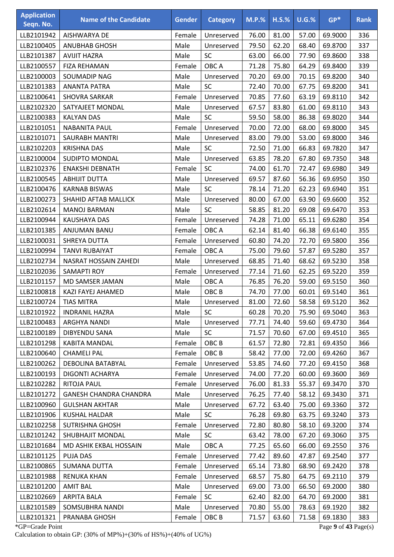| <b>Application</b><br>Seqn. No. | <b>Name of the Candidate</b>  | <b>Gender</b> | <b>Category</b>  | $M.P.$ % | $H.S.\%$ | $U.G.\%$ | $GP*$   | <b>Rank</b> |
|---------------------------------|-------------------------------|---------------|------------------|----------|----------|----------|---------|-------------|
| LLB2101942                      | AISHWARYA DE                  | Female        | Unreserved       | 76.00    | 81.00    | 57.00    | 69.9000 | 336         |
| LLB2100405                      | <b>ANUBHAB GHOSH</b>          | Male          | Unreserved       | 79.50    | 62.20    | 68.40    | 69.8700 | 337         |
| LLB2101387                      | <b>AVIJIT HAZRA</b>           | Male          | SC               | 63.00    | 66.00    | 77.90    | 69.8600 | 338         |
| LLB2100557                      | FIZA REHAMAN                  | Female        | OBC A            | 71.28    | 75.80    | 64.29    | 69.8400 | 339         |
| LLB2100003                      | SOUMADIP NAG                  | Male          | Unreserved       | 70.20    | 69.00    | 70.15    | 69.8200 | 340         |
| LLB2101383                      | <b>ANANTA PATRA</b>           | Male          | SC               | 72.40    | 70.00    | 67.75    | 69.8200 | 341         |
| LLB2100641                      | <b>SHOVRA SARKAR</b>          | Female        | Unreserved       | 70.85    | 77.60    | 63.19    | 69.8110 | 342         |
| LLB2102320                      | SATYAJEET MONDAL              | Male          | Unreserved       | 67.57    | 83.80    | 61.00    | 69.8110 | 343         |
| LLB2100383                      | <b>KALYAN DAS</b>             | Male          | SC               | 59.50    | 58.00    | 86.38    | 69.8020 | 344         |
| LLB2101051                      | <b>NABANITA PAUL</b>          | Female        | Unreserved       | 70.00    | 72.00    | 68.00    | 69.8000 | 345         |
| LLB2101071                      | <b>SAURABH MANTRI</b>         | Male          | Unreserved       | 83.00    | 79.00    | 53.00    | 69.8000 | 346         |
| LLB2102203                      | <b>KRISHNA DAS</b>            | Male          | SC               | 72.50    | 71.00    | 66.83    | 69.7820 | 347         |
| LLB2100004                      | <b>SUDIPTO MONDAL</b>         | Male          | Unreserved       | 63.85    | 78.20    | 67.80    | 69.7350 | 348         |
| LLB2102376                      | <b>ENAKSHI DEBNATH</b>        | Female        | SC               | 74.00    | 61.70    | 72.47    | 69.6980 | 349         |
| LLB2100545                      | <b>ABHIJIT DUTTA</b>          | Male          | Unreserved       | 69.57    | 87.60    | 56.36    | 69.6950 | 350         |
| LLB2100476                      | <b>KARNAB BISWAS</b>          | Male          | SC               | 78.14    | 71.20    | 62.23    | 69.6940 | 351         |
| LLB2100273                      | SHAHID AFTAB MALLICK          | Male          | Unreserved       | 80.00    | 67.00    | 63.90    | 69.6600 | 352         |
| LLB2102614                      | <b>MANOJ BARMAN</b>           | Male          | <b>SC</b>        | 58.85    | 81.20    | 69.08    | 69.6470 | 353         |
| LLB2100944                      | <b>KAUSHAYA DAS</b>           | Female        | Unreserved       | 74.28    | 71.00    | 65.11    | 69.6280 | 354         |
| LLB2101385                      | ANJUMAN BANU                  | Female        | OBC A            | 62.14    | 81.40    | 66.38    | 69.6140 | 355         |
| LLB2100031                      | SHREYA DUTTA                  | Female        | Unreserved       | 60.80    | 74.20    | 72.70    | 69.5800 | 356         |
| LLB2100994                      | <b>TANVI RUBAIYAT</b>         | Female        | OBC A            | 75.00    | 79.60    | 57.87    | 69.5280 | 357         |
| LLB2102734                      | NASRAT HOSSAIN ZAHEDI         | Male          | Unreserved       | 68.85    | 71.40    | 68.62    | 69.5230 | 358         |
| LLB2102036                      | <b>SAMAPTI ROY</b>            | Female        | Unreserved       | 77.14    | 71.60    | 62.25    | 69.5220 | 359         |
| LLB2101157                      | MD SAMSER JAMAN               | Male          | OBC A            | 76.85    | 76.20    | 59.00    | 69.5150 | 360         |
| LLB2100818                      | KAZI FAYEJ AHAMED             | Male          | OBC <sub>B</sub> | 74.70    | 77.00    | 60.01    | 69.5140 | 361         |
| LLB2100724                      | <b>TIAS MITRA</b>             | Male          | Unreserved       | 81.00    | 72.60    | 58.58    | 69.5120 | 362         |
| LLB2101922                      | <b>INDRANIL HAZRA</b>         | Male          | <b>SC</b>        | 60.28    | 70.20    | 75.90    | 69.5040 | 363         |
| LLB2100483                      | ARGHYA NANDI                  | Male          | Unreserved       | 77.71    | 74.40    | 59.60    | 69.4730 | 364         |
| LLB2100189                      | <b>DIBYENDU SANA</b>          | Male          | <b>SC</b>        | 71.57    | 70.60    | 67.00    | 69.4510 | 365         |
| LLB2101298                      | <b>KABITA MANDAL</b>          | Female        | OBC <sub>B</sub> | 61.57    | 72.80    | 72.81    | 69.4350 | 366         |
| LLB2100640                      | <b>CHAMELI PAL</b>            | Female        | OBC <sub>B</sub> | 58.42    | 77.00    | 72.00    | 69.4260 | 367         |
| LLB2100262                      | <b>DEBOLINA BATABYAL</b>      | Female        | Unreserved       | 53.85    | 74.60    | 77.20    | 69.4150 | 368         |
| LLB2100193                      | DIGONTI ACHARYA               | Female        | Unreserved       | 74.00    | 77.20    | 60.00    | 69.3600 | 369         |
| LLB2102282                      | RITOJA PAUL                   | Female        | Unreserved       | 76.00    | 81.33    | 55.37    | 69.3470 | 370         |
| LLB2101272                      | <b>GANESH CHANDRA CHANDRA</b> | Male          | Unreserved       | 76.25    | 77.40    | 58.12    | 69.3430 | 371         |
| LLB2100960                      | <b>GULSHAN AKHTAR</b>         | Male          | Unreserved       | 67.72    | 63.40    | 75.00    | 69.3360 | 372         |
| LLB2101906                      | <b>KUSHAL HALDAR</b>          | Male          | SC               | 76.28    | 69.80    | 63.75    | 69.3240 | 373         |
| LLB2102258                      | <b>SUTRISHNA GHOSH</b>        | Female        | Unreserved       | 72.80    | 80.80    | 58.10    | 69.3200 | 374         |
| LLB2101242                      | SHUBHAJIT MONDAL              | Male          | <b>SC</b>        | 63.42    | 78.00    | 67.20    | 69.3060 | 375         |
| LLB2101684                      | MD ASHIK EKBAL HOSSAIN        | Male          | OBC A            | 77.25    | 65.60    | 66.00    | 69.2550 | 376         |
| LLB2101125                      | <b>PUJA DAS</b>               | Female        | Unreserved       | 77.42    | 89.60    | 47.87    | 69.2540 | 377         |
| LLB2100865                      | <b>SUMANA DUTTA</b>           | Female        | Unreserved       | 65.14    | 73.80    | 68.90    | 69.2420 | 378         |
| LLB2101988                      | <b>RENUKA KHAN</b>            | Female        | Unreserved       | 68.57    | 75.80    | 64.75    | 69.2110 | 379         |
| LLB2101200                      | <b>AMIT BAL</b>               | Male          | Unreserved       | 69.00    | 73.00    | 66.50    | 69.2000 | 380         |
| LLB2102669                      | <b>ARPITA BALA</b>            | Female        | <b>SC</b>        | 62.40    | 82.00    | 64.70    | 69.2000 | 381         |
| LLB2101589                      | SOMSUBHRA NANDI               | Male          | Unreserved       | 70.80    | 55.00    | 78.63    | 69.1920 | 382         |
| LLB2101321                      | PRANABA GHOSH                 | Female        | OBC <sub>B</sub> | 71.57    | 63.60    | 71.58    | 69.1830 | 383         |

\*GP=Grade Point Page **9** of **43** Page(s) Calculation to obtain GP: (30% of MP%)+(30% of HS%)+(40% of UG%)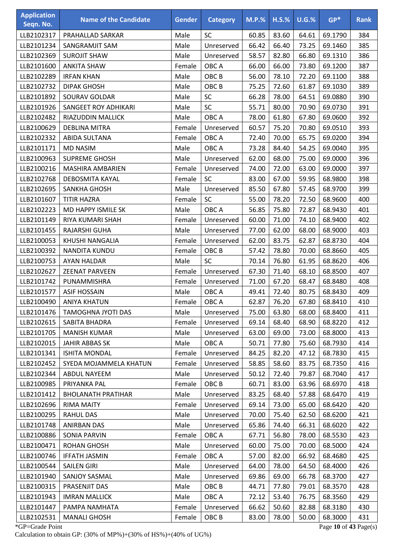| <b>Application</b><br>Seqn. No. | <b>Name of the Candidate</b> | <b>Gender</b> | <b>Category</b>  | <b>M.P.%</b> | $H.S.\%$ | $U.G.\%$ | $GP*$   | <b>Rank</b> |
|---------------------------------|------------------------------|---------------|------------------|--------------|----------|----------|---------|-------------|
| LLB2102317                      | PRAHALLAD SARKAR             | Male          | SC               | 60.85        | 83.60    | 64.61    | 69.1790 | 384         |
| LLB2101234                      | SANGRAMJIT SAM               | Male          | Unreserved       | 66.42        | 66.40    | 73.25    | 69.1460 | 385         |
| LLB2102369                      | <b>SUROJIT SHAW</b>          | Male          | Unreserved       | 58.57        | 82.80    | 66.80    | 69.1310 | 386         |
| LLB2101600                      | <b>ANKITA SHAW</b>           | Female        | OBC A            | 66.00        | 66.00    | 73.80    | 69.1200 | 387         |
| LLB2102289                      | <b>IRFAN KHAN</b>            | Male          | OBC <sub>B</sub> | 56.00        | 78.10    | 72.20    | 69.1100 | 388         |
| LLB2102732                      | <b>DIPAK GHOSH</b>           | Male          | OBC <sub>B</sub> | 75.25        | 72.60    | 61.87    | 69.1030 | 389         |
| LLB2101892                      | SOURAV GOLDAR                | Male          | SC               | 66.28        | 78.00    | 64.51    | 69.0880 | 390         |
| LLB2101926                      | SANGEET ROY ADHIKARI         | Male          | SC               | 55.71        | 80.00    | 70.90    | 69.0730 | 391         |
| LLB2102482                      | RIAZUDDIN MALLICK            | Male          | OBC A            | 78.00        | 61.80    | 67.80    | 69.0600 | 392         |
| LLB2100629                      | <b>DEBLINA MITRA</b>         | Female        | Unreserved       | 60.57        | 75.20    | 70.80    | 69.0510 | 393         |
| LLB2102332                      | <b>ABIDA SULTANA</b>         | Female        | OBC A            | 72.40        | 70.00    | 65.75    | 69.0200 | 394         |
| LLB2101171                      | <b>MD NASIM</b>              | Male          | OBC A            | 73.28        | 84.40    | 54.25    | 69.0040 | 395         |
| LLB2100963                      | <b>SUPREME GHOSH</b>         | Male          | Unreserved       | 62.00        | 68.00    | 75.00    | 69.0000 | 396         |
| LLB2100216                      | MASHIRA AMBARIEN             | Female        | Unreserved       | 74.00        | 72.00    | 63.00    | 69.0000 | 397         |
| LLB2102768                      | <b>DEBOSMITA KAYAL</b>       | Female        | <b>SC</b>        | 83.00        | 67.00    | 59.95    | 68.9800 | 398         |
| LLB2102695                      | SANKHA GHOSH                 | Male          | Unreserved       | 85.50        | 67.80    | 57.45    | 68.9700 | 399         |
| LLB2101607                      | <b>TITIR HAZRA</b>           | Female        | SC               | 55.00        | 78.20    | 72.50    | 68.9600 | 400         |
| LLB2102223                      | MD HAPPY ISMILE SK           | Male          | OBC A            | 56.85        | 75.80    | 72.87    | 68.9430 | 401         |
| LLB2101149                      | RIYA KUMARI SHAH             | Female        | Unreserved       | 60.00        | 71.00    | 74.10    | 68.9400 | 402         |
| LLB2101455                      | RAJARSHI GUHA                | Male          | Unreserved       | 77.00        | 62.00    | 68.00    | 68.9000 | 403         |
| LLB2100053                      | KHUSHI NANGALIA              | Female        | Unreserved       | 62.00        | 83.75    | 62.87    | 68.8730 | 404         |
| LLB2100392                      | NANDITA KUNDU                | Female        | OBC <sub>B</sub> | 57.42        | 78.80    | 70.00    | 68.8660 | 405         |
| LLB2100753                      | <b>AYAN HALDAR</b>           | Male          | SC               | 70.14        | 76.80    | 61.95    | 68.8620 | 406         |
| LLB2102627                      | <b>ZEENAT PARVEEN</b>        | Female        | Unreserved       | 67.30        | 71.40    | 68.10    | 68.8500 | 407         |
| LLB2101742                      | PUNAMMISHRA                  | Female        | Unreserved       | 71.00        | 67.20    | 68.47    | 68.8480 | 408         |
| LLB2101577                      | <b>ASIF HOSSAIN</b>          | Male          | OBC A            | 49.41        | 72.40    | 80.75    | 68.8430 | 409         |
| LLB2100490                      | <b>ANIYA KHATUN</b>          | Female        | OBC A            | 62.87        | 76.20    | 67.80    | 68.8410 | 410         |
| LLB2101476                      | TAMOGHNA JYOTI DAS           | Male          | Unreserved       | 75.00        | 63.80    | 68.00    | 68.8400 | 411         |
| LLB2102615                      | SABITA BHADRA                | Female        | Unreserved       | 69.14        | 68.40    | 68.90    | 68.8220 | 412         |
| LLB2101705                      | <b>MANISH KUMAR</b>          | Male          | Unreserved       | 63.00        | 69.00    | 73.00    | 68.8000 | 413         |
| LLB2102015                      | <b>JAHIR ABBAS SK</b>        | Male          | OBC A            | 50.71        | 77.80    | 75.60    | 68.7930 | 414         |
| LLB2101341                      | <b>ISHITA MONDAL</b>         | Female        | Unreserved       | 84.25        | 82.20    | 47.12    | 68.7830 | 415         |
| LLB2102452                      | SYEDA MOJAMMELA KHATUN       | Female        | Unreserved       | 58.85        | 58.60    | 83.75    | 68.7350 | 416         |
| LLB2102344                      | <b>ABDUL NAYEEM</b>          | Male          | Unreserved       | 50.12        | 72.40    | 79.87    | 68.7040 | 417         |
| LLB2100985                      | PRIYANKA PAL                 | Female        | OBC <sub>B</sub> | 60.71        | 83.00    | 63.96    | 68.6970 | 418         |
| LLB2101412                      | <b>BHOLANATH PRATIHAR</b>    | Male          | Unreserved       | 83.25        | 68.40    | 57.88    | 68.6470 | 419         |
| LLB2102696                      | <b>RIMA MAITY</b>            | Female        | Unreserved       | 69.14        | 73.00    | 65.00    | 68.6420 | 420         |
| LLB2100295                      | <b>RAHUL DAS</b>             | Male          | Unreserved       | 70.00        | 75.40    | 62.50    | 68.6200 | 421         |
| LLB2101748                      | ANIRBAN DAS                  | Male          | Unreserved       | 65.86        | 74.40    | 66.31    | 68.6020 | 422         |
| LLB2100886                      | SONIA PARVIN                 | Female        | OBC A            | 67.71        | 56.80    | 78.00    | 68.5530 | 423         |
| LLB2100471                      | <b>ROHAN GHOSH</b>           | Male          | Unreserved       | 60.00        | 75.00    | 70.00    | 68.5000 | 424         |
| LLB2100746                      | <b>IFFATH JASMIN</b>         | Female        | OBC A            | 57.00        | 82.00    | 66.92    | 68.4680 | 425         |
| LLB2100544                      | <b>SAILEN GIRI</b>           | Male          | Unreserved       | 64.00        | 78.00    | 64.50    | 68.4000 | 426         |
| LLB2101940                      | SANJOY SASMAL                | Male          | Unreserved       | 69.86        | 69.00    | 66.78    | 68.3700 | 427         |
| LLB2100315                      | PRASENJIT DAS                | Male          | OBC <sub>B</sub> | 44.71        | 77.80    | 79.01    | 68.3570 | 428         |
| LLB2101943                      | <b>IMRAN MALLICK</b>         | Male          | OBC A            | 72.12        | 53.40    | 76.75    | 68.3560 | 429         |
| LLB2101447                      | PAMPA NAMHATA                | Female        | Unreserved       | 66.62        | 50.60    | 82.88    | 68.3180 | 430         |
| LLB2102531                      | <b>MANALI GHOSH</b>          | Female        | OBC <sub>B</sub> | 83.00        | 78.00    | 50.00    | 68.3000 | 431         |

\*GP=Grade Point Page **10** of **43** Page(s) Calculation to obtain GP: (30% of MP%)+(30% of HS%)+(40% of UG%)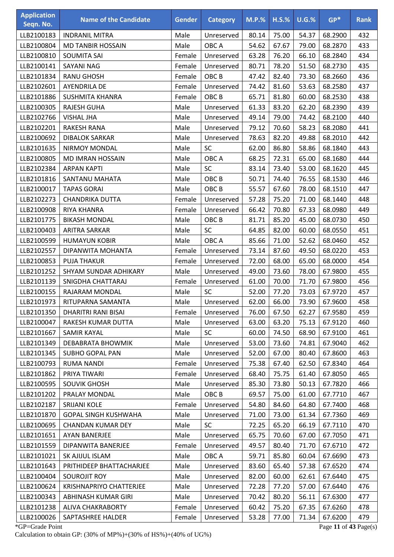| <b>Application</b><br>Seqn. No. | <b>Name of the Candidate</b>   | <b>Gender</b> | <b>Category</b>  | <b>M.P.%</b> | $H.S.\%$ | $U.G.\%$ | $GP*$   | <b>Rank</b> |
|---------------------------------|--------------------------------|---------------|------------------|--------------|----------|----------|---------|-------------|
| LLB2100183                      | <b>INDRANIL MITRA</b>          | Male          | Unreserved       | 80.14        | 75.00    | 54.37    | 68.2900 | 432         |
| LLB2100804                      | <b>MD TANBIR HOSSAIN</b>       | Male          | OBC A            | 54.62        | 67.67    | 79.00    | 68.2870 | 433         |
| LLB2100810                      | <b>SOUMITA SAI</b>             | Female        | Unreserved       | 63.28        | 76.20    | 66.10    | 68.2840 | 434         |
| LLB2100141                      | SAYANI NAG                     | Female        | Unreserved       | 80.71        | 78.20    | 51.50    | 68.2730 | 435         |
| LLB2101834                      | <b>RANU GHOSH</b>              | Female        | OBC <sub>B</sub> | 47.42        | 82.40    | 73.30    | 68.2660 | 436         |
| LLB2102601                      | <b>AYENDRILA DE</b>            | Female        | Unreserved       | 74.42        | 81.60    | 53.63    | 68.2580 | 437         |
| LLB2101886                      | <b>SUSHMITA KHANRA</b>         | Female        | OBC <sub>B</sub> | 65.71        | 81.80    | 60.00    | 68.2530 | 438         |
| LLB2100305                      | RAJESH GUHA                    | Male          | Unreserved       | 61.33        | 83.20    | 62.20    | 68.2390 | 439         |
| LLB2102766                      | <b>VISHAL JHA</b>              | Male          | Unreserved       | 49.14        | 79.00    | 74.42    | 68.2100 | 440         |
| LLB2102201                      | <b>RAKESH RANA</b>             | Male          | Unreserved       | 79.12        | 70.60    | 58.23    | 68.2080 | 441         |
| LLB2100692                      | <b>DIBALOK SARKAR</b>          | Male          | Unreserved       | 78.63        | 82.20    | 49.88    | 68.2010 | 442         |
| LLB2101635                      | <b>NIRMOY MONDAL</b>           | Male          | <b>SC</b>        | 62.00        | 86.80    | 58.86    | 68.1840 | 443         |
| LLB2100805                      | <b>MD IMRAN HOSSAIN</b>        | Male          | OBC A            | 68.25        | 72.31    | 65.00    | 68.1680 | 444         |
| LLB2102384                      | <b>ARPAN KAPTI</b>             | Male          | SC               | 83.14        | 73.40    | 53.00    | 68.1620 | 445         |
| LLB2101816                      | SANTANU MAHATA                 | Male          | OBC <sub>B</sub> | 50.71        | 74.40    | 76.55    | 68.1530 | 446         |
| LLB2100017                      | <b>TAPAS GORAI</b>             | Male          | OBC <sub>B</sub> | 55.57        | 67.60    | 78.00    | 68.1510 | 447         |
| LLB2102273                      | <b>CHANDRIKA DUTTA</b>         | Female        | Unreserved       | 57.28        | 75.20    | 71.00    | 68.1440 | 448         |
| LLB2100908                      | RIYA KHANRA                    | Female        | Unreserved       | 66.42        | 70.80    | 67.33    | 68.0980 | 449         |
| LLB2101775                      | <b>BIKASH MONDAL</b>           | Male          | OBC <sub>B</sub> | 81.71        | 85.20    | 45.00    | 68.0730 | 450         |
| LLB2100403                      | <b>ARITRA SARKAR</b>           | Male          | SC               | 64.85        | 82.00    | 60.00    | 68.0550 | 451         |
| LLB2100599                      | <b>HUMAYUN KOBIR</b>           | Male          | OBC A            | 85.66        | 71.00    | 52.62    | 68.0460 | 452         |
| LLB2102557                      | DIPANWITA MOHANTA              | Female        | Unreserved       | 73.14        | 87.60    | 49.50    | 68.0220 | 453         |
| LLB2100853                      | <b>PUJA THAKUR</b>             | Female        | Unreserved       | 72.00        | 68.00    | 65.00    | 68.0000 | 454         |
| LLB2101252                      | SHYAM SUNDAR ADHIKARY          | Male          | Unreserved       | 49.00        | 73.60    | 78.00    | 67.9800 | 455         |
| LLB2101139                      | SNIGDHA CHATTARAJ              | Female        | Unreserved       | 61.00        | 70.00    | 71.70    | 67.9800 | 456         |
| LLB2100155                      | RAJARAM MONDAL                 | Male          | SC               | 52.00        | 77.20    | 73.03    | 67.9720 | 457         |
| LLB2101973                      | RITUPARNA SAMANTA              | Male          | Unreserved       | 62.00        | 66.00    | 73.90    | 67.9600 | 458         |
| LLB2101350                      | <b>DHARITRI RANI BISAI</b>     | Female        | Unreserved       | 76.00        | 67.50    | 62.27    | 67.9580 | 459         |
| LLB2100047                      | RAKESH KUMAR DUTTA             | Male          | Unreserved       | 63.00        | 63.20    | 75.13    | 67.9120 | 460         |
| LLB2101667                      | <b>SAMIR KAYAL</b>             | Male          | <b>SC</b>        | 60.00        | 74.50    | 68.90    | 67.9100 | 461         |
| LLB2101349                      | <b>DEBABRATA BHOWMIK</b>       | Male          | Unreserved       | 53.00        | 73.60    | 74.81    | 67.9040 | 462         |
| LLB2101345                      | SUBHO GOPAL PAN                | Male          | Unreserved       | 52.00        | 67.00    | 80.40    | 67.8600 | 463         |
| LLB2100793                      | <b>RUMA NANDI</b>              | Female        | Unreserved       | 75.38        | 67.40    | 62.50    | 67.8340 | 464         |
| LLB2101862                      | PRIYA TIWARI                   | Female        | Unreserved       | 68.40        | 75.75    | 61.40    | 67.8050 | 465         |
| LLB2100595                      | <b>SOUVIK GHOSH</b>            | Male          | Unreserved       | 85.30        | 73.80    | 50.13    | 67.7820 | 466         |
| LLB2101202                      | PRALAY MONDAL                  | Male          | OBC <sub>B</sub> | 69.57        | 75.00    | 61.00    | 67.7710 | 467         |
| LLB2102187                      | <b>SRIJANI KOLE</b>            | Female        | Unreserved       | 54.80        | 84.60    | 64.80    | 67.7400 | 468         |
| LLB2101870                      | <b>GOPAL SINGH KUSHWAHA</b>    | Male          | Unreserved       | 71.00        | 73.00    | 61.34    | 67.7360 | 469         |
| LLB2100695                      | <b>CHANDAN KUMAR DEY</b>       | Male          | <b>SC</b>        | 72.25        | 65.20    | 66.19    | 67.7110 | 470         |
| LLB2101651                      | AYAN BANERJEE                  | Male          | Unreserved       | 65.75        | 70.60    | 67.00    | 67.7050 | 471         |
| LLB2101559                      | DIPANWITA BANERJEE             | Female        | Unreserved       | 49.57        | 80.40    | 71.70    | 67.6710 | 472         |
| LLB2101021                      | SK AJIJUL ISLAM                | Male          | OBC A            | 59.71        | 85.80    | 60.04    | 67.6690 | 473         |
| LLB2101643                      | PRITHIDEEP BHATTACHARJEE       | Male          | Unreserved       | 83.60        | 65.40    | 57.38    | 67.6520 | 474         |
| LLB2100404                      | SOUROJIT ROY                   | Male          | Unreserved       | 82.00        | 60.00    | 62.61    | 67.6440 | 475         |
| LLB2100624                      | <b>KRISHNAPRIYO CHATTERJEE</b> | Male          | Unreserved       | 72.28        | 77.20    | 57.00    | 67.6440 | 476         |
| LLB2100343                      | ABHINASH KUMAR GIRI            | Male          | Unreserved       | 70.42        | 80.20    | 56.11    | 67.6300 | 477         |
| LLB2101238                      | ALIVA CHAKRABORTY              | Female        | Unreserved       | 60.42        | 75.20    | 67.35    | 67.6260 | 478         |
| LLB2100026                      | SAPTASHREE HALDER              | Female        | Unreserved       | 53.28        | 77.00    | 71.34    | 67.6200 | 479         |

\*GP=Grade Point Page **11** of **43** Page(s) Calculation to obtain GP: (30% of MP%)+(30% of HS%)+(40% of UG%)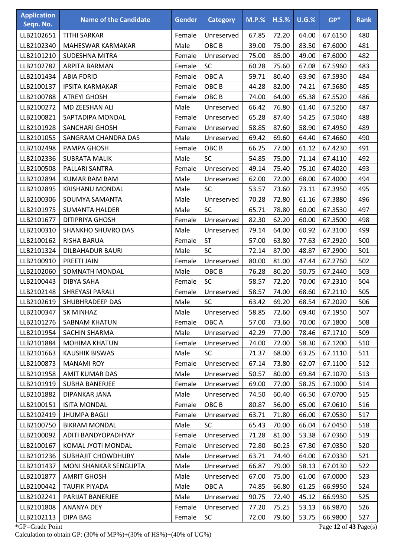| <b>Application</b><br>Seqn. No. | <b>Name of the Candidate</b> | <b>Gender</b> | <b>Category</b>  | <b>M.P.%</b> | $H.S.\%$ | $U.G.$ % | $GP*$   | <b>Rank</b> |
|---------------------------------|------------------------------|---------------|------------------|--------------|----------|----------|---------|-------------|
| LLB2102651                      | <b>TITHI SARKAR</b>          | Female        | Unreserved       | 67.85        | 72.20    | 64.00    | 67.6150 | 480         |
| LLB2102340                      | <b>MAHESWAR KARMAKAR</b>     | Male          | OBC <sub>B</sub> | 39.00        | 75.00    | 83.50    | 67.6000 | 481         |
| LLB2101210                      | SUDESHNA MITRA               | Female        | Unreserved       | 75.00        | 85.00    | 49.00    | 67.6000 | 482         |
| LLB2102782                      | ARPITA BARMAN                | Female        | SC               | 60.28        | 75.60    | 67.08    | 67.5960 | 483         |
| LLB2101434                      | <b>ABIA FORID</b>            | Female        | OBC A            | 59.71        | 80.40    | 63.90    | 67.5930 | 484         |
| LLB2100137                      | <b>IPSITA KARMAKAR</b>       | Female        | OBC <sub>B</sub> | 44.28        | 82.00    | 74.21    | 67.5680 | 485         |
| LLB2100788                      | <b>ATREYI GHOSH</b>          | Female        | OBC <sub>B</sub> | 74.00        | 64.00    | 65.38    | 67.5520 | 486         |
| LLB2100272                      | MD ZEESHAN ALI               | Male          | Unreserved       | 66.42        | 76.80    | 61.40    | 67.5260 | 487         |
| LLB2100821                      | SAPTADIPA MONDAL             | Female        | Unreserved       | 65.28        | 87.40    | 54.25    | 67.5040 | 488         |
| LLB2101928                      | <b>SANCHARI GHOSH</b>        | Female        | Unreserved       | 58.85        | 87.60    | 58.90    | 67.4950 | 489         |
| LLB2101055                      | SANGRAM CHANDRA DAS          | Male          | Unreserved       | 69.42        | 69.60    | 64.40    | 67.4660 | 490         |
| LLB2102498                      | PAMPA GHOSH                  | Female        | OBC <sub>B</sub> | 66.25        | 77.00    | 61.12    | 67.4230 | 491         |
| LLB2102336                      | <b>SUBRATA MALIK</b>         | Male          | SC               | 54.85        | 75.00    | 71.14    | 67.4110 | 492         |
| LLB2100508                      | PALLARI SANTRA               | Female        | Unreserved       | 49.14        | 75.40    | 75.10    | 67.4020 | 493         |
| LLB2102894                      | <b>KUMAR BAM BAM</b>         | Male          | Unreserved       | 62.00        | 72.00    | 68.00    | 67.4000 | 494         |
| LLB2102895                      | <b>KRISHANU MONDAL</b>       | Male          | SC               | 53.57        | 73.60    | 73.11    | 67.3950 | 495         |
| LLB2100306                      | SOUMYA SAMANTA               | Male          | Unreserved       | 70.28        | 72.80    | 61.16    | 67.3880 | 496         |
| LLB2101975                      | <b>SUMANTA HALDER</b>        | Male          | <b>SC</b>        | 65.71        | 78.80    | 60.00    | 67.3530 | 497         |
| LLB2101677                      | <b>DITIPRIYA GHOSH</b>       | Female        | Unreserved       | 82.30        | 62.20    | 60.00    | 67.3500 | 498         |
| LLB2100310                      | SHANKHO SHUVRO DAS           | Male          | Unreserved       | 79.14        | 64.00    | 60.92    | 67.3100 | 499         |
| LLB2100162                      | RISHA BARUA                  | Female        | ST               | 57.00        | 63.80    | 77.63    | 67.2920 | 500         |
| LLB2101324                      | <b>DILBAHADUR BAURI</b>      | Male          | SC               | 72.14        | 87.00    | 48.87    | 67.2900 | 501         |
| LLB2100910                      | <b>PREETI JAIN</b>           | Female        | Unreserved       | 80.00        | 81.00    | 47.44    | 67.2760 | 502         |
| LLB2102060                      | SOMNATH MONDAL               | Male          | OBC <sub>B</sub> | 76.28        | 80.20    | 50.75    | 67.2440 | 503         |
| LLB2100443                      | DIBYA SAHA                   | Female        | <b>SC</b>        | 58.57        | 72.20    | 70.00    | 67.2310 | 504         |
| LLB2102148                      | SHREYASI PARALI              | Female        | Unreserved       | 58.57        | 74.00    | 68.60    | 67.2110 | 505         |
| LLB2102619                      | SHUBHRADEEP DAS              | Male          | SC               | 63.42        | 69.20    | 68.54    | 67.2020 | 506         |
| LLB2100347                      | SK MINHAZ                    | Male          | Unreserved       | 58.85        | 72.60    | 69.40    | 67.1950 | 507         |
| LLB2101276                      | <b>SABNAM KHATUN</b>         | Female        | OBC A            | 57.00        | 73.60    | 70.00    | 67.1800 | 508         |
| LLB2101954                      | SACHIN SHARMA                | Male          | Unreserved       | 42.29        | 77.00    | 78.46    | 67.1710 | 509         |
| LLB2101884                      | <b>MOHIMA KHATUN</b>         | Female        | Unreserved       | 74.00        | 72.00    | 58.30    | 67.1200 | 510         |
| LLB2101663                      | <b>KAUSHIK BISWAS</b>        | Male          | <b>SC</b>        | 71.37        | 68.00    | 63.25    | 67.1110 | 511         |
| LLB2100873                      | <b>MANAMI ROY</b>            | Female        | Unreserved       | 67.14        | 73.80    | 62.07    | 67.1100 | 512         |
| LLB2101958                      | <b>AMIT KUMAR DAS</b>        | Male          | Unreserved       | 50.57        | 80.00    | 69.84    | 67.1070 | 513         |
| LLB2101919                      | <b>SUBHA BANERJEE</b>        | Female        | Unreserved       | 69.00        | 77.00    | 58.25    | 67.1000 | 514         |
| LLB2101882                      | DIPANKAR JANA                | Male          | Unreserved       | 74.50        | 60.40    | 66.50    | 67.0700 | 515         |
| LLB2100151                      | <b>ISITA MONDAL</b>          | Female        | OBC <sub>B</sub> | 80.87        | 56.00    | 65.00    | 67.0610 | 516         |
| LLB2102419                      | <b>JHUMPA BAGLI</b>          | Female        | Unreserved       | 63.71        | 71.80    | 66.00    | 67.0530 | 517         |
| LLB2100750                      | <b>BIKRAM MONDAL</b>         | Male          | <b>SC</b>        | 65.43        | 70.00    | 66.04    | 67.0450 | 518         |
| LLB2100092                      | ADITI BANDYOPADHYAY          | Female        | Unreserved       | 71.28        | 81.00    | 53.38    | 67.0360 | 519         |
| LLB2100167                      | KOMAL JYOTI MONDAL           | Female        | Unreserved       | 72.80        | 60.25    | 67.80    | 67.0350 | 520         |
| LLB2101236                      | <b>SUBHAJIT CHOWDHURY</b>    | Male          | Unreserved       | 63.71        | 74.40    | 64.00    | 67.0330 | 521         |
| LLB2101437                      | MONI SHANKAR SENGUPTA        | Male          | Unreserved       | 66.87        | 79.00    | 58.13    | 67.0130 | 522         |
| LLB2101877                      | <b>AMRIT GHOSH</b>           | Male          | Unreserved       | 67.00        | 75.00    | 61.00    | 67.0000 | 523         |
| LLB2100442                      | <b>TAUFIK PIYADA</b>         | Male          | OBC A            | 74.85        | 66.80    | 61.25    | 66.9950 | 524         |
| LLB2102241                      | PARIJAT BANERJEE             | Male          | Unreserved       | 90.75        | 72.40    | 45.12    | 66.9930 | 525         |
| LLB2101808                      | <b>ANANYA DEY</b>            | Female        | Unreserved       | 77.20        | 75.25    | 53.13    | 66.9870 | 526         |
| LLB2102113                      | <b>DIPA BAG</b>              | Female        | SC               | 72.00        | 79.60    | 53.75    | 66.9800 | 527         |
|                                 |                              |               |                  |              |          |          |         |             |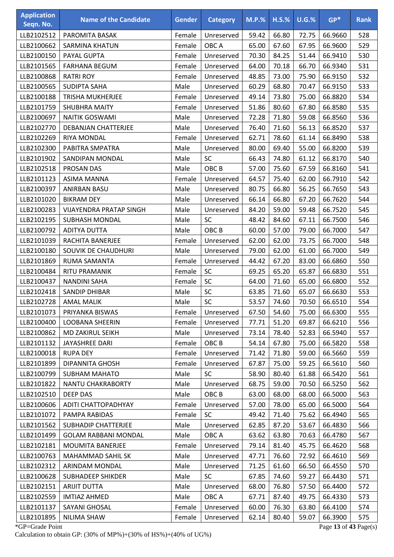| <b>Application</b><br>Seqn. No. | <b>Name of the Candidate</b>   | <b>Gender</b> | <b>Category</b>  | $M.P.$ % | $H.S.\%$ | $U.G.\%$ | $GP*$   | <b>Rank</b> |
|---------------------------------|--------------------------------|---------------|------------------|----------|----------|----------|---------|-------------|
| LLB2102512                      | PAROMITA BASAK                 | Female        | Unreserved       | 59.42    | 66.80    | 72.75    | 66.9660 | 528         |
| LLB2100662                      | <b>SARMINA KHATUN</b>          | Female        | OBC A            | 65.00    | 67.60    | 67.95    | 66.9600 | 529         |
| LLB2100150                      | PAYAL GUPTA                    | Female        | Unreserved       | 70.30    | 84.25    | 51.44    | 66.9410 | 530         |
| LLB2101565                      | <b>FARHANA BEGUM</b>           | Female        | Unreserved       | 64.00    | 70.18    | 66.70    | 66.9340 | 531         |
| LLB2100868                      | <b>RATRI ROY</b>               | Female        | Unreserved       | 48.85    | 73.00    | 75.90    | 66.9150 | 532         |
| LLB2100565                      | <b>SUDIPTA SAHA</b>            | Male          | Unreserved       | 60.29    | 68.80    | 70.47    | 66.9150 | 533         |
| LLB2100188                      | <b>TRISHA MUKHERJEE</b>        | Female        | Unreserved       | 49.14    | 73.80    | 75.00    | 66.8820 | 534         |
| LLB2101759                      | <b>SHUBHRA MAITY</b>           | Female        | Unreserved       | 51.86    | 80.60    | 67.80    | 66.8580 | 535         |
| LLB2100697                      | <b>NAITIK GOSWAMI</b>          | Male          | Unreserved       | 72.28    | 71.80    | 59.08    | 66.8560 | 536         |
| LLB2102770                      | DEBANJAN CHATTERJEE            | Male          | Unreserved       | 76.40    | 71.60    | 56.13    | 66.8520 | 537         |
| LLB2102269                      | RIYA MONDAL                    | Female        | Unreserved       | 62.71    | 78.60    | 61.14    | 66.8490 | 538         |
| LLB2102300                      | PABITRA SMPATRA                | Male          | Unreserved       | 80.00    | 69.40    | 55.00    | 66.8200 | 539         |
| LLB2101902                      | SANDIPAN MONDAL                | Male          | <b>SC</b>        | 66.43    | 74.80    | 61.12    | 66.8170 | 540         |
| LLB2102518                      | PROSAN DAS                     | Male          | OBC <sub>B</sub> | 57.00    | 75.60    | 67.59    | 66.8160 | 541         |
| LLB2101123                      | ASIMA MANNA                    | Female        | Unreserved       | 64.57    | 75.40    | 62.00    | 66.7910 | 542         |
| LLB2100397                      | <b>ANIRBAN BASU</b>            | Male          | Unreserved       | 80.75    | 66.80    | 56.25    | 66.7650 | 543         |
| LLB2101020                      | <b>BIKRAM DEY</b>              | Male          | Unreserved       | 66.14    | 66.80    | 67.20    | 66.7620 | 544         |
| LLB2100283                      | <b>VIJAYENDRA PRATAP SINGH</b> | Male          | Unreserved       | 84.20    | 59.00    | 59.48    | 66.7520 | 545         |
| LLB2102195                      | <b>SUBHASH MONDAL</b>          | Male          | SC               | 48.42    | 84.60    | 67.11    | 66.7500 | 546         |
| LLB2100792                      | ADITYA DUTTA                   | Male          | OBC <sub>B</sub> | 60.00    | 57.00    | 79.00    | 66.7000 | 547         |
| LLB2101039                      | RACHITA BANERJEE               | Female        | Unreserved       | 62.00    | 62.00    | 73.75    | 66.7000 | 548         |
| LLB2100180                      | SOUVIK DE CHAUDHURI            | Male          | Unreserved       | 79.00    | 62.00    | 61.00    | 66.7000 | 549         |
| LLB2101869                      | RUMA SAMANTA                   | Female        | Unreserved       | 44.42    | 67.20    | 83.00    | 66.6860 | 550         |
| LLB2100484                      | RITU PRAMANIK                  | Female        | <b>SC</b>        | 69.25    | 65.20    | 65.87    | 66.6830 | 551         |
| LLB2100437                      | <b>NANDINI SAHA</b>            | Female        | SC               | 64.00    | 71.60    | 65.00    | 66.6800 | 552         |
| LLB2102418                      | <b>SANDIP DHIBAR</b>           | Male          | SC               | 63.85    | 71.60    | 65.07    | 66.6630 | 553         |
| LLB2102728                      | <b>AMAL MALIK</b>              | Male          | SC               | 53.57    | 74.60    | 70.50    | 66.6510 | 554         |
| LLB2101073                      | PRIYANKA BISWAS                | Female        | Unreserved       | 67.50    | 54.60    | 75.00    | 66.6300 | 555         |
| LLB2100400                      | LOOBANA SHEERIN                | Female        | Unreserved       | 77.71    | 51.20    | 69.87    | 66.6210 | 556         |
| LLB2100862                      | MD ZAKIRUL SEIKH               | Male          | Unreserved       | 73.14    | 78.40    | 52.83    | 66.5940 | 557         |
| LLB2101132                      | JAYASHREE DARI                 | Female        | OBC <sub>B</sub> | 54.14    | 67.80    | 75.00    | 66.5820 | 558         |
| LLB2100018                      | <b>RUPA DEY</b>                | Female        | Unreserved       | 71.42    | 71.80    | 59.00    | 66.5660 | 559         |
| LLB2101899                      | <b>DIPANNITA GHOSH</b>         | Female        | Unreserved       | 67.87    | 75.00    | 59.25    | 66.5610 | 560         |
| LLB2100799                      | <b>SUBHAM MAHATO</b>           | Male          | <b>SC</b>        | 58.90    | 80.40    | 61.88    | 66.5420 | 561         |
| LLB2101822                      | NANTU CHAKRABORTY              | Male          | Unreserved       | 68.75    | 59.00    | 70.50    | 66.5250 | 562         |
| LLB2102510                      | DEEP DAS                       | Male          | OBC <sub>B</sub> | 63.00    | 68.00    | 68.00    | 66.5000 | 563         |
| LLB2100606                      | ADITI CHATTOPADHYAY            | Female        | Unreserved       | 57.00    | 78.00    | 65.00    | 66.5000 | 564         |
| LLB2101072                      | PAMPA RABIDAS                  | Female        | SC               | 49.42    | 71.40    | 75.62    | 66.4940 | 565         |
| LLB2101562                      | <b>SUBHADIP CHATTERJEE</b>     | Male          | Unreserved       | 62.85    | 87.20    | 53.67    | 66.4830 | 566         |
| LLB2101499                      | <b>GOLAM RABBANI MONDAL</b>    | Male          | OBC A            | 63.62    | 63.80    | 70.63    | 66.4780 | 567         |
| LLB2102181                      | <b>MOUMITA BANERJEE</b>        | Female        | Unreserved       | 79.14    | 81.40    | 45.75    | 66.4620 | 568         |
| LLB2100763                      | MAHAMMAD SAHIL SK              | Male          | Unreserved       | 47.71    | 76.60    | 72.92    | 66.4610 | 569         |
| LLB2102312                      | ARINDAM MONDAL                 | Male          | Unreserved       | 71.25    | 61.60    | 66.50    | 66.4550 | 570         |
| LLB2100628                      | <b>SUBHADEEP SHIKDER</b>       | Male          | <b>SC</b>        | 67.85    | 74.60    | 59.27    | 66.4430 | 571         |
| LLB2102151                      | <b>ARIJIT DUTTA</b>            | Male          | Unreserved       | 68.00    | 76.80    | 57.50    | 66.4400 | 572         |
| LLB2102559                      | <b>IMTIAZ AHMED</b>            | Male          | OBC A            | 67.71    | 87.40    | 49.75    | 66.4330 | 573         |
| LLB2101137                      | SAYANI GHOSAL                  | Female        | Unreserved       | 60.00    | 76.30    | 63.80    | 66.4100 | 574         |
| LLB2101895                      | NILIMA SHAW                    | Female        | Unreserved       | 62.14    | 80.40    | 59.07    | 66.3900 | 575         |

\*GP=Grade Point Page **13** of **43** Page(s) Calculation to obtain GP: (30% of MP%)+(30% of HS%)+(40% of UG%)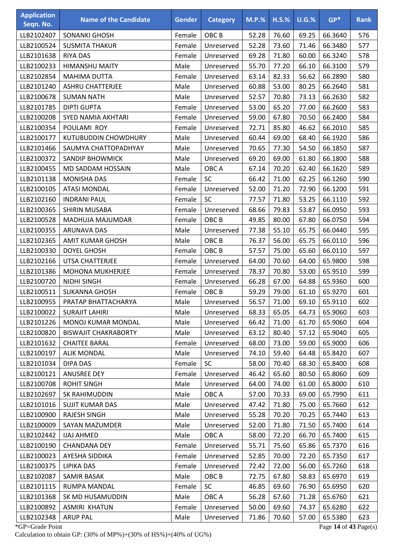| <b>Application</b><br>Seqn. No. | <b>Name of the Candidate</b> | <b>Gender</b> | <b>Category</b>  | $M.P.$ % | $H.S.\%$ | $U.G.\%$ | $GP*$   | <b>Rank</b> |
|---------------------------------|------------------------------|---------------|------------------|----------|----------|----------|---------|-------------|
| LLB2102407                      | SONANKI GHOSH                | Female        | OBC <sub>B</sub> | 52.28    | 76.60    | 69.25    | 66.3640 | 576         |
| LLB2100524                      | <b>SUSMITA THAKUR</b>        | Female        | Unreserved       | 52.28    | 73.60    | 71.46    | 66.3480 | 577         |
| LLB2101638                      | <b>RIYA DAS</b>              | Female        | Unreserved       | 69.28    | 71.80    | 60.00    | 66.3240 | 578         |
| LLB2100233                      | <b>HIMANSHU MAITY</b>        | Male          | Unreserved       | 55.70    | 77.20    | 66.10    | 66.3100 | 579         |
| LLB2102854                      | MAHIMA DUTTA                 | Female        | Unreserved       | 63.14    | 82.33    | 56.62    | 66.2890 | 580         |
| LLB2101240                      | <b>ASHRU CHATTERJEE</b>      | Male          | Unreserved       | 60.88    | 53.00    | 80.25    | 66.2640 | 581         |
| LLB2100678                      | <b>SUMAN NATH</b>            | Male          | Unreserved       | 52.57    | 70.80    | 73.13    | 66.2630 | 582         |
| LLB2101785                      | <b>DIPTI GUPTA</b>           | Female        | Unreserved       | 53.00    | 65.20    | 77.00    | 66.2600 | 583         |
| LLB2100208                      | SYED NAMIA AKHTARI           | Female        | Unreserved       | 59.00    | 67.80    | 70.50    | 66.2400 | 584         |
| LLB2100354                      | POULAMI ROY                  | Female        | Unreserved       | 72.71    | 85.80    | 46.62    | 66.2010 | 585         |
| LLB2100177                      | <b>KUTUBUDDIN CHOWDHURY</b>  | Male          | Unreserved       | 60.44    | 69.00    | 68.40    | 66.1920 | 586         |
| LLB2101466                      | SAUMYA CHATTOPADHYAY         | Male          | Unreserved       | 70.65    | 77.30    | 54.50    | 66.1850 | 587         |
| LLB2100372                      | <b>SANDIP BHOWMICK</b>       | Male          | Unreserved       | 69.20    | 69.00    | 61.80    | 66.1800 | 588         |
| LLB2100455                      | MD SADDAM HOSSAIN            | Male          | OBC A            | 67.14    | 70.20    | 62.40    | 66.1620 | 589         |
| LLB2101138                      | <b>MONISHA DAS</b>           | Female        | <b>SC</b>        | 66.42    | 71.00    | 62.25    | 66.1260 | 590         |
| LLB2100105                      | <b>ATASI MONDAL</b>          | Female        | Unreserved       | 52.00    | 71.20    | 72.90    | 66.1200 | 591         |
| LLB2102160                      | <b>INDRANI PAUL</b>          | Female        | <b>SC</b>        | 77.57    | 71.80    | 53.25    | 66.1110 | 592         |
| LLB2100365                      | SHIRIN MUSABA                | Female        | Unreserved       | 68.66    | 79.83    | 53.87    | 66.0950 | 593         |
| LLB2100528                      | MADHUJA MAJUMDAR             | Female        | OBC <sub>B</sub> | 49.85    | 80.00    | 67.80    | 66.0750 | 594         |
| LLB2100355                      | <b>ARUNAVA DAS</b>           | Male          | Unreserved       | 77.38    | 55.10    | 65.75    | 66.0440 | 595         |
| LLB2102365                      | <b>AMIT KUMAR GHOSH</b>      | Male          | OBC <sub>B</sub> | 76.37    | 56.00    | 65.75    | 66.0110 | 596         |
| LLB2100330                      | <b>DOYEL GHOSH</b>           | Female        | OBC <sub>B</sub> | 57.57    | 75.00    | 65.60    | 66.0110 | 597         |
| LLB2102166                      | UTSA CHATTERJEE              | Female        | Unreserved       | 64.00    | 70.60    | 64.00    | 65.9800 | 598         |
| LLB2101386                      | <b>MOHONA MUKHERJEE</b>      | Female        | Unreserved       | 78.37    | 70.80    | 53.00    | 65.9510 | 599         |
| LLB2100720                      | <b>NIDHI SINGH</b>           | Female        | Unreserved       | 66.28    | 67.00    | 64.88    | 65.9360 | 600         |
| LLB2100511                      | <b>SUKANNA GHOSH</b>         | Female        | OBC <sub>B</sub> | 59.29    | 79.00    | 61.10    | 65.9270 | 601         |
| LLB2100955                      | PRATAP BHATTACHARYA          | Male          | Unreserved       | 56.57    | 71.00    | 69.10    | 65.9110 | 602         |
| LLB2100022                      | <b>SURAJIT LAHIRI</b>        | Male          | Unreserved       | 68.33    | 65.05    | 64.73    | 65.9060 | 603         |
| LLB2101226                      | MONOJ KUMAR MONDAL           | Male          | Unreserved       | 66.42    | 71.00    | 61.70    | 65.9060 | 604         |
| LLB2100820                      | <b>BISWAJIT CHAKRABORTY</b>  | Male          | Unreserved       | 63.12    | 80.40    | 57.12    | 65.9040 | 605         |
| LLB2101632                      | <b>CHAITEE BARAL</b>         | Female        | Unreserved       | 68.00    | 73.00    | 59.00    | 65.9000 | 606         |
| LLB2100197                      | <b>ALIK MONDAL</b>           | Male          | Unreserved       | 74.10    | 59.40    | 64.48    | 65.8420 | 607         |
| LLB2101034                      | DIPA DAS                     | Female        | <b>SC</b>        | 58.00    | 70.40    | 68.30    | 65.8400 | 608         |
| LLB2100121                      | <b>ANUSREE DEY</b>           | Female        | Unreserved       | 46.42    | 65.60    | 80.50    | 65.8060 | 609         |
| LLB2100708                      | <b>ROHIT SINGH</b>           | Male          | Unreserved       | 64.00    | 74.00    | 61.00    | 65.8000 | 610         |
| LLB2102697                      | SK RAHIMUDDIN                | Male          | OBC A            | 57.00    | 70.33    | 69.00    | 65.7990 | 611         |
| LLB2101016                      | <b>SUJIT KUMAR DAS</b>       | Male          | Unreserved       | 47.42    | 71.80    | 75.00    | 65.7660 | 612         |
| LLB2100900                      | <b>RAJESH SINGH</b>          | Male          | Unreserved       | 55.28    | 70.20    | 70.25    | 65.7440 | 613         |
| LLB2100009                      | <b>SAYAN MAZUMDER</b>        | Male          | Unreserved       | 52.00    | 71.80    | 71.50    | 65.7400 | 614         |
| LLB2102442                      | <b>IJAJ AHMED</b>            | Male          | OBC A            | 58.00    | 72.20    | 66.70    | 65.7400 | 615         |
| LLB2100190                      | <b>CHANDANA DEY</b>          | Female        | Unreserved       | 55.71    | 75.60    | 65.86    | 65.7370 | 616         |
| LLB2100023                      | AYESHA SIDDIKA               | Female        | Unreserved       | 52.85    | 70.00    | 72.20    | 65.7350 | 617         |
| LLB2100375                      | <b>LIPIKA DAS</b>            | Female        | Unreserved       | 72.42    | 72.00    | 56.00    | 65.7260 | 618         |
| LLB2102087                      | <b>SAMIR BASAK</b>           | Male          | OBC B            | 72.75    | 67.80    | 58.83    | 65.6970 | 619         |
| LLB2101115                      | <b>RUMPA MANDAL</b>          | Female        | SC               | 46.85    | 69.60    | 76.90    | 65.6950 | 620         |
| LLB2101368                      | SK MD HUSAMUDDIN             | Male          | OBC A            | 56.28    | 67.60    | 71.28    | 65.6760 | 621         |
| LLB2100892                      | <b>ASMIRI KHATUN</b>         | Female        | Unreserved       | 50.00    | 69.60    | 74.37    | 65.6280 | 622         |
| LLB2102348                      | <b>ARUP PAL</b>              | Male          | Unreserved       | 71.86    | 70.60    | 57.00    | 65.5380 | 623         |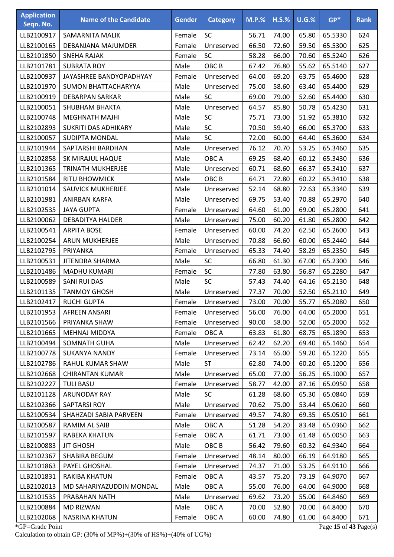| <b>Application</b><br>Seqn. No. | <b>Name of the Candidate</b> | <b>Gender</b> | <b>Category</b>  | $M.P.$ % | $H.S.\%$ | $U.G.\%$ | $GP*$   | <b>Rank</b> |
|---------------------------------|------------------------------|---------------|------------------|----------|----------|----------|---------|-------------|
| LLB2100917                      | SAMARNITA MALIK              | Female        | SC               | 56.71    | 74.00    | 65.80    | 65.5330 | 624         |
| LLB2100165                      | DEBANJANA MAJUMDER           | Female        | Unreserved       | 66.50    | 72.60    | 59.50    | 65.5300 | 625         |
| LLB2101850                      | <b>SNEHA RAJAK</b>           | Female        | SC               | 58.28    | 66.00    | 70.60    | 65.5240 | 626         |
| LLB2101781                      | <b>SUBRATA ROY</b>           | Male          | OBC <sub>B</sub> | 67.42    | 76.80    | 55.62    | 65.5140 | 627         |
| LLB2100937                      | JAYASHREE BANDYOPADHYAY      | Female        | Unreserved       | 64.00    | 69.20    | 63.75    | 65.4600 | 628         |
| LLB2101970                      | SUMON BHATTACHARYYA          | Male          | Unreserved       | 75.00    | 58.60    | 63.40    | 65.4400 | 629         |
| LLB2100919                      | <b>DEBARPAN SARKAR</b>       | Male          | SC               | 69.00    | 79.00    | 52.60    | 65.4400 | 630         |
| LLB2100051                      | <b>SHUBHAM BHAKTA</b>        | Male          | Unreserved       | 64.57    | 85.80    | 50.78    | 65.4230 | 631         |
| LLB2100748                      | <b>MEGHNATH MAJHI</b>        | Male          | SC               | 75.71    | 73.00    | 51.92    | 65.3810 | 632         |
| LLB2102893                      | <b>SUKRITI DAS ADHIKARY</b>  | Male          | SC               | 70.50    | 59.40    | 66.00    | 65.3700 | 633         |
| LLB2100057                      | <b>SUDIPTA MONDAL</b>        | Male          | SC               | 72.00    | 60.00    | 64.40    | 65.3600 | 634         |
| LLB2101944                      | SAPTARSHI BARDHAN            | Male          | Unreserved       | 76.12    | 70.70    | 53.25    | 65.3460 | 635         |
| LLB2102858                      | SK MIRAJUL HAQUE             | Male          | OBC A            | 69.25    | 68.40    | 60.12    | 65.3430 | 636         |
| LLB2101365                      | <b>TRINATH MUKHERJEE</b>     | Male          | Unreserved       | 60.71    | 68.60    | 66.37    | 65.3410 | 637         |
| LLB2101584                      | <b>RITU BHOWMICK</b>         | Male          | OBC <sub>B</sub> | 64.71    | 72.80    | 60.22    | 65.3410 | 638         |
| LLB2101014                      | <b>SAUVICK MUKHERJEE</b>     | Male          | Unreserved       | 52.14    | 68.80    | 72.63    | 65.3340 | 639         |
| LLB2101981                      | ANIRBAN KARFA                | Male          | Unreserved       | 69.75    | 53.40    | 70.88    | 65.2970 | 640         |
| LLB2102535                      | <b>JAYA GUPTA</b>            | Female        | Unreserved       | 64.60    | 61.00    | 69.00    | 65.2800 | 641         |
| LLB2100062                      | <b>DEBADITYA HALDER</b>      | Male          | Unreserved       | 75.00    | 60.20    | 61.80    | 65.2800 | 642         |
| LLB2100541                      | <b>ARPITA BOSE</b>           | Female        | Unreserved       | 60.00    | 74.20    | 62.50    | 65.2600 | 643         |
| LLB2100254                      | <b>ARUN MUKHERJEE</b>        | Male          | Unreserved       | 70.88    | 66.60    | 60.00    | 65.2440 | 644         |
| LLB2102795                      | PRIYANKA                     | Female        | Unreserved       | 65.33    | 74.40    | 58.29    | 65.2350 | 645         |
| LLB2100531                      | JITENDRA SHARMA              | Male          | SC               | 66.80    | 61.30    | 67.00    | 65.2300 | 646         |
| LLB2101486                      | <b>MADHU KUMARI</b>          | Female        | SC               | 77.80    | 63.80    | 56.87    | 65.2280 | 647         |
| LLB2100589                      | <b>SANI RUI DAS</b>          | Male          | SC               | 57.43    | 74.40    | 64.16    | 65.2130 | 648         |
| LLB2101135                      | <b>TANMOY GHOSH</b>          | Male          | Unreserved       | 77.37    | 70.00    | 52.50    | 65.2110 | 649         |
| LLB2102417                      | <b>RUCHI GUPTA</b>           | Female        | Unreserved       | 73.00    | 70.00    | 55.77    | 65.2080 | 650         |
| LLB2101953                      | AFREEN ANSARI                | Female        | Unreserved       | 56.00    | 76.00    | 64.00    | 65.2000 | 651         |
| LLB2101566                      | PRIYANKA SHAW                | Female        | Unreserved       | 90.00    | 58.00    | 52.00    | 65.2000 | 652         |
| LLB2101665                      | MEHNAJ MIDDYA                | Female        | OBC A            | 63.83    | 61.80    | 68.75    | 65.1890 | 653         |
| LLB2100494                      | SOMNATH GUHA                 | Male          | Unreserved       | 62.42    | 62.20    | 69.40    | 65.1460 | 654         |
| LLB2100778                      | <b>SUKANYA NANDY</b>         | Female        | Unreserved       | 73.14    | 65.00    | 59.20    | 65.1220 | 655         |
| LLB2102786                      | RAHUL KUMAR SHAW             | Male          | <b>ST</b>        | 62.80    | 74.00    | 60.20    | 65.1200 | 656         |
| LLB2102668                      | <b>CHIRANTAN KUMAR</b>       | Male          | Unreserved       | 65.00    | 77.00    | 56.25    | 65.1000 | 657         |
| LLB2102227                      | <b>TULI BASU</b>             | Female        | Unreserved       | 58.77    | 42.00    | 87.16    | 65.0950 | 658         |
| LLB2101128                      | ARUNODAY RAY                 | Male          | <b>SC</b>        | 61.28    | 68.60    | 65.30    | 65.0840 | 659         |
| LLB2102366                      | SAPTARSI ROY                 | Male          | Unreserved       | 70.62    | 75.00    | 53.44    | 65.0620 | 660         |
| LLB2100534                      | SHAHZADI SABIA PARVEEN       | Female        | Unreserved       | 49.57    | 74.80    | 69.35    | 65.0510 | 661         |
| LLB2100587                      | RAMIM AL SAIB                | Male          | OBC A            | 51.28    | 54.20    | 83.48    | 65.0360 | 662         |
| LLB2101597                      | RABEKA KHATUN                | Female        | OBC A            | 61.71    | 73.00    | 61.48    | 65.0050 | 663         |
| LLB2100883                      | <b>JIT GHOSH</b>             | Male          | OBC <sub>B</sub> | 56.42    | 79.60    | 60.32    | 64.9340 | 664         |
| LLB2102367                      | SHABIRA BEGUM                | Female        | Unreserved       | 48.14    | 80.00    | 66.19    | 64.9180 | 665         |
| LLB2101863                      | PAYEL GHOSHAL                | Female        | Unreserved       | 74.37    | 71.00    | 53.25    | 64.9110 | 666         |
| LLB2101831                      | <b>RAKIBA KHATUN</b>         | Female        | OBC A            | 43.57    | 75.20    | 73.19    | 64.9070 | 667         |
| LLB2102013                      | MD SAHARIYAZUDDIN MONDAL     | Male          | OBC A            | 55.00    | 76.00    | 64.00    | 64.9000 | 668         |
| LLB2101535                      | PRABAHAN NATH                | Male          | Unreserved       | 69.62    | 73.20    | 55.00    | 64.8460 | 669         |
| LLB2100884                      | MD RIZWAN                    | Male          | OBC A            | 70.00    | 52.80    | 70.00    | 64.8400 | 670         |
| LLB2102068                      | <b>NASRINA KHATUN</b>        | Female        | OBC A            | 60.00    | 74.80    | 61.00    | 64.8400 | 671         |

\*GP=Grade Point Page **15** of **43** Page(s) Calculation to obtain GP: (30% of MP%)+(30% of HS%)+(40% of UG%)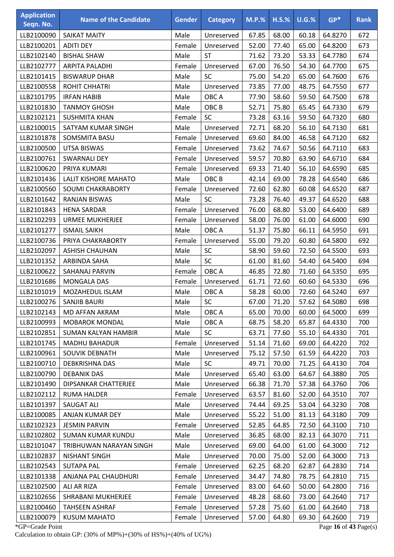| <b>Application</b><br>Seqn. No. | <b>Name of the Candidate</b> | <b>Gender</b> | <b>Category</b>  | $M.P.$ % | $H.S.\%$ | $U.G.\%$ | $GP*$   | <b>Rank</b> |
|---------------------------------|------------------------------|---------------|------------------|----------|----------|----------|---------|-------------|
| LLB2100090                      | <b>SAIKAT MAITY</b>          | Male          | Unreserved       | 67.85    | 68.00    | 60.18    | 64.8270 | 672         |
| LLB2100201                      | <b>ADITI DEY</b>             | Female        | Unreserved       | 52.00    | 77.40    | 65.00    | 64.8200 | 673         |
| LLB2102140                      | <b>BISHAL SHAW</b>           | Male          | <b>ST</b>        | 71.62    | 73.20    | 53.33    | 64.7780 | 674         |
| LLB2102777                      | <b>ARPITA PALADHI</b>        | Female        | Unreserved       | 67.00    | 76.50    | 54.30    | 64.7700 | 675         |
| LLB2101415                      | <b>BISWARUP DHAR</b>         | Male          | SC               | 75.00    | 54.20    | 65.00    | 64.7600 | 676         |
| LLB2100558                      | ROHIT CHHATRI                | Male          | Unreserved       | 73.85    | 77.00    | 48.75    | 64.7550 | 677         |
| LLB2101795                      | <b>IRFAN HABIB</b>           | Male          | OBC A            | 77.90    | 58.60    | 59.50    | 64.7500 | 678         |
| LLB2101830                      | <b>TANMOY GHOSH</b>          | Male          | OBC <sub>B</sub> | 52.71    | 75.80    | 65.45    | 64.7330 | 679         |
| LLB2102121                      | <b>SUSHMITA KHAN</b>         | Female        | SC               | 73.28    | 63.16    | 59.50    | 64.7320 | 680         |
| LLB2100015                      | SATYAM KUMAR SINGH           | Male          | Unreserved       | 72.71    | 68.20    | 56.10    | 64.7130 | 681         |
| LLB2101878                      | SOMSMITA BASU                | Female        | Unreserved       | 69.60    | 84.00    | 46.58    | 64.7120 | 682         |
| LLB2100500                      | <b>UTSA BISWAS</b>           | Female        | Unreserved       | 73.62    | 74.67    | 50.56    | 64.7110 | 683         |
| LLB2100761                      | <b>SWARNALI DEY</b>          | Female        | Unreserved       | 59.57    | 70.80    | 63.90    | 64.6710 | 684         |
| LLB2100620                      | PRIYA KUMARI                 | Female        | Unreserved       | 69.33    | 71.40    | 56.10    | 64.6590 | 685         |
| LLB2101436                      | <b>LALIT KISHORE MAHATO</b>  | Male          | OBC <sub>B</sub> | 42.14    | 69.00    | 78.28    | 64.6540 | 686         |
| LLB2100560                      | <b>SOUMI CHAKRABORTY</b>     | Female        | Unreserved       | 72.60    | 62.80    | 60.08    | 64.6520 | 687         |
| LLB2101642                      | <b>RANJAN BISWAS</b>         | Male          | SC               | 73.28    | 76.40    | 49.37    | 64.6520 | 688         |
| LLB2101843                      | <b>HENA SARDAR</b>           | Female        | Unreserved       | 76.00    | 68.80    | 53.00    | 64.6400 | 689         |
| LLB2102293                      | <b>URMEE MUKHERJEE</b>       | Female        | Unreserved       | 58.00    | 76.00    | 61.00    | 64.6000 | 690         |
| LLB2101277                      | <b>ISMAIL SAIKH</b>          | Male          | OBC A            | 51.37    | 75.80    | 66.11    | 64.5950 | 691         |
| LLB2100736                      | PRIYA CHAKRABORTY            | Female        | Unreserved       | 55.00    | 79.20    | 60.80    | 64.5800 | 692         |
| LLB2102097                      | <b>ASHISH CHAUHAN</b>        | Male          | SC               | 58.90    | 59.60    | 72.50    | 64.5500 | 693         |
| LLB2101352                      | ARBINDA SAHA                 | Male          | SC               | 61.00    | 81.60    | 54.40    | 64.5400 | 694         |
| LLB2100622                      | SAHANAJ PARVIN               | Female        | OBC A            | 46.85    | 72.80    | 71.60    | 64.5350 | 695         |
| LLB2101686                      | <b>MONGALA DAS</b>           | Female        | Unreserved       | 61.71    | 72.60    | 60.60    | 64.5330 | 696         |
| LLB2101019                      | MOZAHEDUL ISLAM              | Male          | OBC A            | 58.28    | 60.00    | 72.60    | 64.5240 | 697         |
| LLB2100276                      | SANJIB BAURI                 | Male          | SC               | 67.00    | 71.20    | 57.62    | 64.5080 | 698         |
| LLB2102143                      | MD AFFAN AKRAM               | Male          | OBC A            | 65.00    | 70.00    | 60.00    | 64.5000 | 699         |
| LLB2100993                      | <b>MOBAROK MONDAL</b>        | Male          | OBC A            | 68.75    | 58.20    | 65.87    | 64.4330 | 700         |
| LLB2102851                      | <b>SUMAN KALYAN HAMBIR</b>   | Male          | <b>SC</b>        | 63.71    | 77.60    | 55.10    | 64.4330 | 701         |
| LLB2101745                      | <b>MADHU BAHADUR</b>         | Female        | Unreserved       | 51.14    | 71.60    | 69.00    | 64.4220 | 702         |
| LLB2100961                      | SOUVIK DEBNATH               | Male          | Unreserved       | 75.12    | 57.50    | 61.59    | 64.4220 | 703         |
| LLB2100710                      | <b>DEBKRISHNA DAS</b>        | Male          | <b>SC</b>        | 49.71    | 70.00    | 71.25    | 64.4130 | 704         |
| LLB2100790                      | <b>DEBANIK DAS</b>           | Male          | Unreserved       | 65.40    | 63.00    | 64.67    | 64.3880 | 705         |
| LLB2101490                      | DIPSANKAR CHATTERJEE         | Male          | Unreserved       | 66.38    | 71.70    | 57.38    | 64.3760 | 706         |
| LLB2102112                      | <b>RUMA HALDER</b>           | Female        | Unreserved       | 63.57    | 81.60    | 52.00    | 64.3510 | 707         |
| LLB2101397                      | <b>SAUGAT ALI</b>            | Male          | Unreserved       | 74.44    | 69.25    | 53.04    | 64.3230 | 708         |
| LLB2100085                      | ANJAN KUMAR DEY              | Male          | Unreserved       | 55.22    | 51.00    | 81.13    | 64.3180 | 709         |
| LLB2102323                      | <b>JESMIN PARVIN</b>         | Female        | Unreserved       | 52.85    | 64.85    | 72.50    | 64.3100 | 710         |
| LLB2102802                      | SUMAN KUMAR KUNDU            | Male          | Unreserved       | 36.85    | 68.00    | 82.13    | 64.3070 | 711         |
| LLB2101047                      | TRIBHUWAN NARAYAN SINGH      | Male          | Unreserved       | 69.00    | 64.00    | 61.00    | 64.3000 | 712         |
| LLB2102837                      | <b>NISHANT SINGH</b>         | Male          | Unreserved       | 70.00    | 75.00    | 52.00    | 64.3000 | 713         |
| LLB2102543                      | <b>SUTAPA PAL</b>            | Female        | Unreserved       | 62.25    | 68.20    | 62.87    | 64.2830 | 714         |
| LLB2101338                      | ANJANA PAL CHAUDHURI         | Female        | Unreserved       | 34.47    | 74.80    | 78.75    | 64.2810 | 715         |
| LLB2102500                      | ALI AR RIZA                  | Female        | Unreserved       | 83.00    | 64.60    | 50.00    | 64.2800 | 716         |
| LLB2102656                      | SHRABANI MUKHERJEE           | Female        | Unreserved       | 48.28    | 68.60    | 73.00    | 64.2640 | 717         |
| LLB2100460                      | <b>TAHSEEN ASHRAF</b>        | Female        | Unreserved       | 57.28    | 75.60    | 61.00    | 64.2640 | 718         |
| LLB2100079                      | <b>KUSUM MAHATO</b>          | Female        | Unreserved       | 57.00    | 64.80    | 69.30    | 64.2600 | 719         |

\*GP=Grade Point Page **16** of **43** Page(s) Calculation to obtain GP: (30% of MP%)+(30% of HS%)+(40% of UG%)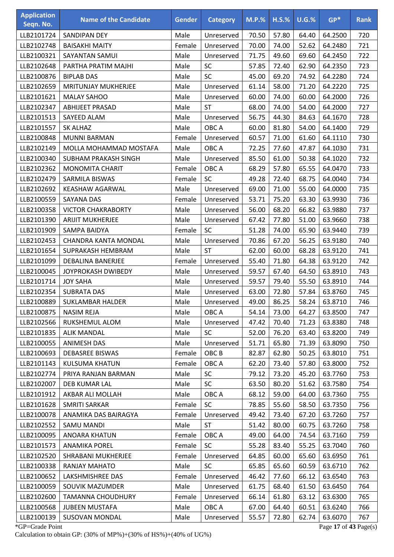| <b>Application</b><br>Seqn. No. | <b>Name of the Candidate</b> | <b>Gender</b> | <b>Category</b>  | <b>M.P.%</b> | $H.S.\%$ | $U.G.$ % | $GP*$   | <b>Rank</b> |
|---------------------------------|------------------------------|---------------|------------------|--------------|----------|----------|---------|-------------|
| LLB2101724                      | SANDIPAN DEY                 | Male          | Unreserved       | 70.50        | 57.80    | 64.40    | 64.2500 | 720         |
| LLB2102748                      | <b>BAISAKHI MAITY</b>        | Female        | Unreserved       | 70.00        | 74.00    | 52.62    | 64.2480 | 721         |
| LLB2100321                      | <b>SAYANTAN SAMUI</b>        | Male          | Unreserved       | 71.75        | 49.60    | 69.60    | 64.2450 | 722         |
| LLB2102648                      | PARTHA PRATIM MAJHI          | Male          | SC               | 57.85        | 72.40    | 62.90    | 64.2350 | 723         |
| LLB2100876                      | <b>BIPLAB DAS</b>            | Male          | SC               | 45.00        | 69.20    | 74.92    | 64.2280 | 724         |
| LLB2102659                      | <b>MRITUNJAY MUKHERJEE</b>   | Male          | Unreserved       | 61.14        | 58.00    | 71.20    | 64.2220 | 725         |
| LLB2101621                      | <b>MALAY SAHOO</b>           | Male          | Unreserved       | 60.00        | 74.00    | 60.00    | 64.2000 | 726         |
| LLB2102347                      | <b>ABHIJEET PRASAD</b>       | Male          | <b>ST</b>        | 68.00        | 74.00    | 54.00    | 64.2000 | 727         |
| LLB2101513                      | <b>SAYEED ALAM</b>           | Male          | Unreserved       | 56.75        | 44.30    | 84.63    | 64.1670 | 728         |
| LLB2101557                      | <b>SK ALHAZ</b>              | Male          | OBC A            | 60.00        | 81.80    | 54.00    | 64.1400 | 729         |
| LLB2100848                      | <b>MUNNI BARMAN</b>          | Female        | Unreserved       | 60.57        | 71.00    | 61.60    | 64.1110 | 730         |
| LLB2102149                      | MOLLA MOHAMMAD MOSTAFA       | Male          | OBC A            | 72.25        | 77.60    | 47.87    | 64.1030 | 731         |
| LLB2100340                      | SUBHAM PRAKASH SINGH         | Male          | Unreserved       | 85.50        | 61.00    | 50.38    | 64.1020 | 732         |
| LLB2102362                      | <b>MONOMITA CHARIT</b>       | Female        | OBC A            | 68.29        | 57.80    | 65.55    | 64.0470 | 733         |
| LLB2102479                      | SARMILA BISWAS               | Female        | SC               | 49.28        | 72.40    | 68.75    | 64.0040 | 734         |
| LLB2102692                      | <b>KEASHAW AGARWAL</b>       | Male          | Unreserved       | 69.00        | 71.00    | 55.00    | 64.0000 | 735         |
| LLB2100559                      | <b>SAYANA DAS</b>            | Female        | Unreserved       | 53.71        | 75.20    | 63.30    | 63.9930 | 736         |
| LLB2100358                      | <b>VICTOR CHAKRABORTY</b>    | Male          | Unreserved       | 56.00        | 68.20    | 66.82    | 63.9880 | 737         |
| LLB2101390                      | <b>ARIJIT MUKHERJEE</b>      | Male          | Unreserved       | 67.42        | 77.80    | 51.00    | 63.9660 | 738         |
| LLB2101909                      | <b>SAMPA BAIDYA</b>          | Female        | <b>SC</b>        | 51.28        | 74.00    | 65.90    | 63.9440 | 739         |
| LLB2102453                      | <b>CHANDRA KANTA MONDAL</b>  | Male          | Unreserved       | 70.86        | 67.20    | 56.25    | 63.9180 | 740         |
| LLB2101654                      | SUPRAKASH HEMBRAM            | Male          | <b>ST</b>        | 62.00        | 60.00    | 68.28    | 63.9120 | 741         |
| LLB2101099                      | DEBALINA BANERJEE            | Female        | Unreserved       | 55.40        | 71.80    | 64.38    | 63.9120 | 742         |
| LLB2100045                      | JOYPROKASH DWIBEDY           | Male          | Unreserved       | 59.57        | 67.40    | 64.50    | 63.8910 | 743         |
| LLB2101714                      | <b>JOY SAHA</b>              | Male          | Unreserved       | 59.57        | 79.40    | 55.50    | 63.8910 | 744         |
| LLB2102354                      | <b>SUBRATA DAS</b>           | Male          | Unreserved       | 63.00        | 72.80    | 57.84    | 63.8760 | 745         |
| LLB2100889                      | <b>SUKLAMBAR HALDER</b>      | Male          | Unreserved       | 49.00        | 86.25    | 58.24    | 63.8710 | 746         |
| LLB2100875                      | <b>NASIM REJA</b>            | Male          | OBC A            | 54.14        | 73.00    | 64.27    | 63.8500 | 747         |
| LLB2102566                      | RUKSHEMUL ALOM               | Male          | Unreserved       | 47.42        | 70.40    | 71.23    | 63.8380 | 748         |
| LLB2101835                      | <b>ALIK MANDAL</b>           | Male          | <b>SC</b>        | 52.00        | 76.20    | 63.40    | 63.8200 | 749         |
| LLB2100055                      | <b>ANIMESH DAS</b>           | Male          | Unreserved       | 51.71        | 65.80    | 71.39    | 63.8090 | 750         |
| LLB2100693                      | <b>DEBASREE BISWAS</b>       | Female        | OBC <sub>B</sub> | 82.87        | 62.80    | 50.25    | 63.8010 | 751         |
| LLB2101143                      | <b>KULSUMA KHATUN</b>        | Female        | OBC A            | 62.20        | 73.40    | 57.80    | 63.8000 | 752         |
| LLB2102774                      | PRIYA RANJAN BARMAN          | Male          | <b>SC</b>        | 79.12        | 73.20    | 45.20    | 63.7760 | 753         |
| LLB2102007                      | <b>DEB KUMAR LAL</b>         | Male          | <b>SC</b>        | 63.50        | 80.20    | 51.62    | 63.7580 | 754         |
| LLB2101912                      | AKBAR ALI MOLLAH             | Male          | OBC A            | 68.12        | 59.00    | 64.00    | 63.7360 | 755         |
| LLB2101628                      | <b>SMRITI SARKAR</b>         | Female        | <b>SC</b>        | 78.85        | 55.60    | 58.50    | 63.7350 | 756         |
| LLB2100078                      | ANAMIKA DAS BAIRAGYA         | Female        | Unreserved       | 49.42        | 73.40    | 67.20    | 63.7260 | 757         |
| LLB2102552                      | <b>SAMU MANDI</b>            | Male          | <b>ST</b>        | 51.42        | 80.00    | 60.75    | 63.7260 | 758         |
| LLB2100095                      | ANOARA KHATUN                | Female        | OBC A            | 49.00        | 64.00    | 74.54    | 63.7160 | 759         |
| LLB2101573                      | <b>ANAMIKA POREL</b>         | Female        | <b>SC</b>        | 55.28        | 83.40    | 55.25    | 63.7040 | 760         |
| LLB2102520                      | SHRABANI MUKHERJEE           | Female        | Unreserved       | 64.85        | 60.00    | 65.60    | 63.6950 | 761         |
| LLB2100338                      | RANJAY MAHATO                | Male          | <b>SC</b>        | 65.85        | 65.60    | 60.59    | 63.6710 | 762         |
| LLB2100652                      | LAKSHMISHREE DAS             | Female        | Unreserved       | 46.42        | 77.60    | 66.12    | 63.6540 | 763         |
| LLB2100059                      | SOUVIK MAZUMDER              | Male          | Unreserved       | 61.75        | 68.40    | 61.50    | 63.6450 | 764         |
| LLB2102600                      | <b>TAMANNA CHOUDHURY</b>     | Female        | Unreserved       | 66.14        | 61.80    | 63.12    | 63.6300 | 765         |
| LLB2100568                      | <b>JUBEEN MUSTAFA</b>        | Male          | OBC A            | 67.00        | 64.40    | 60.51    | 63.6240 | 766         |
| LLB2100139                      | <b>SUSOVAN MONDAL</b>        | Male          | Unreserved       | 55.57        | 72.80    | 62.74    | 63.6070 | 767         |

\*GP=Grade Point Page **17** of **43** Page(s) Calculation to obtain GP: (30% of MP%)+(30% of HS%)+(40% of UG%)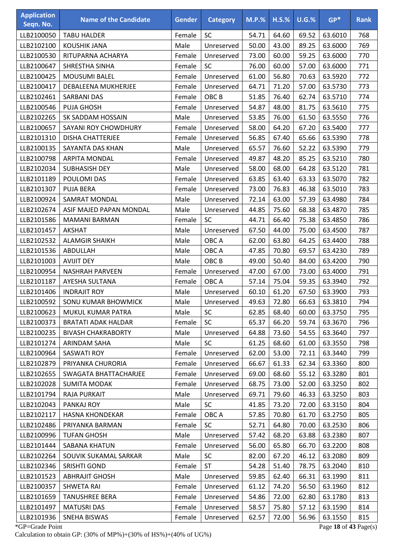| <b>Application</b><br>Seqn. No. | <b>Name of the Candidate</b> | <b>Gender</b> | <b>Category</b>  | <b>M.P.%</b> | $H.S.\%$ | $U.G.$ % | $GP*$   | <b>Rank</b> |
|---------------------------------|------------------------------|---------------|------------------|--------------|----------|----------|---------|-------------|
| LLB2100050                      | <b>TABU HALDER</b>           | Female        | SC               | 54.71        | 64.60    | 69.52    | 63.6010 | 768         |
| LLB2102100                      | <b>KOUSHIK JANA</b>          | Male          | Unreserved       | 50.00        | 43.00    | 89.25    | 63.6000 | 769         |
| LLB2100530                      | RITUPARNA ACHARYA            | Female        | Unreserved       | 73.00        | 60.00    | 59.25    | 63.6000 | 770         |
| LLB2100647                      | SHRESTHA SINHA               | Female        | SC               | 76.00        | 60.00    | 57.00    | 63.6000 | 771         |
| LLB2100425                      | <b>MOUSUMI BALEL</b>         | Female        | Unreserved       | 61.00        | 56.80    | 70.63    | 63.5920 | 772         |
| LLB2100417                      | DEBALEENA MUKHERJEE          | Female        | Unreserved       | 64.71        | 71.20    | 57.00    | 63.5730 | 773         |
| LLB2102461                      | <b>SARBANI DAS</b>           | Female        | OBC <sub>B</sub> | 51.85        | 76.40    | 62.74    | 63.5710 | 774         |
| LLB2100546                      | <b>PUJA GHOSH</b>            | Female        | Unreserved       | 54.87        | 48.00    | 81.75    | 63.5610 | 775         |
| LLB2102265                      | SK SADDAM HOSSAIN            | Male          | Unreserved       | 53.85        | 76.00    | 61.50    | 63.5550 | 776         |
| LLB2100657                      | SAYANI ROY CHOWDHURY         | Female        | Unreserved       | 58.00        | 64.20    | 67.20    | 63.5400 | 777         |
| LLB2101310                      | <b>DISHA CHATTERJEE</b>      | Female        | Unreserved       | 56.85        | 67.40    | 65.66    | 63.5390 | 778         |
| LLB2100135                      | SAYANTA DAS KHAN             | Male          | Unreserved       | 65.57        | 76.60    | 52.22    | 63.5390 | 779         |
| LLB2100798                      | <b>ARPITA MONDAL</b>         | Female        | Unreserved       | 49.87        | 48.20    | 85.25    | 63.5210 | 780         |
| LLB2102034                      | SUBHASISH DEY                | Male          | Unreserved       | 58.00        | 68.00    | 64.28    | 63.5120 | 781         |
| LLB2101189                      | POULOMI DAS                  | Female        | Unreserved       | 63.85        | 63.40    | 63.33    | 63.5070 | 782         |
| LLB2101307                      | <b>PUJA BERA</b>             | Female        | Unreserved       | 73.00        | 76.83    | 46.38    | 63.5010 | 783         |
| LLB2100924                      | SAMRAT MONDAL                | Male          | Unreserved       | 72.14        | 63.00    | 57.39    | 63.4980 | 784         |
| LLB2102674                      | ASIF MAJED PAPAN MONDAL      | Male          | Unreserved       | 44.85        | 75.60    | 68.38    | 63.4870 | 785         |
| LLB2101586                      | <b>MAMANI BARMAN</b>         | Female        | SC               | 44.71        | 66.40    | 75.38    | 63.4850 | 786         |
| LLB2101457                      | <b>AKSHAT</b>                | Male          | Unreserved       | 67.50        | 44.00    | 75.00    | 63.4500 | 787         |
| LLB2102532                      | <b>ALAMGIR SHAIKH</b>        | Male          | OBC A            | 62.00        | 63.80    | 64.25    | 63.4400 | 788         |
| LLB2101536                      | ABDULLAH                     | Male          | OBC A            | 47.85        | 70.80    | 69.57    | 63.4230 | 789         |
| LLB2101003                      | <b>AVIJIT DEY</b>            | Male          | OBC <sub>B</sub> | 49.00        | 50.40    | 84.00    | 63.4200 | 790         |
| LLB2100954                      | <b>NASHRAH PARVEEN</b>       | Female        | Unreserved       | 47.00        | 67.00    | 73.00    | 63.4000 | 791         |
| LLB2101187                      | AYESHA SULTANA               | Female        | OBC A            | 57.14        | 75.04    | 59.35    | 63.3940 | 792         |
| LLB2101406                      | <b>INDRAJIT ROY</b>          | Male          | Unreserved       | 60.10        | 61.20    | 67.50    | 63.3900 | 793         |
| LLB2100592                      | SONU KUMAR BHOWMICK          | Male          | Unreserved       | 49.63        | 72.80    | 66.63    | 63.3810 | 794         |
| LLB2100623                      | MUKUL KUMAR PATRA            | Male          | SC               | 62.85        | 68.40    | 60.00    | 63.3750 | 795         |
| LLB2100373                      | <b>BRATATI ADAK HALDAR</b>   | Female        | <b>SC</b>        | 65.37        | 66.20    | 59.74    | 63.3670 | 796         |
| LLB2100235                      | <b>BIVASH CHAKRABORTY</b>    | Male          | Unreserved       | 64.88        | 73.60    | 54.55    | 63.3640 | 797         |
| LLB2101274                      | ARINDAM SAHA                 | Male          | SC               | 61.25        | 68.60    | 61.00    | 63.3550 | 798         |
| LLB2100964                      | SASWATI ROY                  | Female        | Unreserved       | 62.00        | 53.00    | 72.11    | 63.3440 | 799         |
| LLB2102879                      | PRIYANKA CHURORIA            | Female        | Unreserved       | 66.67        | 61.33    | 62.34    | 63.3360 | 800         |
| LLB2102655                      | SWAGATA BHATTACHARJEE        | Female        | Unreserved       | 69.00        | 68.60    | 55.12    | 63.3280 | 801         |
| LLB2102028                      | <b>SUMITA MODAK</b>          | Female        | Unreserved       | 68.75        | 73.00    | 52.00    | 63.3250 | 802         |
| LLB2101794                      | <b>RAJA PURKAIT</b>          | Male          | Unreserved       | 69.71        | 79.60    | 46.33    | 63.3250 | 803         |
| LLB2102043                      | PANKAJ ROY                   | Male          | <b>SC</b>        | 41.85        | 73.20    | 72.00    | 63.3150 | 804         |
| LLB2102117                      | <b>HASNA KHONDEKAR</b>       | Female        | OBC A            | 57.85        | 70.80    | 61.70    | 63.2750 | 805         |
| LLB2102486                      | PRIYANKA BARMAN              | Female        | <b>SC</b>        | 52.71        | 64.80    | 70.00    | 63.2530 | 806         |
| LLB2100996                      | <b>TUFAN GHOSH</b>           | Male          | Unreserved       | 57.42        | 68.20    | 63.88    | 63.2380 | 807         |
| LLB2101444                      | SABANA KHATUN                | Female        | Unreserved       | 56.00        | 65.80    | 66.70    | 63.2200 | 808         |
| LLB2102264                      | SOUVIK SUKAMAL SARKAR        | Male          | <b>SC</b>        | 82.00        | 67.20    | 46.12    | 63.2080 | 809         |
| LLB2102346                      | <b>SRISHTI GOND</b>          | Female        | <b>ST</b>        | 54.28        | 51.40    | 78.75    | 63.2040 | 810         |
| LLB2101523                      | <b>ABHRAJIT GHOSH</b>        | Male          | Unreserved       | 59.85        | 62.40    | 66.31    | 63.1990 | 811         |
| LLB2100357                      | <b>SHWETA RAI</b>            | Female        | Unreserved       | 61.12        | 74.20    | 56.50    | 63.1960 | 812         |
| LLB2101659                      | <b>TANUSHREE BERA</b>        | Female        | Unreserved       | 54.86        | 72.00    | 62.80    | 63.1780 | 813         |
| LLB2101497                      | <b>MATUSRI DAS</b>           | Female        | Unreserved       | 58.57        | 75.80    | 57.12    | 63.1590 | 814         |
| LLB2101936                      | SNEHA BISWAS                 | Female        | Unreserved       | 62.57        | 72.00    | 56.96    | 63.1550 | 815         |

\*GP=Grade Point Page **18** of **43** Page(s) Calculation to obtain GP: (30% of MP%)+(30% of HS%)+(40% of UG%)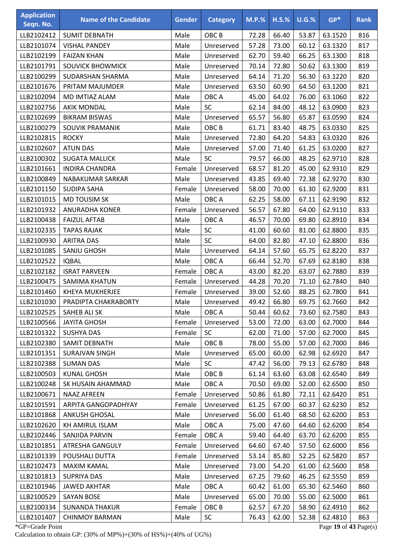| <b>Application</b><br>Seqn. No. | <b>Name of the Candidate</b> | <b>Gender</b> | <b>Category</b>  | $M.P.$ % | $H.S.\%$ | $U.G.\%$ | $GP*$   | <b>Rank</b> |
|---------------------------------|------------------------------|---------------|------------------|----------|----------|----------|---------|-------------|
| LLB2102412                      | <b>SUMIT DEBNATH</b>         | Male          | OBC <sub>B</sub> | 72.28    | 66.40    | 53.87    | 63.1520 | 816         |
| LLB2101074                      | <b>VISHAL PANDEY</b>         | Male          | Unreserved       | 57.28    | 73.00    | 60.12    | 63.1320 | 817         |
| LLB2102199                      | <b>FAIZAN KHAN</b>           | Male          | Unreserved       | 62.70    | 59.40    | 66.25    | 63.1300 | 818         |
| LLB2101791                      | <b>SOUVICK BHOWMICK</b>      | Male          | Unreserved       | 70.14    | 72.80    | 50.62    | 63.1300 | 819         |
| LLB2100299                      | SUDARSHAN SHARMA             | Male          | Unreserved       | 64.14    | 71.20    | 56.30    | 63.1220 | 820         |
| LLB2101676                      | PRITAM MAJUMDER              | Male          | Unreserved       | 63.50    | 60.90    | 64.50    | 63.1200 | 821         |
| LLB2102094                      | MD IMTIAZ ALAM               | Male          | OBC A            | 45.00    | 64.02    | 76.00    | 63.1060 | 822         |
| LLB2102756                      | <b>AKIK MONDAL</b>           | Male          | SC               | 62.14    | 84.00    | 48.12    | 63.0900 | 823         |
| LLB2102699                      | <b>BIKRAM BISWAS</b>         | Male          | Unreserved       | 65.57    | 56.80    | 65.87    | 63.0590 | 824         |
| LLB2100279                      | SOUVIK PRAMANIK              | Male          | OBC <sub>B</sub> | 61.71    | 83.40    | 48.75    | 63.0330 | 825         |
| LLB2102815                      | <b>ROCKY</b>                 | Male          | Unreserved       | 72.80    | 64.20    | 54.83    | 63.0320 | 826         |
| LLB2102607                      | <b>ATUN DAS</b>              | Male          | Unreserved       | 57.00    | 71.40    | 61.25    | 63.0200 | 827         |
| LLB2100302                      | <b>SUGATA MALLICK</b>        | Male          | <b>SC</b>        | 79.57    | 66.00    | 48.25    | 62.9710 | 828         |
| LLB2101661                      | <b>INDIRA CHANDRA</b>        | Female        | Unreserved       | 68.57    | 81.20    | 45.00    | 62.9310 | 829         |
| LLB2100849                      | NABAKUMAR SARKAR             | Male          | Unreserved       | 43.85    | 69.40    | 72.38    | 62.9270 | 830         |
| LLB2101150                      | <b>SUDIPA SAHA</b>           | Female        | Unreserved       | 58.00    | 70.00    | 61.30    | 62.9200 | 831         |
| LLB2101015                      | MD TOUSIM SK                 | Male          | OBC A            | 62.25    | 58.00    | 67.11    | 62.9190 | 832         |
| LLB2101932                      | <b>ANURADHA KONER</b>        | Female        | Unreserved       | 56.57    | 67.80    | 64.00    | 62.9110 | 833         |
| LLB2100438                      | <b>FAIZUL AFTAB</b>          | Male          | OBC A            | 46.57    | 70.00    | 69.80    | 62.8910 | 834         |
| LLB2102335                      | <b>TAPAS RAJAK</b>           | Male          | SC               | 41.00    | 60.60    | 81.00    | 62.8800 | 835         |
| LLB2100930                      | <b>ARITRA DAS</b>            | Male          | SC               | 64.00    | 82.80    | 47.10    | 62.8800 | 836         |
| LLB2101085                      | SANJU GHOSH                  | Male          | Unreserved       | 64.14    | 57.60    | 65.75    | 62.8220 | 837         |
| LLB2102522                      | <b>IQBAL</b>                 | Male          | OBC A            | 66.44    | 52.70    | 67.69    | 62.8180 | 838         |
| LLB2102182                      | <b>ISRAT PARVEEN</b>         | Female        | OBC A            | 43.00    | 82.20    | 63.07    | 62.7880 | 839         |
| LLB2100475                      | <b>SAMIMA KHATUN</b>         | Female        | Unreserved       | 44.28    | 70.20    | 71.10    | 62.7840 | 840         |
| LLB2101460                      | <b>KHEYA MUKHERJEE</b>       | Female        | Unreserved       | 39.00    | 52.60    | 88.25    | 62.7800 | 841         |
| LLB2101030                      | PRADIPTA CHAKRABORTY         | Male          | Unreserved       | 49.42    | 66.80    | 69.75    | 62.7660 | 842         |
| LLB2102525                      | SAHEB ALI SK                 | Male          | OBC A            | 50.44    | 60.62    | 73.60    | 62.7580 | 843         |
| LLB2100566                      | <b>JAYITA GHOSH</b>          | Female        | Unreserved       | 53.00    | 72.00    | 63.00    | 62.7000 | 844         |
| LLB2101322                      | <b>SUSHYA DAS</b>            | Female        | <b>SC</b>        | 62.00    | 71.00    | 57.00    | 62.7000 | 845         |
| LLB2102380                      | SAMIT DEBNATH                | Male          | OBC <sub>B</sub> | 78.00    | 55.00    | 57.00    | 62.7000 | 846         |
| LLB2101351                      | SURAJVAN SINGH               | Male          | Unreserved       | 65.00    | 60.00    | 62.98    | 62.6920 | 847         |
| LLB2102388                      | <b>SUMAN DAS</b>             | Male          | <b>SC</b>        | 47.42    | 56.00    | 79.13    | 62.6780 | 848         |
| LLB2100503                      | <b>KUNAL GHOSH</b>           | Male          | OBC B            | 61.14    | 63.60    | 63.08    | 62.6540 | 849         |
| LLB2100248                      | SK HUSAIN AHAMMAD            | Male          | OBC A            | 70.50    | 69.00    | 52.00    | 62.6500 | 850         |
| LLB2100671                      | <b>NAAZ AFREEN</b>           | Female        | Unreserved       | 50.86    | 61.80    | 72.11    | 62.6420 | 851         |
| LLB2101591                      | ARPITA GANGOPADHYAY          | Female        | Unreserved       | 61.25    | 67.00    | 60.37    | 62.6230 | 852         |
| LLB2101868                      | <b>ANKUSH GHOSAL</b>         | Male          | Unreserved       | 56.00    | 61.40    | 68.50    | 62.6200 | 853         |
| LLB2102620                      | KH AMIRUL ISLAM              | Male          | OBC A            | 75.00    | 47.60    | 64.60    | 62.6200 | 854         |
| LLB2102446                      | SANJIDA PARVIN               | Female        | OBC A            | 59.40    | 64.40    | 63.70    | 62.6200 | 855         |
| LLB2101851                      | ATRESHA GANGULY              | Female        | Unreserved       | 64.60    | 67.40    | 57.50    | 62.6000 | 856         |
| LLB2101339                      | POUSHALI DUTTA               | Female        | Unreserved       | 53.14    | 85.80    | 52.25    | 62.5820 | 857         |
| LLB2102473                      | <b>MAXIM KAMAL</b>           | Male          | Unreserved       | 73.00    | 54.20    | 61.00    | 62.5600 | 858         |
| LLB2101813                      | <b>SUPRIYA DAS</b>           | Male          | Unreserved       | 67.25    | 79.60    | 46.25    | 62.5550 | 859         |
| LLB2101946                      | <b>JAWED AKHTAR</b>          | Male          | OBC A            | 60.42    | 61.00    | 65.30    | 62.5460 | 860         |
| LLB2100529                      | <b>SAYAN BOSE</b>            | Male          | Unreserved       | 65.00    | 70.00    | 55.00    | 62.5000 | 861         |
| LLB2100334                      | <b>SUNANDA THAKUR</b>        | Female        | OBC <sub>B</sub> | 62.57    | 67.20    | 58.90    | 62.4910 | 862         |
| LLB2101407                      | <b>CHINMOY BARMAN</b>        | Male          | SC               | 76.43    | 62.00    | 52.38    | 62.4810 | 863         |

\*GP=Grade Point Page **19** of **43** Page(s) Calculation to obtain GP: (30% of MP%)+(30% of HS%)+(40% of UG%)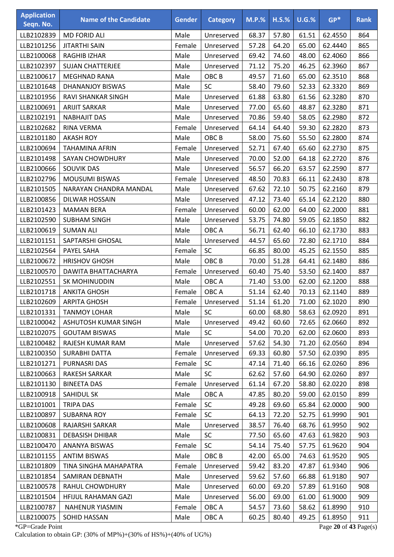| <b>Application</b><br>Seqn. No. | <b>Name of the Candidate</b> | <b>Gender</b> | <b>Category</b>  | $M.P.$ % | $H.S.\%$ | $U.G.\%$ | $GP*$   | <b>Rank</b> |
|---------------------------------|------------------------------|---------------|------------------|----------|----------|----------|---------|-------------|
| LLB2102839                      | <b>MD FORID ALI</b>          | Male          | Unreserved       | 68.37    | 57.80    | 61.51    | 62.4550 | 864         |
| LLB2101256                      | <b>JITARTHI SAIN</b>         | Female        | Unreserved       | 57.28    | 64.20    | 65.00    | 62.4440 | 865         |
| LLB2100068                      | <b>RAGHIB IZHAR</b>          | Male          | Unreserved       | 69.42    | 74.60    | 48.00    | 62.4060 | 866         |
| LLB2102397                      | <b>SUJAN CHATTERJEE</b>      | Male          | Unreserved       | 71.12    | 75.20    | 46.25    | 62.3960 | 867         |
| LLB2100617                      | <b>MEGHNAD RANA</b>          | Male          | OBC <sub>B</sub> | 49.57    | 71.60    | 65.00    | 62.3510 | 868         |
| LLB2101648                      | DHANANJOY BISWAS             | Male          | SC               | 58.40    | 79.60    | 52.33    | 62.3320 | 869         |
| LLB2101956                      | RAVI SHANKAR SINGH           | Male          | Unreserved       | 61.88    | 63.80    | 61.56    | 62.3280 | 870         |
| LLB2100691                      | <b>ARIJIT SARKAR</b>         | Male          | Unreserved       | 77.00    | 65.60    | 48.87    | 62.3280 | 871         |
| LLB2102191                      | <b>NABHAJIT DAS</b>          | Male          | Unreserved       | 70.86    | 59.40    | 58.05    | 62.2980 | 872         |
| LLB2102682                      | RINA VERMA                   | Female        | Unreserved       | 64.14    | 64.40    | 59.30    | 62.2820 | 873         |
| LLB2101180                      | <b>AKASH ROY</b>             | Male          | OBC <sub>B</sub> | 58.00    | 75.60    | 55.50    | 62.2800 | 874         |
| LLB2100694                      | <b>TAHAMINA AFRIN</b>        | Female        | Unreserved       | 52.71    | 67.40    | 65.60    | 62.2730 | 875         |
| LLB2101498                      | <b>SAYAN CHOWDHURY</b>       | Male          | Unreserved       | 70.00    | 52.00    | 64.18    | 62.2720 | 876         |
| LLB2100666                      | <b>SOUVIK DAS</b>            | Male          | Unreserved       | 56.57    | 66.20    | 63.57    | 62.2590 | 877         |
| LLB2102796                      | <b>MOUSUMI BISWAS</b>        | Female        | Unreserved       | 48.50    | 70.83    | 66.11    | 62.2430 | 878         |
| LLB2101505                      | NARAYAN CHANDRA MANDAL       | Male          | Unreserved       | 67.62    | 72.10    | 50.75    | 62.2160 | 879         |
| LLB2100856                      | DILWAR HOSSAIN               | Male          | Unreserved       | 47.12    | 73.40    | 65.14    | 62.2120 | 880         |
| LLB2101423                      | <b>MAMAN BERA</b>            | Female        | Unreserved       | 60.00    | 62.00    | 64.00    | 62.2000 | 881         |
| LLB2102590                      | <b>SUBHAM SINGH</b>          | Male          | Unreserved       | 53.75    | 74.80    | 59.05    | 62.1850 | 882         |
| LLB2100619                      | <b>SUMAN ALI</b>             | Male          | OBC A            | 56.71    | 62.40    | 66.10    | 62.1730 | 883         |
| LLB2101151                      | SAPTARSHI GHOSAL             | Male          | Unreserved       | 44.57    | 65.60    | 72.80    | 62.1710 | 884         |
| LLB2102564                      | PAYEL SAHA                   | Female        | SC               | 66.85    | 80.00    | 45.25    | 62.1550 | 885         |
| LLB2100672                      | <b>HRISHOV GHOSH</b>         | Male          | OBC <sub>B</sub> | 70.00    | 51.28    | 64.41    | 62.1480 | 886         |
| LLB2100570                      | DAWITA BHATTACHARYA          | Female        | Unreserved       | 60.40    | 75.40    | 53.50    | 62.1400 | 887         |
| LLB2102551                      | SK MOHINUDDIN                | Male          | OBC A            | 71.40    | 53.00    | 62.00    | 62.1200 | 888         |
| LLB2101718                      | <b>ANKITA GHOSH</b>          | Female        | OBC A            | 51.14    | 62.40    | 70.13    | 62.1140 | 889         |
| LLB2102609                      | <b>ARPITA GHOSH</b>          | Female        | Unreserved       | 51.14    | 61.20    | 71.00    | 62.1020 | 890         |
| LLB2101331                      | <b>TANMOY LOHAR</b>          | Male          | <b>SC</b>        | 60.00    | 68.80    | 58.63    | 62.0920 | 891         |
| LLB2100042                      | ASHUTOSH KUMAR SINGH         | Male          | Unreserved       | 49.42    | 60.60    | 72.65    | 62.0660 | 892         |
| LLB2102075                      | <b>GOUTAM BISWAS</b>         | Male          | <b>SC</b>        | 54.00    | 70.20    | 62.00    | 62.0600 | 893         |
| LLB2100482                      | RAJESH KUMAR RAM             | Male          | Unreserved       | 57.62    | 54.30    | 71.20    | 62.0560 | 894         |
| LLB2100350                      | <b>SURABHI DATTA</b>         | Female        | Unreserved       | 69.33    | 60.80    | 57.50    | 62.0390 | 895         |
| LLB2101271                      | PURNASRI DAS                 | Female        | SC               | 47.14    | 71.40    | 66.16    | 62.0260 | 896         |
| LLB2100663                      | <b>RAKESH SARKAR</b>         | Male          | <b>SC</b>        | 62.62    | 57.60    | 64.90    | 62.0260 | 897         |
| LLB2101130                      | <b>BINEETA DAS</b>           | Female        | Unreserved       | 61.14    | 67.20    | 58.80    | 62.0220 | 898         |
| LLB2100918                      | SAHIDUL SK                   | Male          | OBC A            | 47.85    | 80.20    | 59.00    | 62.0150 | 899         |
| LLB2101001                      | <b>TRIPA DAS</b>             | Female        | <b>SC</b>        | 49.28    | 69.60    | 65.84    | 62.0000 | 900         |
| LLB2100897                      | <b>SUBARNA ROY</b>           | Female        | SC               | 64.13    | 72.20    | 52.75    | 61.9990 | 901         |
| LLB2100608                      | RAJARSHI SARKAR              | Male          | Unreserved       | 38.57    | 76.40    | 68.76    | 61.9950 | 902         |
| LLB2100831                      | <b>DEBASISH DHIBAR</b>       | Male          | <b>SC</b>        | 77.50    | 65.60    | 47.63    | 61.9820 | 903         |
| LLB2100470                      | ANANYA BISWAS                | Female        | <b>SC</b>        | 54.14    | 75.40    | 57.75    | 61.9620 | 904         |
| LLB2101155                      | <b>ANTIM BISWAS</b>          | Male          | OBC <sub>B</sub> | 42.00    | 65.00    | 74.63    | 61.9520 | 905         |
| LLB2101809                      | TINA SINGHA MAHAPATRA        | Female        | Unreserved       | 59.42    | 83.20    | 47.87    | 61.9340 | 906         |
| LLB2101854                      | SAMIRAN DEBNATH              | Male          | Unreserved       | 59.62    | 57.60    | 66.88    | 61.9180 | 907         |
| LLB2100578                      | RAHUL CHOWDHURY              | Male          | Unreserved       | 60.00    | 69.20    | 57.89    | 61.9160 | 908         |
| LLB2101504                      | HFIJUL RAHAMAN GAZI          | Male          | Unreserved       | 56.00    | 69.00    | 61.00    | 61.9000 | 909         |
| LLB2100787                      | <b>NAHENUR YIASMIN</b>       | Female        | OBC A            | 54.57    | 73.60    | 58.62    | 61.8990 | 910         |
| LLB2100075                      | SOHID HASSAN                 | Male          | OBC A            | 60.25    | 80.40    | 49.25    | 61.8950 | 911         |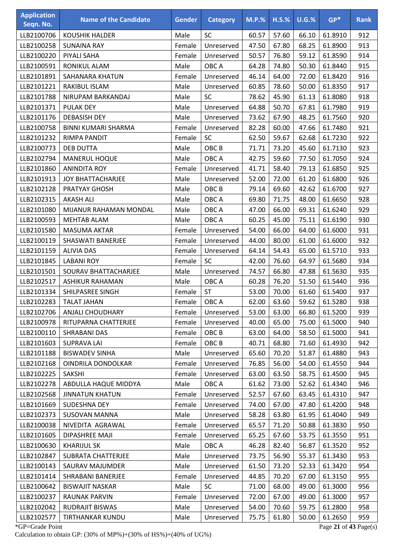| <b>Application</b><br>Seqn. No. | <b>Name of the Candidate</b> | <b>Gender</b> | <b>Category</b>  | $M.P.$ % | $H.S.\%$ | $U.G.\%$ | $GP*$   | <b>Rank</b> |
|---------------------------------|------------------------------|---------------|------------------|----------|----------|----------|---------|-------------|
| LLB2100706                      | <b>KOUSHIK HALDER</b>        | Male          | SC               | 60.57    | 57.60    | 66.10    | 61.8910 | 912         |
| LLB2100258                      | <b>SUNAINA RAY</b>           | Female        | Unreserved       | 47.50    | 67.80    | 68.25    | 61.8900 | 913         |
| LLB2100220                      | PIYALI SAHA                  | Female        | Unreserved       | 50.57    | 76.80    | 59.12    | 61.8590 | 914         |
| LLB2100591                      | RONIKUL ALAM                 | Male          | OBC A            | 64.28    | 74.80    | 50.30    | 61.8440 | 915         |
| LLB2101891                      | SAHANARA KHATUN              | Female        | Unreserved       | 46.14    | 64.00    | 72.00    | 61.8420 | 916         |
| LLB2101221                      | <b>RAKIBUL ISLAM</b>         | Male          | Unreserved       | 60.85    | 78.60    | 50.00    | 61.8350 | 917         |
| LLB2101788                      | NIRUPAM BARKANDAJ            | Male          | SC               | 78.62    | 45.90    | 61.13    | 61.8080 | 918         |
| LLB2101371                      | <b>PULAK DEY</b>             | Male          | Unreserved       | 64.88    | 50.70    | 67.81    | 61.7980 | 919         |
| LLB2101176                      | <b>DEBASISH DEY</b>          | Male          | Unreserved       | 73.62    | 67.90    | 48.25    | 61.7560 | 920         |
| LLB2100758                      | BINNI KUMARI SHARMA          | Female        | Unreserved       | 82.28    | 60.00    | 47.66    | 61.7480 | 921         |
| LLB2101232                      | <b>RIMPA PANDIT</b>          | Female        | SC               | 62.50    | 59.67    | 62.68    | 61.7230 | 922         |
| LLB2100773                      | <b>DEB DUTTA</b>             | Male          | OBC <sub>B</sub> | 71.71    | 73.20    | 45.60    | 61.7130 | 923         |
| LLB2102794                      | <b>MANERUL HOQUE</b>         | Male          | OBC A            | 42.75    | 59.60    | 77.50    | 61.7050 | 924         |
| LLB2101860                      | <b>ANINDITA ROY</b>          | Female        | Unreserved       | 41.71    | 58.40    | 79.13    | 61.6850 | 925         |
| LLB2101913                      | <b>JOY BHATTACHARJEE</b>     | Male          | Unreserved       | 52.00    | 72.00    | 61.20    | 61.6800 | 926         |
| LLB2102128                      | PRATYAY GHOSH                | Male          | OBC <sub>B</sub> | 79.14    | 69.60    | 42.62    | 61.6700 | 927         |
| LLB2102315                      | <b>AKASH ALI</b>             | Male          | OBC A            | 69.80    | 71.75    | 48.00    | 61.6650 | 928         |
| LLB2101080                      | MIJANUR RAHAMAN MONDAL       | Male          | OBC A            | 47.00    | 66.00    | 69.31    | 61.6240 | 929         |
| LLB2100593                      | <b>MEHTAB ALAM</b>           | Male          | OBC A            | 60.25    | 45.00    | 75.11    | 61.6190 | 930         |
| LLB2101580                      | <b>MASUMA AKTAR</b>          | Female        | Unreserved       | 54.00    | 66.00    | 64.00    | 61.6000 | 931         |
| LLB2100119                      | SHASWATI BANERJEE            | Female        | Unreserved       | 44.00    | 80.00    | 61.00    | 61.6000 | 932         |
| LLB2101159                      | <b>ALIVIA DAS</b>            | Female        | Unreserved       | 64.14    | 54.43    | 65.00    | 61.5710 | 933         |
| LLB2101845                      | <b>LABANI ROY</b>            | Female        | SC               | 42.00    | 76.60    | 64.97    | 61.5680 | 934         |
| LLB2101501                      | <b>SOURAV BHATTACHARJEE</b>  | Male          | Unreserved       | 74.57    | 66.80    | 47.88    | 61.5630 | 935         |
| LLB2102517                      | <b>ASHIKUR RAHAMAN</b>       | Male          | OBC A            | 60.28    | 76.20    | 51.50    | 61.5440 | 936         |
| LLB2101334                      | SHILPASREE SINGH             | Female        | ST               | 53.00    | 70.00    | 61.60    | 61.5400 | 937         |
| LLB2102283                      | <b>TALAT JAHAN</b>           | Female        | OBC A            | 62.00    | 63.60    | 59.62    | 61.5280 | 938         |
| LLB2102706                      | <b>ANJALI CHOUDHARY</b>      | Female        | Unreserved       | 53.00    | 63.00    | 66.80    | 61.5200 | 939         |
| LLB2100978                      | RITUPARNA CHATTERJEE         | Female        | Unreserved       | 40.00    | 65.00    | 75.00    | 61.5000 | 940         |
| LLB2100110                      | SHRABANI DAS                 | Female        | OBC <sub>B</sub> | 63.00    | 64.00    | 58.50    | 61.5000 | 941         |
| LLB2101603                      | <b>SUPRAVA LAI</b>           | Female        | OBC <sub>B</sub> | 40.71    | 68.80    | 71.60    | 61.4930 | 942         |
| LLB2101188                      | <b>BISWADEV SINHA</b>        | Male          | Unreserved       | 65.60    | 70.20    | 51.87    | 61.4880 | 943         |
| LLB2102168                      | OINDRILA DONDOLKAR           | Female        | Unreserved       | 76.85    | 56.00    | 54.00    | 61.4550 | 944         |
| LLB2102225                      | <b>SAKSHI</b>                | Female        | Unreserved       | 63.00    | 63.50    | 58.75    | 61.4500 | 945         |
| LLB2102278                      | ABDULLA HAQUE MIDDYA         | Male          | OBC A            | 61.62    | 73.00    | 52.62    | 61.4340 | 946         |
| LLB2102568                      | <b>JINNATUN KHATUN</b>       | Female        | Unreserved       | 52.57    | 67.60    | 63.45    | 61.4310 | 947         |
| LLB2101669                      | SUDESHNA DEY                 | Female        | Unreserved       | 74.00    | 67.00    | 47.80    | 61.4200 | 948         |
| LLB2102373                      | <b>SUSOVAN MANNA</b>         | Male          | Unreserved       | 58.28    | 63.80    | 61.95    | 61.4040 | 949         |
| LLB2100038                      | NIVEDITA AGRAWAL             | Female        | Unreserved       | 65.57    | 71.20    | 50.88    | 61.3830 | 950         |
| LLB2101605                      | DIPASHREE MAJI               | Female        | Unreserved       | 65.25    | 67.60    | 53.75    | 61.3550 | 951         |
| LLB2100630                      | <b>KHARIJUL SK</b>           | Male          | OBC A            | 46.28    | 82.40    | 56.87    | 61.3520 | 952         |
| LLB2102847                      | <b>SUBRATA CHATTERJEE</b>    | Male          | Unreserved       | 73.75    | 56.90    | 55.37    | 61.3430 | 953         |
| LLB2100143                      | SAURAV MAJUMDER              | Male          | Unreserved       | 61.50    | 73.20    | 52.33    | 61.3420 | 954         |
| LLB2101414                      | SHRABANI BANERJEE            | Female        | Unreserved       | 44.85    | 70.20    | 67.00    | 61.3150 | 955         |
| LLB2100642                      | <b>BISWAJIT NASKAR</b>       | Male          | SC               | 71.00    | 68.00    | 49.00    | 61.3000 | 956         |
| LLB2100237                      | RAUNAK PARVIN                | Female        | Unreserved       | 72.00    | 67.00    | 49.00    | 61.3000 | 957         |
| LLB2102042                      | <b>RUDRAJIT BISWAS</b>       | Male          | Unreserved       | 54.00    | 70.60    | 59.75    | 61.2800 | 958         |
| LLB2102577                      | TIRTHANKAR KUNDU             | Male          | Unreserved       | 75.75    | 61.80    | 50.00    | 61.2650 | 959         |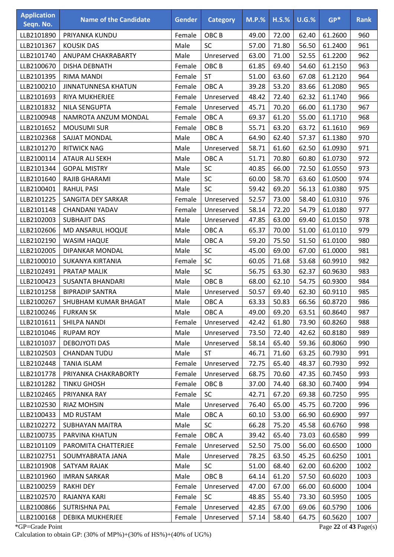| <b>Application</b><br>Seqn. No. | <b>Name of the Candidate</b> | <b>Gender</b> | <b>Category</b>  | <b>M.P.%</b> | $H.S.\%$ | <b>U.G.%</b> | $GP*$                 | <b>Rank</b> |
|---------------------------------|------------------------------|---------------|------------------|--------------|----------|--------------|-----------------------|-------------|
| LLB2101890                      | PRIYANKA KUNDU               | Female        | OBC <sub>B</sub> | 49.00        | 72.00    | 62.40        | 61.2600               | 960         |
| LLB2101367                      | <b>KOUSIK DAS</b>            | Male          | SC               | 57.00        | 71.80    | 56.50        | 61.2400               | 961         |
| LLB2101740                      | ANUPAM CHAKRABARTY           | Male          | Unreserved       | 63.00        | 71.00    | 52.55        | 61.2200               | 962         |
| LLB2100670                      | <b>DISHA DEBNATH</b>         | Female        | OBC <sub>B</sub> | 61.85        | 69.40    | 54.60        | 61.2150               | 963         |
| LLB2101395                      | RIMA MANDI                   | Female        | <b>ST</b>        | 51.00        | 63.60    | 67.08        | 61.2120               | 964         |
| LLB2100210                      | <b>JINNATUNNESA KHATUN</b>   | Female        | OBC A            | 39.28        | 53.20    | 83.66        | 61.2080               | 965         |
| LLB2101693                      | RIYA MUKHERJEE               | Female        | Unreserved       | 48.42        | 72.40    | 62.32        | 61.1740               | 966         |
| LLB2101832                      | <b>NILA SENGUPTA</b>         | Female        | Unreserved       | 45.71        | 70.20    | 66.00        | 61.1730               | 967         |
| LLB2100948                      | NAMROTA ANZUM MONDAL         | Female        | OBC A            | 69.37        | 61.20    | 55.00        | 61.1710               | 968         |
| LLB2101652                      | <b>MOUSUMI SUR</b>           | Female        | OBC <sub>B</sub> | 55.71        | 63.20    | 63.72        | 61.1610               | 969         |
| LLB2102368                      | SAJJAT MONDAL                | Male          | OBC A            | 64.90        | 62.40    | 57.37        | 61.1380               | 970         |
| LLB2101270                      | <b>RITWICK NAG</b>           | Male          | Unreserved       | 58.71        | 61.60    | 62.50        | 61.0930               | 971         |
| LLB2100114                      | <b>ATAUR ALI SEKH</b>        | Male          | OBC A            | 51.71        | 70.80    | 60.80        | 61.0730               | 972         |
| LLB2101344                      | <b>GOPAL MISTRY</b>          | Male          | SC               | 40.85        | 66.00    | 72.50        | 61.0550               | 973         |
| LLB2101640                      | RAJIB GHARAMI                | Male          | SC               | 60.00        | 58.70    | 63.60        | 61.0500               | 974         |
| LLB2100401                      | <b>RAHUL PASI</b>            | Male          | SC               | 59.42        | 69.20    | 56.13        | 61.0380               | 975         |
| LLB2101225                      | SANGITA DEY SARKAR           | Female        | Unreserved       | 52.57        | 73.00    | 58.40        | 61.0310               | 976         |
| LLB2101148                      | CHANDANI YADAV               | Female        | Unreserved       | 58.14        | 72.20    | 54.79        | 61.0180               | 977         |
| LLB2102003                      | <b>SUBHAJIT DAS</b>          | Male          | Unreserved       | 47.85        | 63.00    | 69.40        | 61.0150               | 978         |
| LLB2102606                      | MD ANSARUL HOQUE             | Male          | OBC A            | 65.37        | 70.00    | 51.00        | 61.0110               | 979         |
| LLB2102190                      | <b>WASIM HAQUE</b>           | Male          | OBC A            | 59.20        | 75.50    | 51.50        | 61.0100               | 980         |
| LLB2102005                      | DIPANKAR MONDAL              | Male          | SC               | 45.00        | 69.00    | 67.00        | 61.0000               | 981         |
| LLB2100010                      | SUKANYA KIRTANIA             | Female        | SC               | 60.05        | 71.68    | 53.68        | 60.9910               | 982         |
| LLB2102491                      | PRATAP MALIK                 | Male          | SC               | 56.75        | 63.30    | 62.37        | 60.9630               | 983         |
| LLB2100423                      | <b>SUSANTA BHANDARI</b>      | Male          | OBC <sub>B</sub> | 68.00        | 62.10    | 54.75        | 60.9300               | 984         |
| LLB2101258                      | <b>BIPRADIP SANTRA</b>       | Male          | Unreserved       | 50.57        | 69.40    | 62.30        | 60.9110               | 985         |
| LLB2100267                      | SHUBHAM KUMAR BHAGAT         | Male          | OBC A            | 63.33        | 50.83    | 66.56        | 60.8720               | 986         |
| LLB2100246                      | <b>FURKAN SK</b>             | Male          | OBC A            | 49.00        | 69.20    | 63.51        | 60.8640               | 987         |
| LLB2101611                      | SHILPA NANDI                 | Female        | Unreserved       | 42.42        | 61.80    | 73.90        | 60.8260               | 988         |
| LLB2101046                      | <b>RUPAM ROY</b>             | Male          | Unreserved       | 73.50        | 72.40    | 42.62        | 60.8180               | 989         |
| LLB2101037                      | <b>DEBOJYOTI DAS</b>         | Male          | Unreserved       | 58.14        | 65.40    | 59.36        | 60.8060               | 990         |
| LLB2102503                      | <b>CHANDAN TUDU</b>          | Male          | <b>ST</b>        | 46.71        | 71.60    | 63.25        | 60.7930               | 991         |
| LLB2102448                      | <b>TANIA ISLAM</b>           | Female        | Unreserved       | 72.75        | 65.40    | 48.37        | 60.7930               | 992         |
| LLB2101778                      | PRIYANKA CHAKRABORTY         | Female        | Unreserved       | 68.75        | 70.60    | 47.35        | 60.7450               | 993         |
| LLB2101282                      | <b>TINKU GHOSH</b>           | Female        | OBC <sub>B</sub> | 37.00        | 74.40    | 68.30        | 60.7400               | 994         |
| LLB2102465                      | PRIYANKA RAY                 | Female        | <b>SC</b>        | 42.71        | 67.20    | 69.38        | 60.7250               | 995         |
| LLB2102530                      | <b>RIAZ MOHSIN</b>           | Male          | Unreserved       | 76.40        | 65.00    | 45.75        | 60.7200               | 996         |
| LLB2100433                      | <b>MD RUSTAM</b>             | Male          | OBC A            | 60.10        | 53.00    | 66.90        | 60.6900               | 997         |
| LLB2102272                      | <b>SUBHAYAN MAITRA</b>       | Male          | <b>SC</b>        | 66.28        | 75.20    | 45.58        | 60.6760               | 998         |
| LLB2100735                      | PARVINA KHATUN               | Female        | OBC A            | 39.42        | 65.40    | 73.03        | 60.6580               | 999         |
| LLB2101109                      | PAROMITA CHATTERJEE          | Female        | Unreserved       | 52.50        | 75.00    | 56.00        | 60.6500               | 1000        |
| LLB2102751                      | SOUMYABRATA JANA             | Male          | Unreserved       | 78.25        | 63.50    | 45.25        | 60.6250               | 1001        |
| LLB2101908                      | SATYAM RAJAK                 | Male          | <b>SC</b>        | 51.00        | 68.40    | 62.00        | 60.6200               | 1002        |
| LLB2101960                      | <b>IMRAN SARKAR</b>          | Male          | OBC B            | 64.14        | 61.20    | 57.50        | 60.6020               | 1003        |
| LLB2100259                      | <b>RAKHI DEY</b>             | Female        | Unreserved       | 47.00        | 67.00    | 66.00        | 60.6000               | 1004        |
| LLB2102570                      | RAJANYA KARI                 | Female        | <b>SC</b>        | 48.85        | 55.40    | 73.30        | 60.5950               | 1005        |
| LLB2100866                      | SUTRISHNA PAL                | Female        | Unreserved       | 42.85        | 67.00    | 69.06        | 60.5790               | 1006        |
| LLB2100168                      | <b>DEBIKA MUKHERJEE</b>      | Female        | Unreserved       | 57.14        | 58.40    | 64.75        | 60.5620               | 1007        |
| *GP=Grade Point                 |                              |               |                  |              |          |              | Page 22 of 43 Page(s) |             |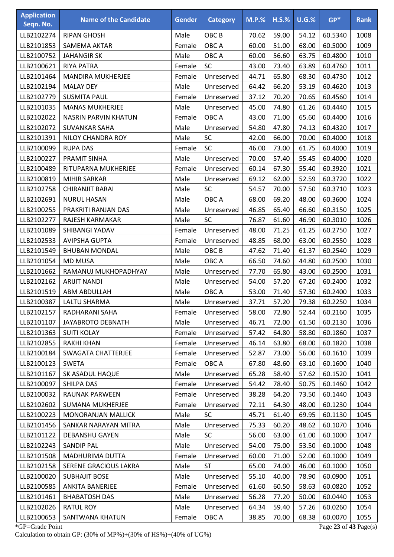| <b>Application</b><br>Seqn. No. | <b>Name of the Candidate</b> | <b>Gender</b> | <b>Category</b>  | $M.P.$ % | $H.S.\%$ | U.G.% | $GP*$   | <b>Rank</b> |
|---------------------------------|------------------------------|---------------|------------------|----------|----------|-------|---------|-------------|
| LLB2102274                      | <b>RIPAN GHOSH</b>           | Male          | OBC <sub>B</sub> | 70.62    | 59.00    | 54.12 | 60.5340 | 1008        |
| LLB2101853                      | <b>SAMEMA AKTAR</b>          | Female        | OBC A            | 60.00    | 51.00    | 68.00 | 60.5000 | 1009        |
| LLB2100752                      | <b>JAHANGIR SK</b>           | Male          | OBC A            | 60.00    | 56.60    | 63.75 | 60.4800 | 1010        |
| LLB2100621                      | <b>RIYA PATRA</b>            | Female        | <b>SC</b>        | 43.00    | 73.40    | 63.89 | 60.4760 | 1011        |
| LLB2101464                      | <b>MANDIRA MUKHERJEE</b>     | Female        | Unreserved       | 44.71    | 65.80    | 68.30 | 60.4730 | 1012        |
| LLB2102194                      | <b>MALAY DEY</b>             | Male          | Unreserved       | 64.42    | 66.20    | 53.19 | 60.4620 | 1013        |
| LLB2102779                      | <b>SUSMITA PAUL</b>          | Female        | Unreserved       | 37.12    | 70.20    | 70.65 | 60.4560 | 1014        |
| LLB2101035                      | <b>MANAS MUKHERJEE</b>       | Male          | Unreserved       | 45.00    | 74.80    | 61.26 | 60.4440 | 1015        |
| LLB2102022                      | NASRIN PARVIN KHATUN         | Female        | OBC A            | 43.00    | 71.00    | 65.60 | 60.4400 | 1016        |
| LLB2102072                      | <b>SUVANKAR SAHA</b>         | Male          | Unreserved       | 54.80    | 47.80    | 74.13 | 60.4320 | 1017        |
| LLB2101391                      | NILOY CHANDRA ROY            | Male          | SC               | 42.00    | 66.00    | 70.00 | 60.4000 | 1018        |
| LLB2100099                      | <b>RUPA DAS</b>              | Female        | <b>SC</b>        | 46.00    | 73.00    | 61.75 | 60.4000 | 1019        |
| LLB2100227                      | PRAMIT SINHA                 | Male          | Unreserved       | 70.00    | 57.40    | 55.45 | 60.4000 | 1020        |
| LLB2100489                      | RITUPARNA MUKHERJEE          | Female        | Unreserved       | 60.14    | 67.30    | 55.40 | 60.3920 | 1021        |
| LLB2100819                      | <b>MIHIR SARKAR</b>          | Male          | Unreserved       | 69.12    | 62.00    | 52.59 | 60.3720 | 1022        |
| LLB2102758                      | <b>CHIRANJIT BARAI</b>       | Male          | SC               | 54.57    | 70.00    | 57.50 | 60.3710 | 1023        |
| LLB2102691                      | <b>NURUL HASAN</b>           | Male          | OBC A            | 68.00    | 69.20    | 48.00 | 60.3600 | 1024        |
| LLB2100255                      | PRAKRITI RANJAN DAS          | Male          | Unreserved       | 46.85    | 65.40    | 66.60 | 60.3150 | 1025        |
| LLB2102277                      | RAJESH KARMAKAR              | Male          | <b>SC</b>        | 76.87    | 61.60    | 46.90 | 60.3010 | 1026        |
| LLB2101089                      | SHIBANGI YADAV               | Female        | Unreserved       | 48.00    | 71.25    | 61.25 | 60.2750 | 1027        |
| LLB2102533                      | <b>AVIPSHA GUPTA</b>         | Female        | Unreserved       | 48.85    | 68.00    | 63.00 | 60.2550 | 1028        |
| LLB2101549                      | <b>BHUBAN MONDAL</b>         | Male          | OBC <sub>B</sub> | 47.62    | 71.40    | 61.37 | 60.2540 | 1029        |
| LLB2101054                      | <b>MD MUSA</b>               | Male          | OBC A            | 66.50    | 74.60    | 44.80 | 60.2500 | 1030        |
| LLB2101662                      | RAMANUJ MUKHOPADHYAY         | Male          | Unreserved       | 77.70    | 65.80    | 43.00 | 60.2500 | 1031        |
| LLB2102162                      | <b>ARIJIT NANDI</b>          | Male          | Unreserved       | 54.00    | 57.20    | 67.20 | 60.2400 | 1032        |
| LLB2101519                      | ABM ABDULLAH                 | Male          | OBC A            | 53.00    | 71.40    | 57.30 | 60.2400 | 1033        |
| LLB2100387                      | LALTU SHARMA                 | Male          | Unreserved       | 37.71    | 57.20    | 79.38 | 60.2250 | 1034        |
| LLB2102157                      | RADHARANI SAHA               | Female        | Unreserved       | 58.00    | 72.80    | 52.44 | 60.2160 | 1035        |
| LLB2101107                      | JAYABROTO DEBNATH            | Male          | Unreserved       | 46.71    | 72.00    | 61.50 | 60.2130 | 1036        |
| LLB2101363                      | <b>SUITI KOLAY</b>           | Female        | Unreserved       | 57.42    | 64.80    | 58.80 | 60.1860 | 1037        |
| LLB2102855                      | <b>RAKHI KHAN</b>            | Female        | Unreserved       | 46.14    | 63.80    | 68.00 | 60.1820 | 1038        |
| LLB2100184                      | SWAGATA CHATTERJEE           | Female        | Unreserved       | 52.87    | 73.00    | 56.00 | 60.1610 | 1039        |
| LLB2100123                      | <b>SWETA</b>                 | Female        | OBC A            | 67.80    | 48.60    | 63.10 | 60.1600 | 1040        |
| LLB2101167                      | SK ASADUL HAQUE              | Male          | Unreserved       | 65.28    | 58.40    | 57.62 | 60.1520 | 1041        |
| LLB2100097                      | SHILPA DAS                   | Female        | Unreserved       | 54.42    | 78.40    | 50.75 | 60.1460 | 1042        |
| LLB2100032                      | RAUNAK PARWEEN               | Female        | Unreserved       | 38.28    | 64.20    | 73.50 | 60.1440 | 1043        |
| LLB2102602                      | <b>SUMANA MUKHERJEE</b>      | Female        | Unreserved       | 72.11    | 64.30    | 48.00 | 60.1230 | 1044        |
| LLB2100223                      | <b>MONORANJAN MALLICK</b>    | Male          | <b>SC</b>        | 45.71    | 61.40    | 69.95 | 60.1130 | 1045        |
| LLB2101456                      | SANKAR NARAYAN MITRA         | Male          | Unreserved       | 75.33    | 60.20    | 48.62 | 60.1070 | 1046        |
| LLB2101122                      | <b>DEBANSHU GAYEN</b>        | Male          | <b>SC</b>        | 56.00    | 63.00    | 61.00 | 60.1000 | 1047        |
| LLB2102243                      | <b>SANDIP PAL</b>            | Male          | Unreserved       | 54.00    | 75.00    | 53.50 | 60.1000 | 1048        |
| LLB2101508                      | MADHURIMA DUTTA              | Female        | Unreserved       | 60.00    | 71.00    | 52.00 | 60.1000 | 1049        |
| LLB2102158                      | SERENE GRACIOUS LAKRA        | Male          | <b>ST</b>        | 65.00    | 74.00    | 46.00 | 60.1000 | 1050        |
| LLB2100020                      | <b>SUBHAJIT BOSE</b>         | Male          | Unreserved       | 55.10    | 40.00    | 78.90 | 60.0900 | 1051        |
| LLB2100585                      | <b>ANKITA BANERJEE</b>       | Female        | Unreserved       | 61.60    | 60.50    | 58.63 | 60.0820 | 1052        |
| LLB2101461                      | <b>BHABATOSH DAS</b>         | Male          | Unreserved       | 56.28    | 77.20    | 50.00 | 60.0440 | 1053        |
| LLB2102026                      | <b>RATUL ROY</b>             | Male          | Unreserved       | 64.34    | 59.40    | 57.26 | 60.0260 | 1054        |
| LLB2100653                      | SANTWANA KHATUN              | Female        | OBC A            | 38.85    | 70.00    | 68.38 | 60.0070 | 1055        |
|                                 |                              |               |                  |          |          |       |         |             |

\*GP=Grade Point Page **23** of **43** Page(s) Calculation to obtain GP: (30% of MP%)+(30% of HS%)+(40% of UG%)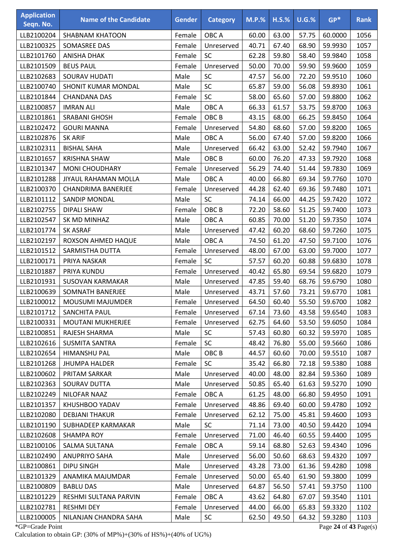| <b>Application</b><br>Seqn. No. | <b>Name of the Candidate</b> | <b>Gender</b> | <b>Category</b>  | <b>M.P.%</b> | $H.S.\%$ | $U.G.\%$ | $GP*$                 | <b>Rank</b> |
|---------------------------------|------------------------------|---------------|------------------|--------------|----------|----------|-----------------------|-------------|
|                                 |                              |               |                  |              |          |          |                       |             |
| LLB2100204                      | <b>SHABNAM KHATOON</b>       | Female        | OBC A            | 60.00        | 63.00    | 57.75    | 60.0000               | 1056        |
| LLB2100325                      | SOMASREE DAS                 | Female        | Unreserved       | 40.71        | 67.40    | 68.90    | 59.9930               | 1057        |
| LLB2101760                      | <b>ANISHA DHAK</b>           | Female        | <b>SC</b>        | 62.28        | 59.80    | 58.40    | 59.9840               | 1058        |
| LLB2101509                      | <b>BEUS PAUL</b>             | Female        | Unreserved       | 50.00        | 70.00    | 59.90    | 59.9600               | 1059        |
| LLB2102683                      | <b>SOURAV HUDATI</b>         | Male          | <b>SC</b>        | 47.57        | 56.00    | 72.20    | 59.9510               | 1060        |
| LLB2100740                      | <b>SHONIT KUMAR MONDAL</b>   | Male          | SC               | 65.87        | 59.00    | 56.08    | 59.8930               | 1061        |
| LLB2101844                      | <b>CHANDANA DAS</b>          | Female        | SC               | 58.00        | 65.60    | 57.00    | 59.8800               | 1062        |
| LLB2100857                      | <b>IMRAN ALI</b>             | Male          | OBC A            | 66.33        | 61.57    | 53.75    | 59.8700               | 1063        |
| LLB2101861                      | <b>SRABANI GHOSH</b>         | Female        | OBC <sub>B</sub> | 43.15        | 68.00    | 66.25    | 59.8450               | 1064        |
| LLB2102472                      | <b>GOURI MANNA</b>           | Female        | Unreserved       | 54.80        | 68.60    | 57.00    | 59.8200               | 1065        |
| LLB2102876                      | <b>SK ARIF</b>               | Male          | OBC A            | 56.00        | 67.40    | 57.00    | 59.8200               | 1066        |
| LLB2102311                      | <b>BISHAL SAHA</b>           | Male          | Unreserved       | 66.42        | 63.00    | 52.42    | 59.7940               | 1067        |
| LLB2101657                      | <b>KRISHNA SHAW</b>          | Male          | OBC <sub>B</sub> | 60.00        | 76.20    | 47.33    | 59.7920               | 1068        |
| LLB2101347                      | <b>MONI CHOUDHARY</b>        | Female        | Unreserved       | 56.29        | 74.40    | 51.44    | 59.7830               | 1069        |
| LLB2101288                      | <b>JIYAUL RAHAMAN MOLLA</b>  | Male          | OBC A            | 40.00        | 66.80    | 69.34    | 59.7760               | 1070        |
| LLB2100370                      | <b>CHANDRIMA BANERJEE</b>    | Female        | Unreserved       | 44.28        | 62.40    | 69.36    | 59.7480               | 1071        |
| LLB2101112                      | SANDIP MONDAL                | Male          | <b>SC</b>        | 74.14        | 66.00    | 44.25    | 59.7420               | 1072        |
| LLB2102755                      | <b>DIPALI SHAW</b>           | Female        | OBC <sub>B</sub> | 72.20        | 58.60    | 51.25    | 59.7400               | 1073        |
| LLB2102547                      | SK MD MINHAZ                 | Male          | OBC A            | 60.85        | 70.00    | 51.20    | 59.7350               | 1074        |
| LLB2101774                      | <b>SK ASRAF</b>              | Male          | Unreserved       | 47.42        | 60.20    | 68.60    | 59.7260               | 1075        |
| LLB2102197                      | ROXSON AHMED HAQUE           | Male          | OBC A            | 74.50        | 61.20    | 47.50    | 59.7100               | 1076        |
| LLB2101512                      | SARMISTHA DUTTA              | Female        | Unreserved       | 48.00        | 67.00    | 63.00    | 59.7000               | 1077        |
| LLB2100171                      | PRIYA NASKAR                 | Female        | <b>SC</b>        | 57.57        | 60.20    | 60.88    | 59.6830               | 1078        |
| LLB2101887                      | PRIYA KUNDU                  | Female        | Unreserved       | 40.42        | 65.80    | 69.54    | 59.6820               | 1079        |
| LLB2101931                      | <b>SUSOVAN KARMAKAR</b>      | Male          | Unreserved       | 47.85        | 59.40    | 68.76    | 59.6790               | 1080        |
| LLB2100639                      | <b>SOMNATH BANERJEE</b>      | Male          | Unreserved       | 43.71        | 57.60    | 73.21    | 59.6770               | 1081        |
| LLB2100012                      | <b>MOUSUMI MAJUMDER</b>      | Female        | Unreserved       | 64.50        | 60.40    | 55.50    | 59.6700               | 1082        |
| LLB2101712                      | SANCHITA PAUL                | Female        | Unreserved       | 67.14        | 73.60    | 43.58    | 59.6540               | 1083        |
| LLB2100331                      | <b>MOUTANI MUKHERJEE</b>     | Female        | Unreserved       | 62.75        | 64.60    | 53.50    | 59.6050               | 1084        |
| LLB2100851                      | RAJESH SHARMA                | Male          | <b>SC</b>        | 57.43        | 60.80    | 60.32    | 59.5970               | 1085        |
| LLB2102616                      | <b>SUSMITA SANTRA</b>        | Female        | <b>SC</b>        | 48.42        | 76.80    | 55.00    | 59.5660               | 1086        |
| LLB2102654                      | HIMANSHU PAL                 | Male          | OBC <sub>B</sub> | 44.57        | 60.60    | 70.00    | 59.5510               | 1087        |
| LLB2101268                      | <b>JHUMPA HALDER</b>         | Female        | <b>SC</b>        | 35.42        | 66.80    | 72.18    | 59.5380               | 1088        |
| LLB2100602                      | PRITAM SARKAR                | Male          | Unreserved       | 40.00        | 48.00    | 82.84    | 59.5360               | 1089        |
| LLB2102363                      | SOURAV DUTTA                 | Male          | Unreserved       | 50.85        | 65.40    | 61.63    | 59.5270               | 1090        |
| LLB2102249                      | NILOFAR NAAZ                 | Female        | OBC A            | 61.25        | 48.00    | 66.80    | 59.4950               | 1091        |
| LLB2101357                      | KHUSHBOO YADAV               | Female        | Unreserved       | 48.86        | 69.40    | 60.00    | 59.4780               | 1092        |
| LLB2102080                      | <b>DEBJANI THAKUR</b>        | Female        | Unreserved       | 62.12        | 75.00    | 45.81    | 59.4600               | 1093        |
| LLB2101190                      | SUBHADEEP KARMAKAR           | Male          | <b>SC</b>        | 71.14        | 73.00    | 40.50    | 59.4420               | 1094        |
| LLB2102608                      | <b>SHAMPA ROY</b>            | Female        | Unreserved       | 71.00        | 46.40    | 60.55    | 59.4400               | 1095        |
| LLB2100106                      | SALMA SULTANA                | Female        | OBC A            | 59.14        | 68.80    | 52.63    | 59.4340               | 1096        |
| LLB2102490                      | <b>ANUPRIYO SAHA</b>         | Male          | Unreserved       | 56.00        | 50.60    | 68.63    | 59.4320               | 1097        |
| LLB2100861                      | <b>DIPU SINGH</b>            | Male          | Unreserved       | 43.28        | 73.00    | 61.36    | 59.4280               | 1098        |
| LLB2101329                      | ANAMIKA MAJUMDAR             | Female        | Unreserved       | 50.00        | 65.40    | 61.90    | 59.3800               | 1099        |
| LLB2100809                      | <b>BABLU DAS</b>             | Male          | Unreserved       | 64.87        | 56.50    | 57.41    | 59.3750               | 1100        |
| LLB2101229                      | RESHMI SULTANA PARVIN        | Female        | OBC A            | 43.62        | 64.80    | 67.07    | 59.3540               | 1101        |
| LLB2102781                      | <b>RESHMI DEY</b>            | Female        | Unreserved       | 44.00        | 66.00    | 65.83    | 59.3320               | 1102        |
| LLB2100005                      | NILANJAN CHANDRA SAHA        | Male          | <b>SC</b>        | 62.50        | 49.50    | 64.32    | 59.3280               | 1103        |
| *GP=Grade Point                 |                              |               |                  |              |          |          | Page 24 of 43 Page(s) |             |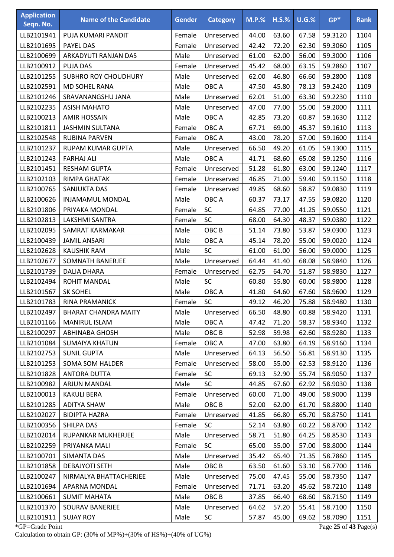| <b>Application</b><br>Seqn. No. | <b>Name of the Candidate</b> | <b>Gender</b> | <b>Category</b>  | $M.P.$ % | $H.S.\%$ | U.G.% | $GP*$   | <b>Rank</b> |
|---------------------------------|------------------------------|---------------|------------------|----------|----------|-------|---------|-------------|
| LLB2101941                      | PUJA KUMARI PANDIT           | Female        | Unreserved       | 44.00    | 63.60    | 67.58 | 59.3120 | 1104        |
| LLB2101695                      | PAYEL DAS                    | Female        | Unreserved       | 42.42    | 72.20    | 62.30 | 59.3060 | 1105        |
| LLB2100699                      | ARKADYUTI RANJAN DAS         | Male          | Unreserved       | 61.00    | 62.00    | 56.00 | 59.3000 | 1106        |
| LLB2100912                      | <b>PUJA DAS</b>              | Female        | Unreserved       | 45.42    | 68.00    | 63.15 | 59.2860 | 1107        |
| LLB2101255                      | <b>SUBHRO ROY CHOUDHURY</b>  | Male          | Unreserved       | 62.00    | 46.80    | 66.60 | 59.2800 | 1108        |
| LLB2102591                      | <b>MD SOHEL RANA</b>         | Male          | OBC A            | 47.50    | 45.80    | 78.13 | 59.2420 | 1109        |
| LLB2101246                      | SRAVANANGSHU JANA            | Male          | Unreserved       | 62.01    | 51.00    | 63.30 | 59.2230 | 1110        |
| LLB2102235                      | <b>ASISH MAHATO</b>          | Male          | Unreserved       | 47.00    | 77.00    | 55.00 | 59.2000 | 1111        |
| LLB2100213                      | <b>AMIR HOSSAIN</b>          | Male          | OBC A            | 42.85    | 73.20    | 60.87 | 59.1630 | 1112        |
| LLB2101811                      | <b>JASHMIN SULTANA</b>       | Female        | OBC A            | 67.71    | 69.00    | 45.37 | 59.1610 | 1113        |
| LLB2102548                      | <b>RUBINA PARVEN</b>         | Female        | OBC A            | 43.00    | 78.20    | 57.00 | 59.1600 | 1114        |
| LLB2101237                      | <b>RUPAM KUMAR GUPTA</b>     | Male          | Unreserved       | 66.50    | 49.20    | 61.05 | 59.1300 | 1115        |
| LLB2101243                      | <b>FARHAJ ALI</b>            | Male          | OBC A            | 41.71    | 68.60    | 65.08 | 59.1250 | 1116        |
| LLB2101451                      | <b>RESHAM GUPTA</b>          | Female        | Unreserved       | 51.28    | 61.80    | 63.00 | 59.1240 | 1117        |
| LLB2102103                      | RIMPA GHATAK                 | Female        | Unreserved       | 46.85    | 71.00    | 59.40 | 59.1150 | 1118        |
| LLB2100765                      | <b>SANJUKTA DAS</b>          | Female        | Unreserved       | 49.85    | 68.60    | 58.87 | 59.0830 | 1119        |
| LLB2100626                      | INJAMAMUL MONDAL             | Male          | OBC A            | 60.37    | 73.17    | 47.55 | 59.0820 | 1120        |
| LLB2101806                      | PRIYAKA MONDAL               | Female        | SC               | 64.85    | 77.00    | 41.25 | 59.0550 | 1121        |
| LLB2102813                      | LAKSHMI SANTRA               | Female        | <b>SC</b>        | 68.00    | 64.30    | 48.37 | 59.0380 | 1122        |
| LLB2102095                      | SAMRAT KARMAKAR              | Male          | OBC <sub>B</sub> | 51.14    | 73.80    | 53.87 | 59.0300 | 1123        |
| LLB2100439                      | <b>JAMIL ANSARI</b>          | Male          | OBC A            | 45.14    | 78.20    | 55.00 | 59.0020 | 1124        |
| LLB2102628                      | <b>KAUSHIK RAM</b>           | Male          | <b>SC</b>        | 61.00    | 61.00    | 56.00 | 59.0000 | 1125        |
| LLB2102677                      | SOMNATH BANERJEE             | Male          | Unreserved       | 64.44    | 41.40    | 68.08 | 58.9840 | 1126        |
| LLB2101739                      | <b>DALIA DHARA</b>           | Female        | Unreserved       | 62.75    | 64.70    | 51.87 | 58.9830 | 1127        |
| LLB2102494                      | <b>ROHIT MANDAL</b>          | Male          | <b>SC</b>        | 60.80    | 55.80    | 60.00 | 58.9800 | 1128        |
| LLB2101567                      | <b>SK SOHEL</b>              | Male          | OBC A            | 41.80    | 64.60    | 67.60 | 58.9600 | 1129        |
| LLB2101783                      | <b>RINA PRAMANICK</b>        | Female        | SC               | 49.12    | 46.20    | 75.88 | 58.9480 | 1130        |
| LLB2102497                      | <b>BHARAT CHANDRA MAITY</b>  | Male          | Unreserved       | 66.50    | 48.80    | 60.88 | 58.9420 | 1131        |
| LLB2101166                      | <b>MANIRUL ISLAM</b>         | Male          | OBC A            | 47.42    | 71.20    | 58.37 | 58.9340 | 1132        |
| LLB2100297                      | ABHINABA GHOSH               | Male          | OBC <sub>B</sub> | 52.98    | 59.98    | 62.60 | 58.9280 | 1133        |
| LLB2101084                      | <b>SUMAIYA KHATUN</b>        | Female        | OBC A            | 47.00    | 63.80    | 64.19 | 58.9160 | 1134        |
| LLB2102753                      | <b>SUNIL GUPTA</b>           | Male          | Unreserved       | 64.13    | 56.50    | 56.81 | 58.9130 | 1135        |
| LLB2101253                      | SOMA SOM HALDER              | Female        | Unreserved       | 58.00    | 55.00    | 62.53 | 58.9120 | 1136        |
| LLB2101828                      | <b>ANTORA DUTTA</b>          | Female        | <b>SC</b>        | 69.13    | 52.90    | 55.74 | 58.9050 | 1137        |
| LLB2100982                      | <b>ARJUN MANDAL</b>          | Male          | <b>SC</b>        | 44.85    | 67.60    | 62.92 | 58.9030 | 1138        |
| LLB2100013                      | <b>KAKULI BERA</b>           | Female        | Unreserved       | 60.00    | 71.00    | 49.00 | 58.9000 | 1139        |
| LLB2101285                      | ADITYA SHAW                  | Male          | OBC <sub>B</sub> | 52.00    | 62.00    | 61.70 | 58.8800 | 1140        |
| LLB2102027                      | <b>BIDIPTA HAZRA</b>         | Female        | Unreserved       | 41.85    | 66.80    | 65.70 | 58.8750 | 1141        |
| LLB2100356                      | SHILPA DAS                   | Female        | <b>SC</b>        | 52.14    | 63.80    | 60.22 | 58.8700 | 1142        |
| LLB2102014                      | RUPANKAR MUKHERJEE           | Male          | Unreserved       | 58.71    | 51.80    | 64.25 | 58.8530 | 1143        |
| LLB2102259                      | PRIYANKA MALI                | Female        | <b>SC</b>        | 65.00    | 55.00    | 57.00 | 58.8000 | 1144        |
| LLB2100701                      | SIMANTA DAS                  | Male          | Unreserved       | 35.42    | 65.40    | 71.35 | 58.7860 | 1145        |
| LLB2101858                      | DEBAJYOTI SETH               | Male          | OBC <sub>B</sub> | 63.50    | 61.60    | 53.10 | 58.7700 | 1146        |
| LLB2100247                      | NIRMALYA BHATTACHERJEE       | Male          | Unreserved       | 75.00    | 47.45    | 55.00 | 58.7350 | 1147        |
| LLB2101694                      | APARNA MONDAL                | Female        | Unreserved       | 71.71    | 63.20    | 45.62 | 58.7210 | 1148        |
| LLB2100661                      | <b>SUMIT MAHATA</b>          | Male          | OBC B            | 37.85    | 66.40    | 68.60 | 58.7150 | 1149        |
| LLB2101370                      | SOURAV BANERJEE              | Male          | Unreserved       | 64.62    | 57.20    | 55.41 | 58.7100 | 1150        |
| LLB2101911                      | <b>SUJAY ROY</b>             | Male          | SC               | 57.87    | 45.00    | 69.62 | 58.7090 | 1151        |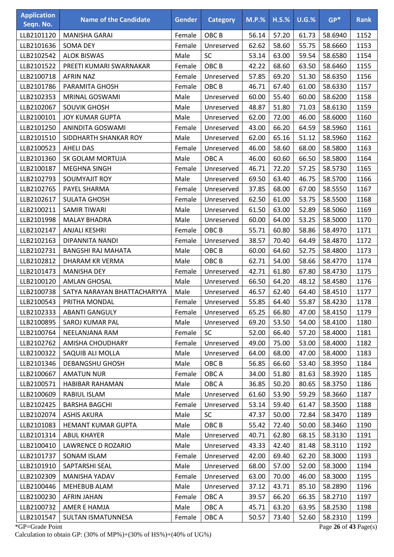| <b>Application</b><br>Seqn. No. | <b>Name of the Candidate</b> | <b>Gender</b> | <b>Category</b>  | <b>M.P.%</b> | $H.S.\%$ | U.G.% | $GP*$   | <b>Rank</b> |
|---------------------------------|------------------------------|---------------|------------------|--------------|----------|-------|---------|-------------|
| LLB2101120                      | <b>MANISHA GARAI</b>         | Female        | OBC <sub>B</sub> | 56.14        | 57.20    | 61.73 | 58.6940 | 1152        |
| LLB2101636                      | <b>SOMA DEY</b>              | Female        | Unreserved       | 62.62        | 58.60    | 55.75 | 58.6660 | 1153        |
| LLB2102542                      | <b>ALOK BISWAS</b>           | Male          | SC               | 53.14        | 63.00    | 59.54 | 58.6580 | 1154        |
| LLB2101522                      | PREETI KUMARI SWARNAKAR      | Female        | OBC <sub>B</sub> | 42.22        | 68.60    | 63.50 | 58.6460 | 1155        |
| LLB2100718                      | <b>AFRIN NAZ</b>             | Female        | Unreserved       | 57.85        | 69.20    | 51.30 | 58.6350 | 1156        |
| LLB2101786                      | PARAMITA GHOSH               | Female        | OBC <sub>B</sub> | 46.71        | 67.40    | 61.00 | 58.6330 | 1157        |
| LLB2102353                      | MRINAL GOSWAMI               | Male          | Unreserved       | 60.00        | 55.40    | 60.00 | 58.6200 | 1158        |
| LLB2102067                      | <b>SOUVIK GHOSH</b>          | Male          | Unreserved       | 48.87        | 51.80    | 71.03 | 58.6130 | 1159        |
| LLB2100101                      | <b>JOY KUMAR GUPTA</b>       | Male          | Unreserved       | 62.00        | 72.00    | 46.00 | 58.6000 | 1160        |
| LLB2101250                      | ANINDITA GOSWAMI             | Female        | Unreserved       | 43.00        | 66.20    | 64.59 | 58.5960 | 1161        |
| LLB2101510                      | SIDDHARTH SHANKAR ROY        | Male          | Unreserved       | 62.00        | 65.16    | 51.12 | 58.5960 | 1162        |
| LLB2100523                      | <b>AHELI DAS</b>             | Female        | Unreserved       | 46.00        | 58.60    | 68.00 | 58.5800 | 1163        |
| LLB2101360                      | SK GOLAM MORTUJA             | Male          | OBC A            | 46.00        | 60.60    | 66.50 | 58.5800 | 1164        |
| LLB2100187                      | <b>MEGHNA SINGH</b>          | Female        | Unreserved       | 46.71        | 72.20    | 57.25 | 58.5730 | 1165        |
| LLB2102793                      | <b>SOUMYAJIT ROY</b>         | Male          | Unreserved       | 69.50        | 63.40    | 46.75 | 58.5700 | 1166        |
| LLB2102765                      | PAYEL SHARMA                 | Female        | Unreserved       | 37.85        | 68.00    | 67.00 | 58.5550 | 1167        |
| LLB2102617                      | <b>SULATA GHOSH</b>          | Female        | Unreserved       | 62.50        | 61.00    | 53.75 | 58.5500 | 1168        |
| LLB2100211                      | <b>SAMIR TIWARI</b>          | Male          | Unreserved       | 61.50        | 63.00    | 52.89 | 58.5060 | 1169        |
| LLB2101998                      | <b>MALAY BHADRA</b>          | Male          | Unreserved       | 60.00        | 64.00    | 53.25 | 58.5000 | 1170        |
| LLB2102147                      | <b>ANJALI KESHRI</b>         | Female        | OBC <sub>B</sub> | 55.71        | 60.80    | 58.86 | 58.4970 | 1171        |
| LLB2102163                      | DIPANNITA NANDI              | Female        | Unreserved       | 38.57        | 70.40    | 64.49 | 58.4870 | 1172        |
| LLB2102731                      | <b>BANGSHI RAJ MAHATA</b>    | Male          | OBC <sub>B</sub> | 60.00        | 64.60    | 52.75 | 58.4800 | 1173        |
| LLB2102812                      | DHARAM KR VERMA              | Male          | OBC <sub>B</sub> | 62.71        | 54.00    | 58.66 | 58.4770 | 1174        |
| LLB2101473                      | <b>MANISHA DEY</b>           | Female        | Unreserved       | 42.71        | 61.80    | 67.80 | 58.4730 | 1175        |
| LLB2100120                      | <b>AMLAN GHOSAL</b>          | Male          | Unreserved       | 66.50        | 64.20    | 48.12 | 58.4580 | 1176        |
| LLB2100738                      | SATYA NARAYAN BHATTACHARYYA  | Male          | Unreserved       | 46.57        | 62.40    | 64.40 | 58.4510 | 1177        |
| LLB2100543                      | PRITHA MONDAL                | Female        | Unreserved       | 55.85        | 64.40    | 55.87 | 58.4230 | 1178        |
| LLB2102333                      | <b>ABANTI GANGULY</b>        | Female        | Unreserved       | 65.25        | 66.80    | 47.00 | 58.4150 | 1179        |
| LLB2100895                      | SAROJ KUMAR PAL              | Male          | Unreserved       | 69.20        | 53.50    | 54.00 | 58.4100 | 1180        |
| LLB2100764                      | NEELANJANA RAM               | Female        | <b>SC</b>        | 52.00        | 66.40    | 57.20 | 58.4000 | 1181        |
| LLB2102762                      | AMISHA CHOUDHARY             | Female        | Unreserved       | 49.00        | 75.00    | 53.00 | 58.4000 | 1182        |
| LLB2100322                      | SAQUIB ALI MOLLA             | Male          | Unreserved       | 64.00        | 68.00    | 47.00 | 58.4000 | 1183        |
| LLB2101346                      | <b>DEBANGSHU GHOSH</b>       | Male          | OBC <sub>B</sub> | 56.85        | 66.60    | 53.40 | 58.3950 | 1184        |
| LLB2100667                      | <b>AMATUN NUR</b>            | Female        | OBC A            | 34.00        | 51.80    | 81.63 | 58.3920 | 1185        |
| LLB2100571                      | <b>HABIBAR RAHAMAN</b>       | Male          | OBC A            | 36.85        | 50.20    | 80.65 | 58.3750 | 1186        |
| LLB2100609                      | RABIUL ISLAM                 | Male          | Unreserved       | 61.60        | 53.90    | 59.29 | 58.3660 | 1187        |
| LLB2102425                      | <b>BARSHA BAGCHI</b>         | Female        | Unreserved       | 53.14        | 59.40    | 61.47 | 58.3500 | 1188        |
| LLB2102074                      | <b>ASHIS AKURA</b>           | Male          | <b>SC</b>        | 47.37        | 50.00    | 72.84 | 58.3470 | 1189        |
| LLB2101083                      | HEMANT KUMAR GUPTA           | Male          | OBC <sub>B</sub> | 55.42        | 72.40    | 50.00 | 58.3460 | 1190        |
| LLB2101314                      | <b>ABUL KHAYER</b>           | Male          | Unreserved       | 40.71        | 62.80    | 68.15 | 58.3130 | 1191        |
| LLB2100410                      | LAWRENCE D ROZARIO           | Male          | Unreserved       | 43.33        | 42.40    | 81.48 | 58.3110 | 1192        |
| LLB2101737                      | SONAM ISLAM                  | Female        | Unreserved       | 42.00        | 69.40    | 62.20 | 58.3000 | 1193        |
| LLB2101910                      | SAPTARSHI SEAL               | Male          | Unreserved       | 68.00        | 57.00    | 52.00 | 58.3000 | 1194        |
| LLB2102309                      | MANISHA YADAV                | Female        | Unreserved       | 63.00        | 70.00    | 46.00 | 58.3000 | 1195        |
| LLB2100446                      | MEHEBUB ALAM                 | Male          | Unreserved       | 37.12        | 43.71    | 85.10 | 58.2890 | 1196        |
| LLB2100230                      | AFRIN JAHAN                  | Female        | OBC A            | 39.57        | 66.20    | 66.35 | 58.2710 | 1197        |
| LLB2100732                      | AMER E HAMJA                 | Male          | OBC A            | 45.71        | 63.20    | 63.95 | 58.2530 | 1198        |
| LLB2101547                      | SULTAN ISMATUNNESA           | Female        | OBC A            | 50.57        | 73.40    | 52.60 | 58.2310 | 1199        |

\*GP=Grade Point Page **26** of **43** Page(s) Calculation to obtain GP: (30% of MP%)+(30% of HS%)+(40% of UG%)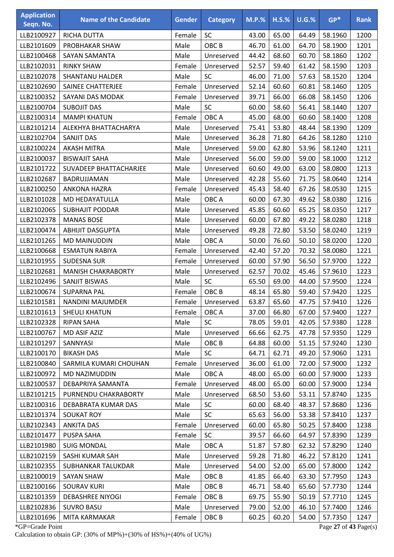| <b>Application</b><br>Seqn. No. | <b>Name of the Candidate</b> | <b>Gender</b> | <b>Category</b>  | $M.P.$ % | $H.S.\%$ | U.G.% | $GP*$   | <b>Rank</b> |
|---------------------------------|------------------------------|---------------|------------------|----------|----------|-------|---------|-------------|
| LLB2100927                      | RICHA DUTTA                  | Female        | <b>SC</b>        | 43.00    | 65.00    | 64.49 | 58.1960 | 1200        |
| LLB2101609                      | PROBHAKAR SHAW               | Male          | OBC <sub>B</sub> | 46.70    | 61.00    | 64.70 | 58.1900 | 1201        |
| LLB2100468                      | SAYAN SAMANTA                | Male          | Unreserved       | 44.42    | 68.60    | 60.70 | 58.1860 | 1202        |
| LLB2102031                      | <b>RINKY SHAW</b>            | Female        | Unreserved       | 52.57    | 59.40    | 61.42 | 58.1590 | 1203        |
| LLB2102078                      | <b>SHANTANU HALDER</b>       | Male          | <b>SC</b>        | 46.00    | 71.00    | 57.63 | 58.1520 | 1204        |
| LLB2102690                      | SAINEE CHATTERJEE            | Female        | Unreserved       | 52.14    | 60.60    | 60.81 | 58.1460 | 1205        |
| LLB2100352                      | SAYANI DAS MODAK             | Female        | Unreserved       | 39.71    | 66.00    | 66.08 | 58.1450 | 1206        |
| LLB2100704                      | <b>SUBOJIT DAS</b>           | Male          | <b>SC</b>        | 60.00    | 58.60    | 56.41 | 58.1440 | 1207        |
| LLB2100314                      | <b>MAMPI KHATUN</b>          | Female        | OBC A            | 45.00    | 68.00    | 60.60 | 58.1400 | 1208        |
| LLB2101214                      | ALEKHYA BHATTACHARYA         | Male          | Unreserved       | 75.41    | 53.80    | 48.44 | 58.1390 | 1209        |
| LLB2102704                      | <b>SANJIT DAS</b>            | Male          | Unreserved       | 36.28    | 71.80    | 64.26 | 58.1280 | 1210        |
| LLB2100224                      | <b>AKASH MITRA</b>           | Male          | Unreserved       | 59.00    | 62.80    | 53.96 | 58.1240 | 1211        |
| LLB2100037                      | <b>BISWAJIT SAHA</b>         | Male          | Unreserved       | 56.00    | 59.00    | 59.00 | 58.1000 | 1212        |
| LLB2101722                      | SUVADEEP BHATTACHARJEE       | Male          | Unreserved       | 60.60    | 49.00    | 63.00 | 58.0800 | 1213        |
| LLB2102687                      | BADRUJJAMAN                  | Male          | Unreserved       | 42.28    | 55.60    | 71.75 | 58.0640 | 1214        |
| LLB2100250                      | <b>ANKONA HAZRA</b>          | Female        | Unreserved       | 45.43    | 58.40    | 67.26 | 58.0530 | 1215        |
| LLB2101028                      | MD HEDAYATULLA               | Male          | OBC A            | 60.00    | 67.30    | 49.62 | 58.0380 | 1216        |
| LLB2102065                      | <b>SUBHAJIT PODDAR</b>       | Male          | Unreserved       | 45.85    | 60.60    | 65.25 | 58.0350 | 1217        |
| LLB2102378                      | <b>MANAS BOSE</b>            | Male          | Unreserved       | 60.00    | 67.80    | 49.22 | 58.0280 | 1218        |
| LLB2100474                      | <b>ABHIJIT DASGUPTA</b>      | Male          | Unreserved       | 49.28    | 72.80    | 53.50 | 58.0240 | 1219        |
| LLB2101265                      | <b>MD MAINUDDIN</b>          | Male          | OBC A            | 50.00    | 76.60    | 50.10 | 58.0200 | 1220        |
| LLB2100668                      | <b>ESMATUN RABIYA</b>        | Female        | Unreserved       | 42.40    | 57.20    | 70.32 | 58.0080 | 1221        |
| LLB2101955                      | <b>SUDESNA SUR</b>           | Female        | Unreserved       | 60.00    | 57.90    | 56.50 | 57.9700 | 1222        |
| LLB2102681                      | <b>MANISH CHAKRABORTY</b>    | Male          | Unreserved       | 62.57    | 70.02    | 45.46 | 57.9610 | 1223        |
| LLB2102496                      | SANJIT BISWAS                | Male          | <b>SC</b>        | 65.50    | 69.00    | 44.00 | 57.9500 | 1224        |
| LLB2100674                      | <b>SUPARNA PAL</b>           | Female        | OBC <sub>B</sub> | 48.14    | 65.80    | 59.40 | 57.9420 | 1225        |
| LLB2101581                      | NANDINI MAJUMDER             | Female        | Unreserved       | 63.87    | 65.60    | 47.75 | 57.9410 | 1226        |
| LLB2101613                      | <b>SHEULI KHATUN</b>         | Female        | OBC A            | 37.00    | 66.80    | 67.00 | 57.9400 | 1227        |
| LLB2102328                      | <b>RIPAN SAHA</b>            | Male          | <b>SC</b>        | 78.05    | 59.01    | 42.05 | 57.9380 | 1228        |
| LLB2100767                      | MD ASIF AZIZ                 | Male          | Unreserved       | 66.66    | 62.75    | 47.78 | 57.9350 | 1229        |
| LLB2101297                      | SANNYASI                     | Male          | OBC <sub>B</sub> | 64.88    | 60.00    | 51.15 | 57.9240 | 1230        |
| LLB2100170                      | <b>BIKASH DAS</b>            | Male          | <b>SC</b>        | 64.71    | 62.71    | 49.20 | 57.9060 | 1231        |
| LLB2100840                      | SARMILA KUMARI CHOUHAN       | Female        | Unreserved       | 36.00    | 61.00    | 72.00 | 57.9000 | 1232        |
| LLB2100972                      | MD NAZIMUDDIN                | Male          | OBC A            | 48.00    | 65.00    | 60.00 | 57.9000 | 1233        |
| LLB2100537                      | DEBAPRIYA SAMANTA            | Female        | Unreserved       | 48.00    | 65.00    | 60.00 | 57.9000 | 1234        |
| LLB2101215                      | PURNENDU CHAKRABORTY         | Male          | Unreserved       | 68.50    | 53.60    | 53.11 | 57.8740 | 1235        |
| LLB2100316                      | DEBABRATA KUMAR DAS          | Male          | <b>SC</b>        | 60.00    | 68.40    | 48.37 | 57.8680 | 1236        |
| LLB2101374                      | <b>SOUKAT ROY</b>            | Male          | <b>SC</b>        | 65.63    | 56.00    | 53.38 | 57.8410 | 1237        |
| LLB2102343                      | <b>ANKITA DAS</b>            | Female        | Unreserved       | 60.00    | 65.80    | 50.25 | 57.8400 | 1238        |
| LLB2101477                      | PUSPA SAHA                   | Female        | <b>SC</b>        | 39.57    | 66.60    | 64.97 | 57.8390 | 1239        |
| LLB2101980                      | <b>SUIG MONDAL</b>           | Male          | OBC A            | 51.87    | 57.80    | 62.32 | 57.8290 | 1240        |
| LLB2102159                      | SASHI KUMAR SAH              | Male          | Unreserved       | 59.28    | 71.80    | 46.22 | 57.8120 | 1241        |
| LLB2102355                      | SUBHANKAR TALUKDAR           | Male          | Unreserved       | 54.00    | 52.00    | 65.00 | 57.8000 | 1242        |
| LLB2100019                      | <b>SAYAN SHAW</b>            | Male          | OBC <sub>B</sub> | 41.85    | 66.40    | 63.30 | 57.7950 | 1243        |
| LLB2100166                      | <b>SOURAV KURI</b>           | Male          | OBC <sub>B</sub> | 46.71    | 58.40    | 65.60 | 57.7730 | 1244        |
| LLB2101359                      | <b>DEBASHREE NIYOGI</b>      | Female        | OBC <sub>B</sub> | 69.75    | 55.90    | 50.19 | 57.7710 | 1245        |
| LLB2102836                      | <b>SUVRO BASU</b>            | Male          | Unreserved       | 79.00    | 52.00    | 46.10 | 57.7400 | 1246        |
| LLB2101696                      | MITA KARMAKAR                | Female        | OBC <sub>B</sub> | 60.25    | 60.20    | 54.00 | 57.7350 | 1247        |

\*GP=Grade Point Page **27** of **43** Page(s) Calculation to obtain GP: (30% of MP%)+(30% of HS%)+(40% of UG%)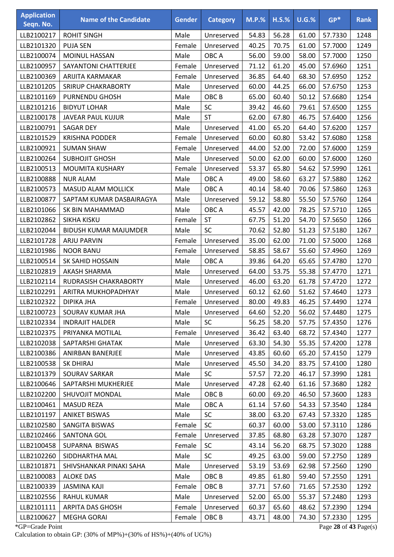| <b>Application</b><br>Seqn. No. | <b>Name of the Candidate</b> | <b>Gender</b> | <b>Category</b>  | $M.P.$ % | $H.S.\%$ | U.G.% | $GP*$   | <b>Rank</b> |
|---------------------------------|------------------------------|---------------|------------------|----------|----------|-------|---------|-------------|
| LLB2100217                      | <b>ROHIT SINGH</b>           | Male          | Unreserved       | 54.83    | 56.28    | 61.00 | 57.7330 | 1248        |
| LLB2101320                      | <b>PUJA SEN</b>              | Female        | Unreserved       | 40.25    | 70.75    | 61.00 | 57.7000 | 1249        |
| LLB2100074                      | MOINUL HASSAN                | Male          | OBC A            | 56.00    | 59.00    | 58.00 | 57.7000 | 1250        |
| LLB2100957                      | <b>SAYANTONI CHATTERJEE</b>  | Female        | Unreserved       | 71.12    | 61.20    | 45.00 | 57.6960 | 1251        |
| LLB2100369                      | ARIJITA KARMAKAR             | Female        | Unreserved       | 36.85    | 64.40    | 68.30 | 57.6950 | 1252        |
| LLB2101205                      | <b>SRIRUP CHAKRABORTY</b>    | Male          | Unreserved       | 60.00    | 44.25    | 66.00 | 57.6750 | 1253        |
| LLB2101169                      | <b>PURNENDU GHOSH</b>        | Male          | OBC <sub>B</sub> | 65.00    | 60.40    | 50.12 | 57.6680 | 1254        |
| LLB2101216                      | <b>BIDYUT LOHAR</b>          | Male          | SC               | 39.42    | 46.60    | 79.61 | 57.6500 | 1255        |
| LLB2100178                      | <b>JAVEAR PAUL KUJUR</b>     | Male          | <b>ST</b>        | 62.00    | 67.80    | 46.75 | 57.6400 | 1256        |
| LLB2100791                      | <b>SAGAR DEY</b>             | Male          | Unreserved       | 41.00    | 65.20    | 64.40 | 57.6200 | 1257        |
| LLB2101529                      | <b>KRISHNA PODDER</b>        | Female        | Unreserved       | 60.00    | 60.80    | 53.42 | 57.6080 | 1258        |
| LLB2100921                      | <b>SUMAN SHAW</b>            | Female        | Unreserved       | 44.00    | 52.00    | 72.00 | 57.6000 | 1259        |
| LLB2100264                      | <b>SUBHOJIT GHOSH</b>        | Male          | Unreserved       | 50.00    | 62.00    | 60.00 | 57.6000 | 1260        |
| LLB2100513                      | <b>MOUMITA KUSHARY</b>       | Female        | Unreserved       | 53.37    | 65.80    | 54.62 | 57.5990 | 1261        |
| LLB2100888                      | <b>NUR ALAM</b>              | Male          | OBC A            | 49.00    | 58.60    | 63.27 | 57.5880 | 1262        |
| LLB2100573                      | <b>MASUD ALAM MOLLICK</b>    | Male          | OBC A            | 40.14    | 58.40    | 70.06 | 57.5860 | 1263        |
| LLB2100877                      | SAPTAM KUMAR DASBAIRAGYA     | Male          | Unreserved       | 59.12    | 58.80    | 55.50 | 57.5760 | 1264        |
| LLB2101066                      | SK BIN MAHAMMAD              | Male          | OBC A            | 45.57    | 42.00    | 78.25 | 57.5710 | 1265        |
| LLB2102862                      | SIKHA KISKU                  | Female        | <b>ST</b>        | 67.75    | 51.20    | 54.70 | 57.5650 | 1266        |
| LLB2102044                      | <b>BIDUSH KUMAR MAJUMDER</b> | Male          | <b>SC</b>        | 70.62    | 52.80    | 51.23 | 57.5180 | 1267        |
| LLB2101728                      | <b>ARJU PARVIN</b>           | Female        | Unreserved       | 35.00    | 62.00    | 71.00 | 57.5000 | 1268        |
| LLB2101986                      | <b>NOOR BANU</b>             | Female        | Unreserved       | 58.85    | 58.67    | 55.60 | 57.4960 | 1269        |
| LLB2100514                      | SK SAHID HOSSAIN             | Male          | OBC A            | 39.86    | 64.20    | 65.65 | 57.4780 | 1270        |
| LLB2102819                      | AKASH SHARMA                 | Male          | Unreserved       | 64.00    | 53.75    | 55.38 | 57.4770 | 1271        |
| LLB2102114                      | RUDRASISH CHAKRABORTY        | Male          | Unreserved       | 46.00    | 63.20    | 61.78 | 57.4720 | 1272        |
| LLB2102291                      | ARITRA MUKHOPADHYAY          | Male          | Unreserved       | 60.12    | 62.60    | 51.62 | 57.4640 | 1273        |
| LLB2102322                      | DIPIKA JHA                   | Female        | Unreserved       | 80.00    | 49.83    | 46.25 | 57.4490 | 1274        |
| LLB2100723                      | SOURAV KUMAR JHA             | Male          | Unreserved       | 64.60    | 52.20    | 56.02 | 57.4480 | 1275        |
| LLB2102334                      | <b>INDRAJIT HALDER</b>       | Male          | <b>SC</b>        | 56.25    | 58.20    | 57.75 | 57.4350 | 1276        |
| LLB2102375                      | PRIYANKA MOTILAL             | Female        | Unreserved       | 36.42    | 63.40    | 68.72 | 57.4340 | 1277        |
| LLB2102038                      | SAPTARSHI GHATAK             | Male          | Unreserved       | 63.30    | 54.30    | 55.35 | 57.4200 | 1278        |
| LLB2100386                      | ANIRBAN BANERJEE             | Male          | Unreserved       | 43.85    | 60.60    | 65.20 | 57.4150 | 1279        |
| LLB2100538                      | <b>SK DHIRAJ</b>             | Male          | Unreserved       | 45.50    | 34.20    | 83.75 | 57.4100 | 1280        |
| LLB2101379                      | SOURAV SARKAR                | Male          | <b>SC</b>        | 57.57    | 72.20    | 46.17 | 57.3990 | 1281        |
| LLB2100646                      | SAPTARSHI MUKHERJEE          | Male          | Unreserved       | 47.28    | 62.40    | 61.16 | 57.3680 | 1282        |
| LLB2102200                      | SHUVOJIT MONDAL              | Male          | OBC <sub>B</sub> | 60.00    | 69.20    | 46.50 | 57.3600 | 1283        |
| LLB2100461                      | <b>MASUD REZA</b>            | Male          | OBC A            | 61.14    | 57.60    | 54.33 | 57.3540 | 1284        |
| LLB2101197                      | <b>ANIKET BISWAS</b>         | Male          | SC               | 38.00    | 63.20    | 67.43 | 57.3320 | 1285        |
| LLB2102580                      | SANGITA BISWAS               | Female        | <b>SC</b>        | 60.37    | 60.00    | 53.00 | 57.3110 | 1286        |
| LLB2102466                      | <b>SANTONA GOL</b>           | Female        | Unreserved       | 37.85    | 68.80    | 63.28 | 57.3070 | 1287        |
| LLB2100458                      | SUPARNA BISWAS               | Female        | <b>SC</b>        | 43.14    | 56.20    | 68.75 | 57.3020 | 1288        |
| LLB2102260                      | SIDDHARTHA MAL               | Male          | <b>SC</b>        | 49.25    | 63.00    | 59.00 | 57.2750 | 1289        |
| LLB2101871                      | SHIVSHANKAR PINAKI SAHA      | Male          | Unreserved       | 53.19    | 53.69    | 62.98 | 57.2560 | 1290        |
| LLB2100083                      | <b>ALOKE DAS</b>             | Male          | OBC <sub>B</sub> | 49.85    | 61.80    | 59.40 | 57.2550 | 1291        |
| LLB2100339                      | <b>JASMINA KAJI</b>          | Female        | OBC <sub>B</sub> | 37.71    | 57.60    | 71.65 | 57.2530 | 1292        |
| LLB2102556                      | RAHUL KUMAR                  | Male          | Unreserved       | 52.00    | 65.00    | 55.37 | 57.2480 | 1293        |
| LLB2101111                      | ARPITA DAS GHOSH             | Female        | Unreserved       | 60.37    | 65.60    | 48.62 | 57.2390 | 1294        |
| LLB2100627                      | <b>MEGHA GORAI</b>           | Female        | OBC <sub>B</sub> | 43.71    | 48.00    | 74.30 | 57.2330 | 1295        |

\*GP=Grade Point Page **28** of **43** Page(s) Calculation to obtain GP: (30% of MP%)+(30% of HS%)+(40% of UG%)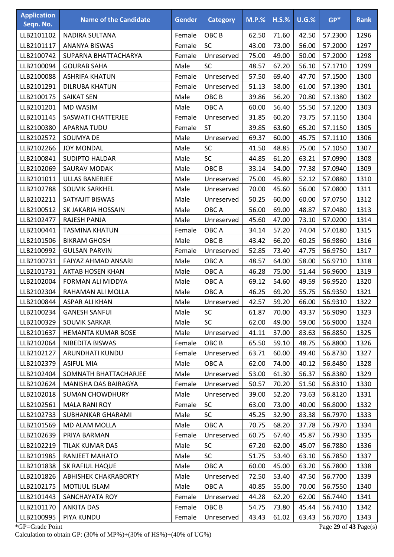| <b>Application</b><br>Seqn. No. | <b>Name of the Candidate</b> | <b>Gender</b> | <b>Category</b>  | <b>M.P.%</b> | $H.S.\%$ | U.G.% | $GP*$   | <b>Rank</b> |
|---------------------------------|------------------------------|---------------|------------------|--------------|----------|-------|---------|-------------|
| LLB2101102                      | NADIRA SULTANA               | Female        | OBC <sub>B</sub> | 62.50        | 71.60    | 42.50 | 57.2300 | 1296        |
| LLB2101117                      | <b>ANANYA BISWAS</b>         | Female        | SC               | 43.00        | 73.00    | 56.00 | 57.2000 | 1297        |
| LLB2100742                      | SUPARNA BHATTACHARYA         | Female        | Unreserved       | 75.00        | 49.00    | 50.00 | 57.2000 | 1298        |
| LLB2100094                      | <b>GOURAB SAHA</b>           | Male          | SC               | 48.57        | 67.20    | 56.10 | 57.1710 | 1299        |
| LLB2100088                      | <b>ASHRIFA KHATUN</b>        | Female        | Unreserved       | 57.50        | 69.40    | 47.70 | 57.1500 | 1300        |
| LLB2101291                      | DILRUBA KHATUN               | Female        | Unreserved       | 51.13        | 58.00    | 61.00 | 57.1390 | 1301        |
| LLB2100175                      | <b>SAIKAT SEN</b>            | Male          | OBC <sub>B</sub> | 39.86        | 56.20    | 70.80 | 57.1380 | 1302        |
| LLB2101201                      | <b>MD WASIM</b>              | Male          | OBC A            | 60.00        | 56.40    | 55.50 | 57.1200 | 1303        |
| LLB2101145                      | SASWATI CHATTERJEE           | Female        | Unreserved       | 31.85        | 60.20    | 73.75 | 57.1150 | 1304        |
| LLB2100380                      | APARNA TUDU                  | Female        | <b>ST</b>        | 39.85        | 63.60    | 65.20 | 57.1150 | 1305        |
| LLB2102572                      | SOUMYA DE                    | Male          | Unreserved       | 69.37        | 60.00    | 45.75 | 57.1110 | 1306        |
| LLB2102266                      | <b>JOY MONDAL</b>            | Male          | SC               | 41.50        | 48.85    | 75.00 | 57.1050 | 1307        |
| LLB2100841                      | <b>SUDIPTO HALDAR</b>        | Male          | SC               | 44.85        | 61.20    | 63.21 | 57.0990 | 1308        |
| LLB2102069                      | SAURAV MODAK                 | Male          | OBC <sub>B</sub> | 33.14        | 54.00    | 77.38 | 57.0940 | 1309        |
| LLB2101011                      | <b>ULLAS BANERJEE</b>        | Male          | Unreserved       | 75.00        | 45.80    | 52.12 | 57.0880 | 1310        |
| LLB2102788                      | SOUVIK SARKHEL               | Male          | Unreserved       | 70.00        | 45.60    | 56.00 | 57.0800 | 1311        |
| LLB2102211                      | SATYAJIT BISWAS              | Male          | Unreserved       | 50.25        | 60.00    | 60.00 | 57.0750 | 1312        |
| LLB2100512                      | SK JAKARIA HOSSAIN           | Male          | OBC A            | 56.00        | 69.00    | 48.87 | 57.0480 | 1313        |
| LLB2102477                      | RAJESH PANJA                 | Male          | Unreserved       | 45.60        | 47.00    | 73.10 | 57.0200 | 1314        |
| LLB2100441                      | TASMINA KHATUN               | Female        | OBC A            | 34.14        | 57.20    | 74.04 | 57.0180 | 1315        |
| LLB2101506                      | <b>BIKRAM GHOSH</b>          | Male          | OBC <sub>B</sub> | 43.42        | 66.20    | 60.25 | 56.9860 | 1316        |
| LLB2100992                      | <b>GULSAN PARVIN</b>         | Female        | Unreserved       | 52.85        | 73.40    | 47.75 | 56.9750 | 1317        |
| LLB2100731                      | FAIYAZ AHMAD ANSARI          | Male          | OBC A            | 48.57        | 64.00    | 58.00 | 56.9710 | 1318        |
| LLB2101731                      | <b>AKTAB HOSEN KHAN</b>      | Male          | OBC A            | 46.28        | 75.00    | 51.44 | 56.9600 | 1319        |
| LLB2102004                      | <b>FORMAN ALI MIDDYA</b>     | Male          | OBC A            | 69.12        | 54.60    | 49.59 | 56.9520 | 1320        |
| LLB2102304                      | RAHAMAN ALI MOLLA            | Male          | OBC A            | 46.25        | 69.20    | 55.75 | 56.9350 | 1321        |
| LLB2100844                      | <b>ASPAR ALI KHAN</b>        | Male          | Unreserved       | 42.57        | 59.20    | 66.00 | 56.9310 | 1322        |
| LLB2100234                      | <b>GANESH SANFUI</b>         | Male          | <b>SC</b>        | 61.87        | 70.00    | 43.37 | 56.9090 | 1323        |
| LLB2100329                      | SOUVIK SARKAR                | Male          | <b>SC</b>        | 62.00        | 49.00    | 59.00 | 56.9000 | 1324        |
| LLB2101637                      | <b>HEMANTA KUMAR BOSE</b>    | Male          | Unreserved       | 41.11        | 37.00    | 83.63 | 56.8850 | 1325        |
| LLB2102064                      | NIBEDITA BISWAS              | Female        | OBC <sub>B</sub> | 65.50        | 59.10    | 48.75 | 56.8800 | 1326        |
| LLB2102127                      | ARUNDHATI KUNDU              | Female        | Unreserved       | 63.71        | 60.00    | 49.40 | 56.8730 | 1327        |
| LLB2102379                      | <b>ASIFUL MIA</b>            | Male          | OBC A            | 62.00        | 74.00    | 40.12 | 56.8480 | 1328        |
| LLB2102404                      | SOMNATH BHATTACHARJEE        | Male          | Unreserved       | 53.00        | 61.30    | 56.37 | 56.8380 | 1329        |
| LLB2102624                      | MANISHA DAS BAIRAGYA         | Female        | Unreserved       | 50.57        | 70.20    | 51.50 | 56.8310 | 1330        |
| LLB2102018                      | <b>SUMAN CHOWDHURY</b>       | Male          | Unreserved       | 39.00        | 52.20    | 73.63 | 56.8120 | 1331        |
| LLB2102561                      | <b>MALA RANI ROY</b>         | Female        | <b>SC</b>        | 63.00        | 73.00    | 40.00 | 56.8000 | 1332        |
| LLB2102733                      | <b>SUBHANKAR GHARAMI</b>     | Male          | <b>SC</b>        | 45.25        | 32.90    | 83.38 | 56.7970 | 1333        |
| LLB2101569                      | MD ALAM MOLLA                | Male          | OBC A            | 70.75        | 68.20    | 37.78 | 56.7970 | 1334        |
| LLB2102639                      | PRIYA BARMAN                 | Female        | Unreserved       | 60.75        | 67.40    | 45.87 | 56.7930 | 1335        |
| LLB2102219                      | TILAK KUMAR DAS              | Male          | <b>SC</b>        | 67.20        | 62.00    | 45.07 | 56.7880 | 1336        |
| LLB2101985                      | RANJEET MAHATO               | Male          | <b>SC</b>        | 51.75        | 53.40    | 63.10 | 56.7850 | 1337        |
| LLB2101838                      | SK RAFIUL HAQUE              | Male          | OBC A            | 60.00        | 45.00    | 63.20 | 56.7800 | 1338        |
| LLB2101826                      | <b>ABHISHEK CHAKRABORTY</b>  | Male          | Unreserved       | 72.50        | 53.40    | 47.50 | 56.7700 | 1339        |
| LLB2102175                      | <b>MOTIJUL ISLAM</b>         | Male          | OBC A            | 40.85        | 55.00    | 70.00 | 56.7550 | 1340        |
| LLB2101443                      | SANCHAYATA ROY               | Female        | Unreserved       | 44.28        | 62.20    | 62.00 | 56.7440 | 1341        |
| LLB2101170                      | <b>ANKITA DAS</b>            | Female        | OBC <sub>B</sub> | 54.75        | 73.80    | 45.44 | 56.7410 | 1342        |
| LLB2100995                      | PIYA KUNDU                   | Female        | Unreserved       | 43.43        | 61.02    | 63.43 | 56.7070 | 1343        |

\*GP=Grade Point Page **29** of **43** Page(s) Calculation to obtain GP: (30% of MP%)+(30% of HS%)+(40% of UG%)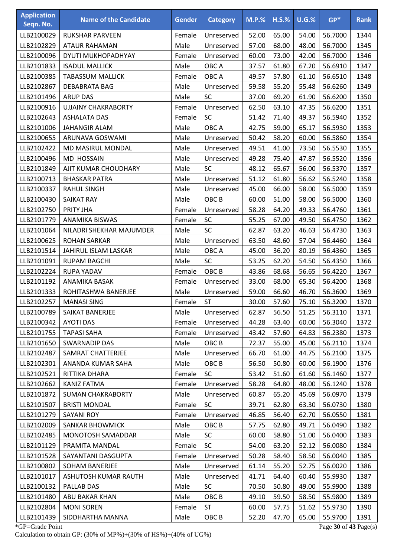| <b>Application</b><br>Seqn. No. | <b>Name of the Candidate</b> | <b>Gender</b> | <b>Category</b>  | $M.P.$ % | $H.S.\%$ | U.G.% | $GP*$   | <b>Rank</b> |
|---------------------------------|------------------------------|---------------|------------------|----------|----------|-------|---------|-------------|
| LLB2100029                      | <b>RUKSHAR PARVEEN</b>       | Female        | Unreserved       | 52.00    | 65.00    | 54.00 | 56.7000 | 1344        |
| LLB2102829                      | <b>ATAUR RAHAMAN</b>         | Male          | Unreserved       | 57.00    | 68.00    | 48.00 | 56.7000 | 1345        |
| LLB2100096                      | DYUTI MUKHOPADHYAY           | Female        | Unreserved       | 60.00    | 73.00    | 42.00 | 56.7000 | 1346        |
| LLB2101833                      | <b>ISADUL MALLICK</b>        | Male          | OBC A            | 37.57    | 61.80    | 67.20 | 56.6910 | 1347        |
| LLB2100385                      | <b>TABASSUM MALLICK</b>      | Female        | OBC A            | 49.57    | 57.80    | 61.10 | 56.6510 | 1348        |
| LLB2102867                      | <b>DEBABRATA BAG</b>         | Male          | Unreserved       | 59.58    | 55.20    | 55.48 | 56.6260 | 1349        |
| LLB2101496                      | <b>ARUP DAS</b>              | Male          | <b>SC</b>        | 37.00    | 69.20    | 61.90 | 56.6200 | 1350        |
| LLB2100916                      | <b>UJJAINY CHAKRABORTY</b>   | Female        | Unreserved       | 62.50    | 63.10    | 47.35 | 56.6200 | 1351        |
| LLB2102643                      | <b>ASHALATA DAS</b>          | Female        | SC               | 51.42    | 71.40    | 49.37 | 56.5940 | 1352        |
| LLB2101006                      | <b>JAHANGIR ALAM</b>         | Male          | OBC A            | 42.75    | 59.00    | 65.17 | 56.5930 | 1353        |
| LLB2100655                      | ARUNAVA GOSWAMI              | Male          | Unreserved       | 50.42    | 58.20    | 60.00 | 56.5860 | 1354        |
| LLB2102422                      | MD MASIRUL MONDAL            | Male          | Unreserved       | 49.51    | 41.00    | 73.50 | 56.5530 | 1355        |
| LLB2100496                      | MD HOSSAIN                   | Male          | Unreserved       | 49.28    | 75.40    | 47.87 | 56.5520 | 1356        |
| LLB2101849                      | AJIT KUMAR CHOUDHARY         | Male          | SC               | 48.12    | 65.67    | 56.00 | 56.5370 | 1357        |
| LLB2100713                      | <b>BHASKAR PATRA</b>         | Male          | Unreserved       | 51.12    | 61.80    | 56.62 | 56.5240 | 1358        |
| LLB2100337                      | <b>RAHUL SINGH</b>           | Male          | Unreserved       | 45.00    | 66.00    | 58.00 | 56.5000 | 1359        |
| LLB2100430                      | SAIKAT RAY                   | Male          | OBC <sub>B</sub> | 60.00    | 51.00    | 58.00 | 56.5000 | 1360        |
| LLB2102750                      | PRITY JHA                    | Female        | Unreserved       | 58.28    | 64.20    | 49.33 | 56.4760 | 1361        |
| LLB2101779                      | <b>ANAMIKA BISWAS</b>        | Female        | SC               | 55.25    | 67.00    | 49.50 | 56.4750 | 1362        |
| LLB2101064                      | NILADRI SHEKHAR MAJUMDER     | Male          | <b>SC</b>        | 62.87    | 63.20    | 46.63 | 56.4730 | 1363        |
| LLB2100625                      | <b>ROHAN SARKAR</b>          | Male          | Unreserved       | 63.50    | 48.60    | 57.04 | 56.4460 | 1364        |
| LLB2101514                      | JAHIRUL ISLAM LASKAR         | Male          | OBC A            | 45.00    | 36.20    | 80.19 | 56.4360 | 1365        |
| LLB2101091                      | <b>RUPAM BAGCHI</b>          | Male          | SC               | 53.25    | 62.20    | 54.50 | 56.4350 | 1366        |
| LLB2102224                      | <b>RUPA YADAV</b>            | Female        | OBC <sub>B</sub> | 43.86    | 68.68    | 56.65 | 56.4220 | 1367        |
| LLB2101192                      | ANAMIKA BASAK                | Female        | Unreserved       | 33.00    | 68.00    | 65.30 | 56.4200 | 1368        |
| LLB2101333                      | ROHITASHWA BANERJEE          | Male          | Unreserved       | 59.00    | 66.60    | 46.70 | 56.3600 | 1369        |
| LLB2102257                      | <b>MANASI SING</b>           | Female        | <b>ST</b>        | 30.00    | 57.60    | 75.10 | 56.3200 | 1370        |
| LLB2100789                      | SAIKAT BANERJEE              | Male          | Unreserved       | 62.87    | 56.50    | 51.25 | 56.3110 | 1371        |
| LLB2100342                      | <b>AYOTI DAS</b>             | Female        | Unreserved       | 44.28    | 63.40    | 60.00 | 56.3040 | 1372        |
| LLB2101755                      | <b>TAPASI SAHA</b>           | Female        | Unreserved       | 43.42    | 57.60    | 64.83 | 56.2380 | 1373        |
| LLB2101650                      | <b>SWARNADIP DAS</b>         | Male          | OBC <sub>B</sub> | 72.37    | 55.00    | 45.00 | 56.2110 | 1374        |
| LLB2102487                      | SAMRAT CHATTERJEE            | Male          | Unreserved       | 66.70    | 61.00    | 44.75 | 56.2100 | 1375        |
| LLB2102301                      | ANANDA KUMAR SAHA            | Male          | OBC <sub>B</sub> | 56.50    | 50.80    | 60.00 | 56.1900 | 1376        |
| LLB2102521                      | RITTIKA DHARA                | Female        | <b>SC</b>        | 53.42    | 51.60    | 61.60 | 56.1460 | 1377        |
| LLB2102662                      | <b>KANIZ FATMA</b>           | Female        | Unreserved       | 58.28    | 64.80    | 48.00 | 56.1240 | 1378        |
| LLB2101872                      | <b>SUMAN CHAKRABORTY</b>     | Male          | Unreserved       | 60.87    | 65.20    | 45.69 | 56.0970 | 1379        |
| LLB2101507                      | <b>BRISTI MONDAL</b>         | Female        | <b>SC</b>        | 39.71    | 62.80    | 63.30 | 56.0730 | 1380        |
| LLB2101279                      | <b>SAYANI ROY</b>            | Female        | Unreserved       | 46.85    | 56.40    | 62.70 | 56.0550 | 1381        |
| LLB2102009                      | <b>SANKAR BHOWMICK</b>       | Male          | OBC <sub>B</sub> | 57.75    | 62.80    | 49.71 | 56.0490 | 1382        |
| LLB2102485                      | MONOTOSH SAMADDAR            | Male          | <b>SC</b>        | 60.00    | 58.80    | 51.00 | 56.0400 | 1383        |
| LLB2101129                      | PRAMITA MANDAL               | Female        | <b>SC</b>        | 54.00    | 63.20    | 52.12 | 56.0080 | 1384        |
| LLB2101528                      | SAYANTANI DASGUPTA           | Female        | Unreserved       | 50.28    | 58.40    | 58.50 | 56.0040 | 1385        |
| LLB2100802                      | SOHAM BANERJEE               | Male          | Unreserved       | 61.14    | 55.20    | 52.75 | 56.0020 | 1386        |
| LLB2101017                      | ASHUTOSH KUMAR RAUTH         | Male          | Unreserved       | 41.71    | 64.40    | 60.40 | 55.9930 | 1387        |
| LLB2100132                      | PALLAB DAS                   | Male          | <b>SC</b>        | 70.50    | 50.80    | 49.00 | 55.9900 | 1388        |
| LLB2101480                      | ABU BAKAR KHAN               | Male          | OBC <sub>B</sub> | 49.10    | 59.50    | 58.50 | 55.9800 | 1389        |
| LLB2102804                      | <b>MONI SOREN</b>            | Female        | <b>ST</b>        | 60.00    | 57.75    | 51.62 | 55.9730 | 1390        |
| LLB2101439                      | SIDDHARTHA MANNA             | Male          | OBC <sub>B</sub> | 52.20    | 47.70    | 65.00 | 55.9700 | 1391        |

\*GP=Grade Point Page **30** of **43** Page(s) Calculation to obtain GP: (30% of MP%)+(30% of HS%)+(40% of UG%)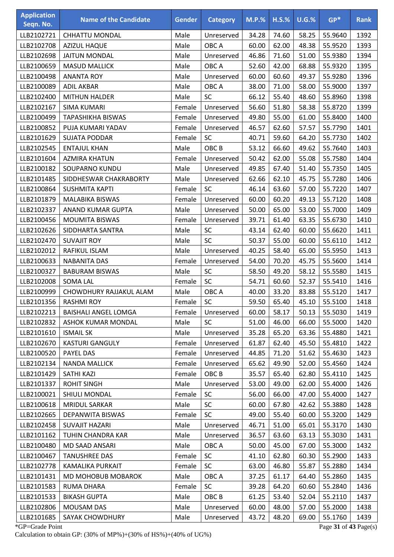| <b>Application</b><br>Seqn. No. | <b>Name of the Candidate</b> | <b>Gender</b> | <b>Category</b>               | <b>M.P.%</b>   | $H.S.\%$       | $U.G.\%$ | $GP*$                 | <b>Rank</b>  |
|---------------------------------|------------------------------|---------------|-------------------------------|----------------|----------------|----------|-----------------------|--------------|
|                                 | <b>CHHATTU MONDAL</b>        | Male          |                               |                |                | 58.25    | 55.9640               | 1392         |
| LLB2102721<br>LLB2102708        |                              | Male          | Unreserved<br>OBC A           | 34.28<br>60.00 | 74.60<br>62.00 |          | 55.9520               |              |
|                                 | <b>AZIZUL HAQUE</b>          |               |                               |                |                | 48.38    |                       | 1393         |
| LLB2102698                      | <b>JAITUN MONDAL</b>         | Male          | Unreserved                    | 46.86          | 71.60          | 51.00    | 55.9380               | 1394         |
| LLB2100659                      | <b>MASUD MALLICK</b>         | Male          | OBC A                         | 52.60          | 42.00          | 68.88    | 55.9320               | 1395         |
| LLB2100498                      | <b>ANANTA ROY</b>            | Male          | Unreserved                    | 60.00          | 60.60          | 49.37    | 55.9280               | 1396         |
| LLB2100089                      | <b>ADIL AKBAR</b>            | Male          | OBC A                         | 38.00          | 71.00          | 58.00    | 55.9000               | 1397         |
| LLB2102400                      | <b>MITHUN HALDER</b>         | Male          | <b>SC</b>                     | 66.12          | 55.40          | 48.60    | 55.8960               | 1398         |
| LLB2102167                      | <b>SIMA KUMARI</b>           | Female        | Unreserved                    | 56.60          | 51.80          | 58.38    | 55.8720               | 1399         |
| LLB2100499                      | <b>TAPASHIKHA BISWAS</b>     | Female        | Unreserved                    | 49.80          | 55.00          | 61.00    | 55.8400               | 1400         |
| LLB2100852                      | PUJA KUMARI YADAV            | Female        | Unreserved                    | 46.57          | 62.60          | 57.57    | 55.7790               | 1401         |
| LLB2101629                      | <b>SUJATA PODDAR</b>         | Female        | <b>SC</b><br>OBC <sub>B</sub> | 40.71          | 59.60          | 64.20    | 55.7730               | 1402         |
| LLB2102545<br>LLB2101604        | <b>ENTAJUL KHAN</b>          | Male          |                               | 53.12          | 66.60          | 49.62    | 55.7640               | 1403         |
|                                 | <b>AZMIRA KHATUN</b>         | Female        | Unreserved                    | 50.42          | 62.00          | 55.08    | 55.7580               | 1404<br>1405 |
| LLB2100182                      | SOUPARNO KUNDU               | Male          | Unreserved                    | 49.85          | 67.40          | 51.40    | 55.7350               |              |
| LLB2101485                      | SIDDHESWAR CHAKRABORTY       | Male          | Unreserved                    | 62.66          | 62.10          | 45.75    | 55.7280               | 1406         |
| LLB2100864                      | <b>SUSHMITA KAPTI</b>        | Female        | SC                            | 46.14          | 63.60          | 57.00    | 55.7220               | 1407         |
| LLB2101879                      | MALABIKA BISWAS              | Female        | Unreserved                    | 60.00          | 60.20          | 49.13    | 55.7120               | 1408         |
| LLB2102337                      | ANAND KUMAR GUPTA            | Male          | Unreserved                    | 50.00          | 65.00          | 53.00    | 55.7000               | 1409         |
| LLB2100456                      | <b>MOUMITA BISWAS</b>        | Female        | Unreserved                    | 39.71          | 61.40          | 63.35    | 55.6730               | 1410         |
| LLB2102626                      | SIDDHARTA SANTRA             | Male          | <b>SC</b>                     | 43.14          | 62.40          | 60.00    | 55.6620               | 1411         |
| LLB2102470                      | <b>SUVAJIT ROY</b>           | Male          | SC                            | 50.37          | 55.00          | 60.00    | 55.6110               | 1412         |
| LLB2102012                      | RAFIKUL ISLAM                | Male          | Unreserved                    | 40.25          | 58.40          | 65.00    | 55.5950               | 1413         |
| LLB2100633                      | <b>NABANITA DAS</b>          | Female        | Unreserved                    | 54.00          | 70.20          | 45.75    | 55.5600               | 1414         |
| LLB2100327                      | <b>BABURAM BISWAS</b>        | Male          | SC                            | 58.50          | 49.20          | 58.12    | 55.5580               | 1415         |
| LLB2102008                      | <b>SOMA LAL</b>              | Female        | SC                            | 54.71          | 60.60          | 52.37    | 55.5410               | 1416         |
| LLB2100999                      | CHOWDHURY RAJJAKUL ALAM      | Male          | OBC A                         | 40.00          | 33.20          | 83.88    | 55.5120               | 1417         |
| LLB2101356                      | <b>RASHMI ROY</b>            | Female        | <b>SC</b>                     | 59.50          | 65.40          | 45.10    | 55.5100               | 1418         |
| LLB2102213                      | <b>BAISHALI ANGEL LOMGA</b>  | Female        | Unreserved                    | 60.00          | 58.17          | 50.13    | 55.5030               | 1419         |
| LLB2102832                      | ASHOK KUMAR MONDAL           | Male          | <b>SC</b>                     | 51.00          | 46.00          | 66.00    | 55.5000               | 1420         |
| LLB2101610                      | <b>ISMAIL SK</b>             | Male          | Unreserved                    | 35.28          | 65.20          | 63.36    | 55.4880               | 1421         |
| LLB2102670                      | <b>KASTURI GANGULY</b>       | Female        | Unreserved                    | 61.87          | 62.40          | 45.50    | 55.4810               | 1422         |
| LLB2100520                      | <b>PAYEL DAS</b>             | Female        | Unreserved                    | 44.85          | 71.20          | 51.62    | 55.4630               | 1423         |
| LLB2102134                      | <b>NANDA MALLICK</b>         | Female        | Unreserved                    | 65.62          | 49.90          | 52.00    | 55.4560               | 1424         |
| LLB2101429                      | <b>SATHI KAZI</b>            | Female        | OBC <sub>B</sub>              | 35.57          | 65.40          | 62.80    | 55.4110               | 1425         |
| LLB2101337                      | <b>ROHIT SINGH</b>           | Male          | Unreserved                    | 53.00          | 49.00          | 62.00    | 55.4000               | 1426         |
| LLB2100021                      | SHIULI MONDAL                | Female        | <b>SC</b>                     | 56.00          | 66.00          | 47.00    | 55.4000               | 1427         |
| LLB2100618                      | <b>MRIDUL SARKAR</b>         | Male          | <b>SC</b>                     | 60.00          | 67.80          | 42.62    | 55.3880               | 1428         |
| LLB2102665                      | DEPANWITA BISWAS             | Female        | SC                            | 49.00          | 55.40          | 60.00    | 55.3200               | 1429         |
| LLB2102458                      | <b>SUVAJIT HAZARI</b>        | Male          | Unreserved                    | 46.71          | 51.00          | 65.01    | 55.3170               | 1430         |
| LLB2101162                      | TUHIN CHANDRA KAR            | Male          | Unreserved                    | 36.57          | 63.60          | 63.13    | 55.3030               | 1431         |
| LLB2100480                      | MD SAAD ANSARI               | Male          | OBC A                         | 50.00          | 45.00          | 67.00    | 55.3000               | 1432         |
| LLB2100467                      | <b>TANUSHREE DAS</b>         | Female        | <b>SC</b>                     | 41.10          | 62.80          | 60.30    | 55.2900               | 1433         |
| LLB2102778                      | KAMALIKA PURKAIT             | Female        | <b>SC</b>                     | 63.00          | 46.80          | 55.87    | 55.2880               | 1434         |
| LLB2101431                      | MD MOHOBUB MOBAROK           | Male          | OBC A                         | 37.25          | 61.17          | 64.40    | 55.2860               | 1435         |
| LLB2101583                      | <b>RUMA DHARA</b>            | Female        | SC                            | 39.28          | 64.20          | 60.60    | 55.2840               | 1436         |
| LLB2101533                      | <b>BIKASH GUPTA</b>          | Male          | OBC <sub>B</sub>              | 61.25          | 53.40          | 52.04    | 55.2110               | 1437         |
| LLB2102806                      | MOUSAM DAS                   | Male          | Unreserved                    | 60.00          | 48.00          | 57.00    | 55.2000               | 1438         |
| LLB2101685                      | SAYAK CHOWDHURY              | Male          | Unreserved                    | 43.72          | 48.20          | 69.00    | 55.1760               | 1439         |
| *GP=Grade Point                 |                              |               |                               |                |                |          | Page 31 of 43 Page(s) |              |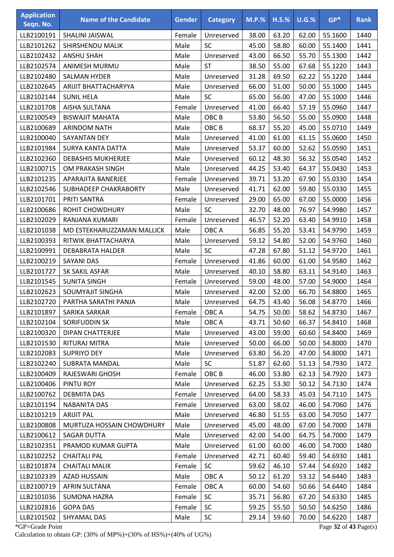| <b>Application</b><br>Seqn. No. | <b>Name of the Candidate</b> | <b>Gender</b> | <b>Category</b>  | $M.P.$ % | $H.S.\%$ | U.G.% | $GP*$   | <b>Rank</b> |
|---------------------------------|------------------------------|---------------|------------------|----------|----------|-------|---------|-------------|
| LLB2100191                      | SHALINI JAISWAL              | Female        | Unreserved       | 38.00    | 63.20    | 62.00 | 55.1600 | 1440        |
| LLB2101262                      | SHIRSHENDU MALIK             | Male          | SC               | 45.00    | 58.80    | 60.00 | 55.1400 | 1441        |
| LLB2102432                      | <b>ANSHU SHAH</b>            | Male          | Unreserved       | 43.00    | 66.50    | 55.70 | 55.1300 | 1442        |
| LLB2102574                      | ANIMESH MURMU                | Male          | <b>ST</b>        | 38.50    | 55.00    | 67.68 | 55.1220 | 1443        |
| LLB2102480                      | <b>SALMAN HYDER</b>          | Male          | Unreserved       | 31.28    | 69.50    | 62.22 | 55.1220 | 1444        |
| LLB2102645                      | ARIJIT BHATTACHARYYA         | Male          | Unreserved       | 66.00    | 51.00    | 50.00 | 55.1000 | 1445        |
| LLB2102144                      | <b>SUNIL HELA</b>            | Male          | <b>SC</b>        | 65.00    | 56.00    | 47.00 | 55.1000 | 1446        |
| LLB2101708                      | <b>AISHA SULTANA</b>         | Female        | Unreserved       | 41.00    | 66.40    | 57.19 | 55.0960 | 1447        |
| LLB2100549                      | <b>BISWAJIT MAHATA</b>       | Male          | OBC <sub>B</sub> | 53.80    | 56.50    | 55.00 | 55.0900 | 1448        |
| LLB2100689                      | <b>ARINDOM NATH</b>          | Male          | OBC <sub>B</sub> | 68.37    | 55.20    | 45.00 | 55.0710 | 1449        |
| LLB2100040                      | SAYANTAN DEY                 | Male          | Unreserved       | 41.00    | 61.00    | 61.15 | 55.0600 | 1450        |
| LLB2101984                      | <b>SURYA KANTA DATTA</b>     | Male          | Unreserved       | 53.37    | 60.00    | 52.62 | 55.0590 | 1451        |
| LLB2102360                      | <b>DEBASHIS MUKHERJEE</b>    | Male          | Unreserved       | 60.12    | 48.30    | 56.32 | 55.0540 | 1452        |
| LLB2100715                      | OM PRAKASH SINGH             | Male          | Unreserved       | 44.25    | 53.40    | 64.37 | 55.0430 | 1453        |
| LLB2101235                      | APARAJITA BANERJEE           | Female        | Unreserved       | 39.71    | 53.20    | 67.90 | 55.0330 | 1454        |
| LLB2102546                      | SUBHADEEP CHAKRABORTY        | Male          | Unreserved       | 41.71    | 62.00    | 59.80 | 55.0330 | 1455        |
| LLB2101701                      | PRITI SANTRA                 | Female        | Unreserved       | 29.00    | 65.00    | 67.00 | 55.0000 | 1456        |
| LLB2100686                      | ROHIT CHOWDHURY              | Male          | <b>SC</b>        | 32.70    | 48.00    | 76.97 | 54.9980 | 1457        |
| LLB2102029                      | RANJANA KUMARI               | Female        | Unreserved       | 46.57    | 52.20    | 63.40 | 54.9910 | 1458        |
| LLB2101038                      | MD ESTEKHARUZZAMAN MALLICK   | Male          | OBC A            | 56.85    | 55.20    | 53.41 | 54.9790 | 1459        |
| LLB2100393                      | RITWIK BHATTACHARYA          | Male          | Unreserved       | 59.12    | 54.80    | 52.00 | 54.9760 | 1460        |
| LLB2100991                      | <b>DEBABRATA HALDER</b>      | Male          | <b>SC</b>        | 47.28    | 67.80    | 51.12 | 54.9720 | 1461        |
| LLB2100219                      | SAYANI DAS                   | Female        | Unreserved       | 41.86    | 60.00    | 61.00 | 54.9580 | 1462        |
| LLB2101727                      | SK SAKIL ASFAR               | Male          | Unreserved       | 40.10    | 58.80    | 63.11 | 54.9140 | 1463        |
| LLB2101545                      | <b>SUNITA SINGH</b>          | Female        | Unreserved       | 59.00    | 48.00    | 57.00 | 54.9000 | 1464        |
| LLB2102623                      | SOUMYAJIT SINGHA             | Male          | Unreserved       | 42.00    | 52.00    | 66.70 | 54.8800 | 1465        |
| LLB2102720                      | PARTHA SARATHI PANJA         | Male          | Unreserved       | 64.75    | 43.40    | 56.08 | 54.8770 | 1466        |
| LLB2101897                      | SARIKA SARKAR                | Female        | OBC A            | 54.75    | 50.00    | 58.62 | 54.8730 | 1467        |
| LLB2102104                      | SORIFUDDIN SK                | Male          | OBC A            | 43.71    | 50.60    | 66.37 | 54.8410 | 1468        |
| LLB2100320                      | <b>DIPAN CHATTERJEE</b>      | Male          | Unreserved       | 43.00    | 59.00    | 60.60 | 54.8400 | 1469        |
| LLB2101530                      | RITURAJ MITRA                | Male          | Unreserved       | 50.00    | 66.00    | 50.00 | 54.8000 | 1470        |
| LLB2102083                      | <b>SUPRIYO DEY</b>           | Male          | Unreserved       | 63.80    | 56.20    | 47.00 | 54.8000 | 1471        |
| LLB2102240                      | <b>SUBRATA MANDAL</b>        | Male          | <b>SC</b>        | 51.87    | 62.60    | 51.13 | 54.7930 | 1472        |
| LLB2100409                      | RAJESWARI GHOSH              | Female        | OBC B            | 46.00    | 53.80    | 62.13 | 54.7920 | 1473        |
| LLB2100406                      | PINTU ROY                    | Male          | Unreserved       | 62.25    | 53.30    | 50.12 | 54.7130 | 1474        |
| LLB2100762                      | <b>DEBMITA DAS</b>           | Female        | Unreserved       | 64.00    | 58.33    | 45.03 | 54.7110 | 1475        |
| LLB2101194                      | <b>NABANITA DAS</b>          | Female        | Unreserved       | 63.00    | 58.02    | 46.00 | 54.7060 | 1476        |
| LLB2101219                      | <b>ARIJIT PAL</b>            | Male          | Unreserved       | 46.80    | 51.55    | 63.00 | 54.7050 | 1477        |
| LLB2100808                      | MURTUZA HOSSAIN CHOWDHURY    | Male          | Unreserved       | 45.00    | 48.00    | 67.00 | 54.7000 | 1478        |
| LLB2100612                      | SAGAR DUTTA                  | Male          | Unreserved       | 42.00    | 54.00    | 64.75 | 54.7000 | 1479        |
| LLB2102351                      | PRAMOD KUMAR GUPTA           | Male          | Unreserved       | 61.00    | 60.00    | 46.00 | 54.7000 | 1480        |
| LLB2102252                      | <b>CHAITALI PAL</b>          | Female        | Unreserved       | 42.71    | 60.40    | 59.40 | 54.6930 | 1481        |
| LLB2101874                      | <b>CHAITALI MALIK</b>        | Female        | <b>SC</b>        | 59.62    | 46.10    | 57.44 | 54.6920 | 1482        |
| LLB2102339                      | <b>AZAD HUSSAIN</b>          | Male          | OBC A            | 50.12    | 61.20    | 53.12 | 54.6440 | 1483        |
| LLB2100719                      | AFRIN SULTANA                | Female        | OBC A            | 60.00    | 54.60    | 50.66 | 54.6440 | 1484        |
| LLB2101036                      | <b>SUMONA HAZRA</b>          | Female        | <b>SC</b>        | 35.71    | 56.80    | 67.20 | 54.6330 | 1485        |
| LLB2102816                      | <b>GOPA DAS</b>              | Female        | <b>SC</b>        | 59.25    | 55.50    | 50.50 | 54.6250 | 1486        |
| LLB2101502                      | SHYAMAL DAS                  | Male          | SC               | 29.14    | 59.60    | 70.00 | 54.6220 | 1487        |

\*GP=Grade Point Page **32** of **43** Page(s) Calculation to obtain GP: (30% of MP%)+(30% of HS%)+(40% of UG%)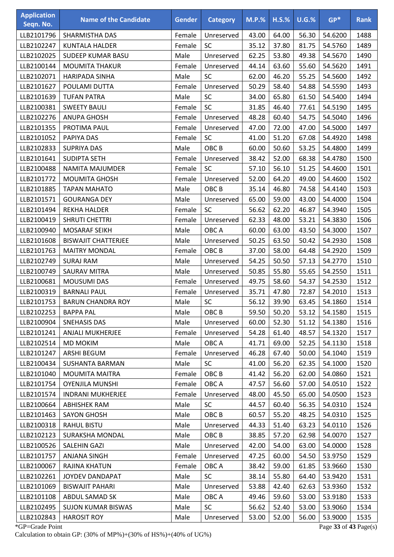| <b>Application</b><br>Seqn. No. | <b>Name of the Candidate</b> | <b>Gender</b> | <b>Category</b>  | $M.P.\%$ | $H.S.\%$ | U.G.% | $GP*$   | <b>Rank</b> |
|---------------------------------|------------------------------|---------------|------------------|----------|----------|-------|---------|-------------|
| LLB2101796                      | SHARMISTHA DAS               | Female        | Unreserved       | 43.00    | 64.00    | 56.30 | 54.6200 | 1488        |
| LLB2102247                      | <b>KUNTALA HALDER</b>        | Female        | SC               | 35.12    | 37.80    | 81.75 | 54.5760 | 1489        |
| LLB2102025                      | SUDEEP KUMAR BASU            | Male          | Unreserved       | 62.25    | 53.80    | 49.38 | 54.5670 | 1490        |
| LLB2100144                      | <b>MOUMITA THAKUR</b>        | Female        | Unreserved       | 44.14    | 63.60    | 55.60 | 54.5620 | 1491        |
| LLB2102071                      | <b>HARIPADA SINHA</b>        | Male          | <b>SC</b>        | 62.00    | 46.20    | 55.25 | 54.5600 | 1492        |
| LLB2101627                      | POULAMI DUTTA                | Female        | Unreserved       | 50.29    | 58.40    | 54.88 | 54.5590 | 1493        |
| LLB2101639                      | <b>TUFAN PATRA</b>           | Male          | SC               | 34.00    | 65.80    | 61.50 | 54.5400 | 1494        |
| LLB2100381                      | <b>SWEETY BAULI</b>          | Female        | SC               | 31.85    | 46.40    | 77.61 | 54.5190 | 1495        |
| LLB2102276                      | <b>ANUPA GHOSH</b>           | Female        | Unreserved       | 48.28    | 60.40    | 54.75 | 54.5040 | 1496        |
| LLB2101355                      | PROTIMA PAUL                 | Female        | Unreserved       | 47.00    | 72.00    | 47.00 | 54.5000 | 1497        |
| LLB2101052                      | PAPIYA DAS                   | Female        | SC               | 41.00    | 51.20    | 67.08 | 54.4920 | 1498        |
| LLB2102833                      | <b>SUPRIYA DAS</b>           | Male          | OBC <sub>B</sub> | 60.00    | 50.60    | 53.25 | 54.4800 | 1499        |
| LLB2101641                      | <b>SUDIPTA SETH</b>          | Female        | Unreserved       | 38.42    | 52.00    | 68.38 | 54.4780 | 1500        |
| LLB2100488                      | NAMITA MAJUMDER              | Female        | SC               | 57.10    | 56.10    | 51.25 | 54.4600 | 1501        |
| LLB2101772                      | <b>MOUMITA GHOSH</b>         | Female        | Unreserved       | 52.00    | 64.20    | 49.00 | 54.4600 | 1502        |
| LLB2101885                      | <b>TAPAN MAHATO</b>          | Male          | OBC <sub>B</sub> | 35.14    | 46.80    | 74.58 | 54.4140 | 1503        |
| LLB2101571                      | <b>GOURANGA DEY</b>          | Male          | Unreserved       | 65.00    | 59.00    | 43.00 | 54.4000 | 1504        |
| LLB2101494                      | <b>REKHA HALDER</b>          | Female        | <b>SC</b>        | 56.62    | 62.20    | 46.87 | 54.3940 | 1505        |
| LLB2100419                      | <b>SHRUTI CHETTRI</b>        | Female        | Unreserved       | 62.33    | 48.00    | 53.21 | 54.3830 | 1506        |
| LLB2100940                      | <b>MOSARAF SEIKH</b>         | Male          | OBC A            | 60.00    | 63.00    | 43.50 | 54.3000 | 1507        |
| LLB2101608                      | <b>BISWAJIT CHATTERJEE</b>   | Male          | Unreserved       | 50.25    | 63.50    | 50.42 | 54.2930 | 1508        |
| LLB2101763                      | <b>MAITRY MONDAL</b>         | Female        | OBC <sub>B</sub> | 37.00    | 58.00    | 64.48 | 54.2920 | 1509        |
| LLB2102749                      | <b>SURAJ RAM</b>             | Male          | Unreserved       | 54.25    | 50.50    | 57.13 | 54.2770 | 1510        |
| LLB2100749                      | <b>SAURAV MITRA</b>          | Male          | Unreserved       | 50.85    | 55.80    | 55.65 | 54.2550 | 1511        |
| LLB2100681                      | MOUSUMI DAS                  | Female        | Unreserved       | 49.75    | 58.60    | 54.37 | 54.2530 | 1512        |
| LLB2100319                      | <b>BARNALI PAUL</b>          | Female        | Unreserved       | 35.71    | 47.80    | 72.87 | 54.2010 | 1513        |
| LLB2101753                      | <b>BARUN CHANDRA ROY</b>     | Male          | SC               | 56.12    | 39.90    | 63.45 | 54.1860 | 1514        |
| LLB2102253                      | <b>BAPPA PAL</b>             | Male          | OBC <sub>B</sub> | 59.50    | 50.20    | 53.12 | 54.1580 | 1515        |
| LLB2100904                      | SNEHASIS DAS                 | Male          | Unreserved       | 60.00    | 52.30    | 51.12 | 54.1380 | 1516        |
| LLB2101241                      | <b>ANJALI MUKHERJEE</b>      | Female        | Unreserved       | 54.28    | 61.40    | 48.57 | 54.1320 | 1517        |
| LLB2102514                      | <b>MD MOKIM</b>              | Male          | OBC A            | 41.71    | 69.00    | 52.25 | 54.1130 | 1518        |
| LLB2101247                      | ARSHI BEGUM                  | Female        | Unreserved       | 46.28    | 67.40    | 50.00 | 54.1040 | 1519        |
| LLB2100434                      | SUSHANTA BARMAN              | Male          | <b>SC</b>        | 41.00    | 56.20    | 62.35 | 54.1000 | 1520        |
| LLB2101040                      | <b>MOUMITA MAITRA</b>        | Female        | OBC <sub>B</sub> | 41.42    | 56.20    | 62.00 | 54.0860 | 1521        |
| LLB2101754                      | <b>OYENJILA MUNSHI</b>       | Female        | OBC A            | 47.57    | 56.60    | 57.00 | 54.0510 | 1522        |
| LLB2101574                      | <b>INDRANI MUKHERJEE</b>     | Female        | Unreserved       | 48.00    | 45.50    | 65.00 | 54.0500 | 1523        |
| LLB2100664                      | <b>ABHISHEK RAM</b>          | Male          | <b>SC</b>        | 44.57    | 60.40    | 56.35 | 54.0310 | 1524        |
| LLB2101463                      | <b>SAYON GHOSH</b>           | Male          | OBC <sub>B</sub> | 60.57    | 55.20    | 48.25 | 54.0310 | 1525        |
| LLB2100318                      | RAHUL BISTU                  | Male          | Unreserved       | 44.33    | 51.40    | 63.23 | 54.0110 | 1526        |
| LLB2102123                      | SURAKSHA MONDAL              | Male          | OBC <sub>B</sub> | 38.85    | 57.20    | 62.98 | 54.0070 | 1527        |
| LLB2100526                      | SALEHIN GAZI                 | Male          | Unreserved       | 42.00    | 54.00    | 63.00 | 54.0000 | 1528        |
| LLB2101757                      | ANJANA SINGH                 | Female        | Unreserved       | 47.25    | 60.00    | 54.50 | 53.9750 | 1529        |
| LLB2100067                      | RAJINA KHATUN                | Female        | OBC A            | 38.42    | 59.00    | 61.85 | 53.9660 | 1530        |
| LLB2102261                      | JOYDEV DANDAPAT              | Male          | <b>SC</b>        | 38.14    | 55.80    | 64.40 | 53.9420 | 1531        |
| LLB2101069                      | <b>BISWAJIT PAHARI</b>       | Male          | Unreserved       | 53.88    | 42.40    | 62.63 | 53.9360 | 1532        |
| LLB2101108                      | ABDUL SAMAD SK               | Male          | OBC A            | 49.46    | 59.60    | 53.00 | 53.9180 | 1533        |
| LLB2102495                      | <b>SUJON KUMAR BISWAS</b>    | Male          | <b>SC</b>        | 56.62    | 52.40    | 53.00 | 53.9060 | 1534        |
| LLB2102843                      | <b>HAROSIT ROY</b>           | Male          | Unreserved       | 53.00    | 52.00    | 56.00 | 53.9000 | 1535        |

\*GP=Grade Point Page **33** of **43** Page(s) Calculation to obtain GP: (30% of MP%)+(30% of HS%)+(40% of UG%)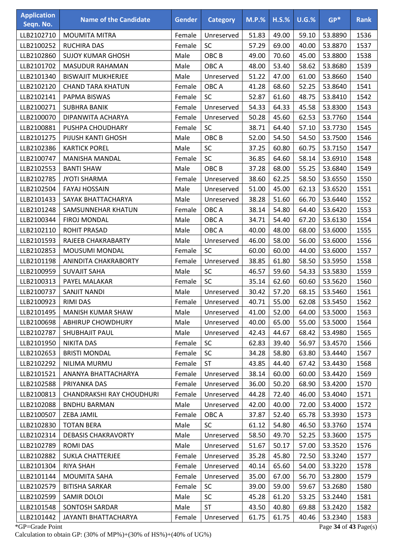| <b>Application</b><br>Seqn. No. | <b>Name of the Candidate</b>          | <b>Gender</b>  | <b>Category</b>          | <b>M.P.%</b>   | $H.S.\%$       | $U.G.\%$       | $GP*$                 | <b>Rank</b>  |
|---------------------------------|---------------------------------------|----------------|--------------------------|----------------|----------------|----------------|-----------------------|--------------|
|                                 |                                       |                |                          |                |                |                |                       |              |
| LLB2102710                      | MOUMITA MITRA                         | Female         | Unreserved               | 51.83          | 49.00          | 59.10          | 53.8890               | 1536         |
| LLB2100252                      | <b>RUCHIRA DAS</b>                    | Female         | SC                       | 57.29          | 69.00          | 40.00          | 53.8870               | 1537         |
| LLB2102860                      | <b>SUJOY KUMAR GHOSH</b>              | Male           | OBC <sub>B</sub>         | 49.00          | 70.60          | 45.00          | 53.8800               | 1538         |
| LLB2101702                      | <b>MASUDUR RAHAMAN</b>                | Male           | OBC A                    | 48.00          | 53.40          | 58.62          | 53.8680               | 1539         |
| LLB2101340                      | <b>BISWAJIT MUKHERJEE</b>             | Male           | Unreserved               | 51.22          | 47.00          | 61.00          | 53.8660               | 1540         |
| LLB2102120                      | <b>CHAND TARA KHATUN</b>              | Female         | OBC A                    | 41.28          | 68.60          | 52.25          | 53.8640               | 1541         |
| LLB2102141                      | PAPMA BISWAS                          | Female         | SC                       | 52.87          | 61.60          | 48.75          | 53.8410               | 1542         |
| LLB2100271                      | <b>SUBHRA BANIK</b>                   | Female         | Unreserved               | 54.33          | 64.33          | 45.58          | 53.8300               | 1543         |
| LLB2100070<br>LLB2100881        | DIPANWITA ACHARYA<br>PUSHPA CHOUDHARY | Female         | Unreserved<br><b>SC</b>  | 50.28<br>38.71 | 45.60<br>64.40 | 62.53          | 53.7760               | 1544<br>1545 |
|                                 | PIJUSH KANTI GHOSH                    | Female<br>Male | OBC <sub>B</sub>         | 52.00          | 54.50          | 57.10<br>54.50 | 53.7730               | 1546         |
| LLB2101275<br>LLB2102386        | <b>KARTICK POREL</b>                  | Male           | SC                       | 37.25          | 60.80          | 60.75          | 53.7500<br>53.7150    | 1547         |
| LLB2100747                      | <b>MANISHA MANDAL</b>                 | Female         | SC                       | 36.85          | 64.60          | 58.14          | 53.6910               | 1548         |
| LLB2102553                      | <b>BANTI SHAW</b>                     | Male           | OBC <sub>B</sub>         | 37.28          | 68.00          | 55.25          | 53.6840               | 1549         |
| LLB2102785                      | <b>JYOTI SHARMA</b>                   | Female         | Unreserved               | 38.60          | 62.25          | 58.50          | 53.6550               | 1550         |
| LLB2102504                      | <b>FAYAJ HOSSAIN</b>                  | Male           |                          | 51.00          | 45.00          | 62.13          | 53.6520               | 1551         |
| LLB2101433                      | SAYAK BHATTACHARYA                    | Male           | Unreserved<br>Unreserved | 38.28          | 51.60          | 66.70          | 53.6440               | 1552         |
| LLB2101248                      | SAMSUNNEHAR KHATUN                    | Female         | OBC A                    | 38.14          | 54.80          | 64.40          | 53.6420               | 1553         |
| LLB2100344                      | <b>FIROJ MONDAL</b>                   | Male           | OBC A                    | 34.71          | 54.40          | 67.20          | 53.6130               | 1554         |
| LLB2102110                      | <b>ROHIT PRASAD</b>                   | Male           | OBC A                    | 40.00          | 48.00          | 68.00          | 53.6000               | 1555         |
| LLB2101593                      | RAJEEB CHAKRABARTY                    | Male           | Unreserved               | 46.00          | 58.00          | 56.00          | 53.6000               | 1556         |
| LLB2102853                      | <b>MOUSUMI MONDAL</b>                 | Female         | <b>SC</b>                | 60.00          | 60.00          | 44.00          | 53.6000               | 1557         |
| LLB2101198                      | ANINDITA CHAKRABORTY                  | Female         | Unreserved               | 38.85          | 61.80          | 58.50          | 53.5950               | 1558         |
| LLB2100959                      | <b>SUVAJIT SAHA</b>                   | Male           | SC                       | 46.57          | 59.60          | 54.33          | 53.5830               | 1559         |
| LLB2100313                      | PAYEL MALAKAR                         | Female         | SC                       | 35.14          | 62.60          | 60.60          | 53.5620               | 1560         |
| LLB2100737                      | SANJIT NANDI                          | Male           | Unreserved               | 30.42          | 57.20          | 68.15          | 53.5460               | 1561         |
| LLB2100923                      | <b>RIMI DAS</b>                       | Female         | Unreserved               | 40.71          | 55.00          | 62.08          | 53.5450               | 1562         |
| LLB2101495                      | MANISH KUMAR SHAW                     | Male           | Unreserved               | 41.00          | 52.00          | 64.00          | 53.5000               | 1563         |
| LLB2100698                      | <b>ABHIRUP CHOWDHURY</b>              | Male           | Unreserved               | 40.00          | 65.00          | 55.00          | 53.5000               | 1564         |
| LLB2102787                      | <b>SHUBHAJIT PAUL</b>                 | Male           | Unreserved               | 42.43          | 44.67          | 68.42          | 53.4980               | 1565         |
| LLB2101950                      | <b>NIKITA DAS</b>                     | Female         | SC                       | 62.83          | 39.40          | 56.97          | 53.4570               | 1566         |
| LLB2102653                      | <b>BRISTI MONDAL</b>                  | Female         | <b>SC</b>                | 34.28          | 58.80          | 63.80          | 53.4440               | 1567         |
| LLB2102292                      | NILIMA MURMU                          | Female         | <b>ST</b>                | 43.85          | 44.40          | 67.42          | 53.4430               | 1568         |
| LLB2101521                      | ANANYA BHATTACHARYA                   | Female         | Unreserved               | 38.14          | 60.00          | 60.00          | 53.4420               | 1569         |
| LLB2102588                      | PRIYANKA DAS                          | Female         | Unreserved               | 36.00          | 50.20          | 68.90          | 53.4200               | 1570         |
| LLB2100813                      | CHANDRAKSHI RAY CHOUDHURI             | Female         | Unreserved               | 44.28          | 72.40          | 46.00          | 53.4040               | 1571         |
| LLB2102088                      | <b>BNDHU BARMAN</b>                   | Male           | Unreserved               | 42.00          | 40.00          | 72.00          | 53.4000               | 1572         |
| LLB2100507                      | ZEBA JAMIL                            | Female         | OBC A                    | 37.87          | 52.40          | 65.78          | 53.3930               | 1573         |
| LLB2102830                      | <b>TOTAN BERA</b>                     | Male           | <b>SC</b>                | 61.12          | 54.80          | 46.50          | 53.3760               | 1574         |
| LLB2102314                      | <b>DEBASIS CHAKRAVORTY</b>            | Male           | Unreserved               | 58.50          | 49.70          | 52.25          | 53.3600               | 1575         |
| LLB2102789                      | <b>ROMIDAS</b>                        | Male           | Unreserved               | 51.67          | 50.17          | 57.00          | 53.3520               | 1576         |
| LLB2102882                      | <b>SUKLA CHATTERJEE</b>               | Female         | Unreserved               | 35.28          | 45.80          | 72.50          | 53.3240               | 1577         |
| LLB2101304                      | <b>RIYA SHAH</b>                      | Female         | Unreserved               | 40.14          | 65.60          | 54.00          | 53.3220               | 1578         |
| LLB2101144                      | MOUMITA SAHA                          | Female         | Unreserved               | 35.00          | 67.00          | 56.70          | 53.2800               | 1579         |
| LLB2102579                      | <b>BITISHA SARKAR</b>                 | Female         | <b>SC</b>                | 39.00          | 59.00          | 59.67          | 53.2680               | 1580         |
| LLB2102599                      | SAMIR DOLOI                           | Male           | <b>SC</b>                | 45.28          | 61.20          | 53.25          | 53.2440               | 1581         |
| LLB2101548                      | SONTOSH SARDAR                        | Male           | <b>ST</b>                | 43.50          | 40.80          | 69.88          | 53.2420               | 1582         |
| LLB2101442                      | JAYANTI BHATTACHARYA                  | Female         | Unreserved               | 61.75          | 61.75          | 40.46          | 53.2340               | 1583         |
| *GP=Grade Point                 |                                       |                |                          |                |                |                | Page 34 of 43 Page(s) |              |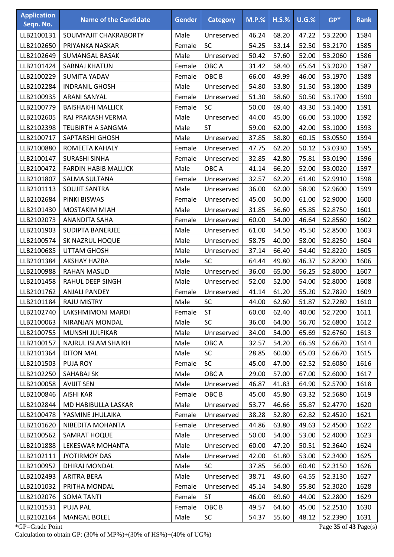| <b>Application</b><br>Seqn. No. | <b>Name of the Candidate</b> | <b>Gender</b> | <b>Category</b>  | $M.P.$ % | $H.S.\%$ | U.G.% | $GP*$   | <b>Rank</b> |
|---------------------------------|------------------------------|---------------|------------------|----------|----------|-------|---------|-------------|
| LLB2100131                      | SOUMYAJIT CHAKRABORTY        | Male          | Unreserved       | 46.24    | 68.20    | 47.22 | 53.2200 | 1584        |
| LLB2102650                      | PRIYANKA NASKAR              | Female        | SC               | 54.25    | 53.14    | 52.50 | 53.2170 | 1585        |
| LLB2102649                      | <b>SUMANGAL BASAK</b>        | Male          | Unreserved       | 50.42    | 57.60    | 52.00 | 53.2060 | 1586        |
| LLB2101424                      | SABNAJ KHATUN                | Female        | OBC A            | 31.42    | 58.40    | 65.64 | 53.2020 | 1587        |
| LLB2100229                      | <b>SUMITA YADAV</b>          | Female        | OBC <sub>B</sub> | 66.00    | 49.99    | 46.00 | 53.1970 | 1588        |
| LLB2102284                      | <b>INDRANIL GHOSH</b>        | Male          | Unreserved       | 54.80    | 53.80    | 51.50 | 53.1800 | 1589        |
| LLB2100935                      | <b>ARANI SANYAL</b>          | Female        | Unreserved       | 51.30    | 58.60    | 50.50 | 53.1700 | 1590        |
| LLB2100779                      | <b>BAISHAKHI MALLICK</b>     | Female        | <b>SC</b>        | 50.00    | 69.40    | 43.30 | 53.1400 | 1591        |
| LLB2102605                      | RAJ PRAKASH VERMA            | Male          | Unreserved       | 44.00    | 45.00    | 66.00 | 53.1000 | 1592        |
| LLB2102398                      | TEUBIRTH A SANGMA            | Male          | <b>ST</b>        | 59.00    | 62.00    | 42.00 | 53.1000 | 1593        |
| LLB2100717                      | SAPTARSHI GHOSH              | Male          | Unreserved       | 37.85    | 58.80    | 60.15 | 53.0550 | 1594        |
| LLB2100880                      | ROMEETA KAHALY               | Female        | Unreserved       | 47.75    | 62.20    | 50.12 | 53.0330 | 1595        |
| LLB2100147                      | <b>SURASHI SINHA</b>         | Female        | Unreserved       | 32.85    | 42.80    | 75.81 | 53.0190 | 1596        |
| LLB2100472                      | <b>FARDIN HABIB MALLICK</b>  | Male          | OBC A            | 41.14    | 66.20    | 52.00 | 53.0020 | 1597        |
| LLB2101807                      | SALMA SULTANA                | Female        | Unreserved       | 32.57    | 62.20    | 61.40 | 52.9910 | 1598        |
| LLB2101113                      | <b>SOUJIT SANTRA</b>         | Male          | Unreserved       | 36.00    | 62.00    | 58.90 | 52.9600 | 1599        |
| LLB2102684                      | PINKI BISWAS                 | Female        | Unreserved       | 45.00    | 50.00    | 61.00 | 52.9000 | 1600        |
| LLB2101430                      | <b>MOSTAKIM MIAH</b>         | Male          | Unreserved       | 31.85    | 56.60    | 65.85 | 52.8750 | 1601        |
| LLB2102073                      | <b>ANANDITA SAHA</b>         | Female        | Unreserved       | 60.00    | 54.00    | 46.64 | 52.8560 | 1602        |
| LLB2101903                      | SUDIPTA BANERJEE             | Male          | Unreserved       | 61.00    | 54.50    | 45.50 | 52.8500 | 1603        |
| LLB2100574                      | SK NAZRUL HOQUE              | Male          | Unreserved       | 58.75    | 40.00    | 58.00 | 52.8250 | 1604        |
| LLB2100685                      | <b>UTTAM GHOSH</b>           | Male          | Unreserved       | 37.14    | 66.40    | 54.40 | 52.8220 | 1605        |
| LLB2101384                      | AKSHAY HAZRA                 | Male          | <b>SC</b>        | 64.44    | 49.80    | 46.37 | 52.8200 | 1606        |
| LLB2100988                      | <b>RAHAN MASUD</b>           | Male          | Unreserved       | 36.00    | 65.00    | 56.25 | 52.8000 | 1607        |
| LLB2101458                      | RAHUL DEEP SINGH             | Male          | Unreserved       | 52.00    | 52.00    | 54.00 | 52.8000 | 1608        |
| LLB2101762                      | <b>ANJALI PANDEY</b>         | Female        | Unreserved       | 41.14    | 61.20    | 55.20 | 52.7820 | 1609        |
| LLB2101184                      | <b>RAJU MISTRY</b>           | Male          | <b>SC</b>        | 44.00    | 62.60    | 51.87 | 52.7280 | 1610        |
| LLB2102740                      | LAKSHMIMONI MARDI            | Female        | <b>ST</b>        | 60.00    | 62.40    | 40.00 | 52.7200 | 1611        |
| LLB2100063                      | NIRANJAN MONDAL              | Male          | SC               | 36.00    | 64.00    | 56.70 | 52.6800 | 1612        |
| LLB2100755                      | MUNSHI JULFIKAR              | Male          | Unreserved       | 34.00    | 54.00    | 65.69 | 52.6760 | 1613        |
| LLB2100157                      | NAJRUL ISLAM SHAIKH          | Male          | OBC A            | 32.57    | 54.20    | 66.59 | 52.6670 | 1614        |
| LLB2101364                      | <b>DITON MAL</b>             | Male          | <b>SC</b>        | 28.85    | 60.00    | 65.03 | 52.6670 | 1615        |
| LLB2101503                      | <b>PUJA ROY</b>              | Female        | <b>SC</b>        | 45.00    | 47.00    | 62.52 | 52.6080 | 1616        |
| LLB2102250                      | SAHABAJ SK                   | Male          | OBC A            | 29.00    | 57.00    | 67.00 | 52.6000 | 1617        |
| LLB2100058                      | <b>AVIJIT SEN</b>            | Male          | Unreserved       | 46.87    | 41.83    | 64.90 | 52.5700 | 1618        |
| LLB2100846                      | <b>AISHI KAR</b>             | Female        | OBC <sub>B</sub> | 45.00    | 45.80    | 63.32 | 52.5680 | 1619        |
| LLB2102844                      | MD HABIBULLA LASKAR          | Male          | Unreserved       | 53.77    | 46.66    | 55.87 | 52.4770 | 1620        |
| LLB2100478                      | YASMINE JHULAIKA             | Female        | Unreserved       | 38.28    | 52.80    | 62.82 | 52.4520 | 1621        |
| LLB2101620                      | NIBEDITA MOHANTA             | Female        | Unreserved       | 44.86    | 63.80    | 49.63 | 52.4500 | 1622        |
| LLB2100562                      | SAMRAT HOQUE                 | Male          | Unreserved       | 50.00    | 54.00    | 53.00 | 52.4000 | 1623        |
| LLB2101888                      | LEKESWAR MOHANTA             | Male          | Unreserved       | 60.00    | 47.20    | 50.51 | 52.3640 | 1624        |
| LLB2102111                      | <b>JYOTIRMOY DAS</b>         | Male          | Unreserved       | 42.00    | 61.80    | 53.00 | 52.3400 | 1625        |
| LLB2100952                      | DHIRAJ MONDAL                | Male          | <b>SC</b>        | 37.85    | 56.00    | 60.40 | 52.3150 | 1626        |
| LLB2102493                      | ARITRA BERA                  | Male          | Unreserved       | 38.71    | 49.60    | 64.55 | 52.3130 | 1627        |
| LLB2101032                      | PRITHA MONDAL                | Female        | Unreserved       | 45.14    | 54.80    | 55.80 | 52.3020 | 1628        |
| LLB2102076                      | <b>SOMA TANTI</b>            | Female        | <b>ST</b>        | 46.00    | 69.60    | 44.00 | 52.2800 | 1629        |
| LLB2101531                      | <b>PUJA PAL</b>              | Female        | OBC <sub>B</sub> | 49.57    | 64.60    | 45.00 | 52.2510 | 1630        |
| LLB2102164                      | <b>MANGAL BOLEL</b>          | Male          | SC               | 54.37    | 55.60    | 48.12 | 52.2390 | 1631        |

\*GP=Grade Point Page **35** of **43** Page(s)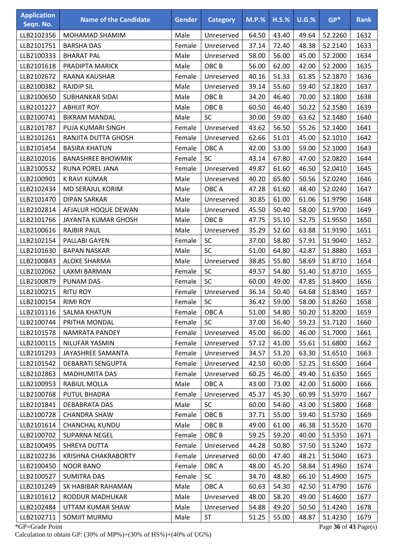| <b>Application</b><br>Seqn. No. | <b>Name of the Candidate</b> | <b>Gender</b> | <b>Category</b>  | <b>M.P.%</b> | <b>H.S.%</b> | $U.G.\%$ | $GP*$   | <b>Rank</b> |
|---------------------------------|------------------------------|---------------|------------------|--------------|--------------|----------|---------|-------------|
| LLB2102356                      | MOHAMAD SHAMIM               | Male          | Unreserved       | 64.50        | 43.40        | 49.64    | 52.2260 | 1632        |
| LLB2101751                      | <b>BARSHA DAS</b>            | Female        | Unreserved       | 37.14        | 72.40        | 48.38    | 52.2140 | 1633        |
| LLB2100333                      | <b>BHARAT PAL</b>            | Male          | Unreserved       | 58.00        | 56.00        | 45.00    | 52.2000 | 1634        |
| LLB2101618                      | PRADIPTA MARICK              | Male          | OBC <sub>B</sub> | 56.00        | 62.00        | 42.00    | 52.2000 | 1635        |
| LLB2102672                      | RAANA KAUSHAR                | Female        | Unreserved       | 40.16        | 51.33        | 61.85    | 52.1870 | 1636        |
| LLB2100382                      | <b>RAJDIP SIL</b>            | Male          | Unreserved       | 39.14        | 55.60        | 59.40    | 52.1820 | 1637        |
| LLB2100650                      | <b>SUBHANKAR SIDAI</b>       | Male          | OBC <sub>B</sub> | 34.20        | 46.40        | 70.00    | 52.1800 | 1638        |
| LLB2101227                      | <b>ABHIJIT ROY</b>           | Male          | OBC <sub>B</sub> | 60.50        | 46.40        | 50.22    | 52.1580 | 1639        |
| LLB2100741                      | <b>BIKRAM MANDAL</b>         | Male          | SC               | 30.00        | 59.00        | 63.62    | 52.1480 | 1640        |
| LLB2101787                      | PUJA KUMARI SINGH            | Female        | Unreserved       | 43.62        | 56.50        | 55.26    | 52.1400 | 1641        |
| LLB2101261                      | RANJITA DUTTA GHOSH          | Female        | Unreserved       | 62.66        | 51.01        | 45.00    | 52.1010 | 1642        |
| LLB2101454                      | <b>BASIRA KHATUN</b>         | Female        | OBC A            | 42.00        | 53.00        | 59.00    | 52.1000 | 1643        |
| LLB2102016                      | <b>BANASHREE BHOWMIK</b>     | Female        | <b>SC</b>        | 43.14        | 67.80        | 47.00    | 52.0820 | 1644        |
| LLB2100532                      | <b>RUNA POREL JANA</b>       | Female        | Unreserved       | 49.87        | 61.60        | 46.50    | 52.0410 | 1645        |
| LLB2100901                      | <b>K RAVI KUMAR</b>          | Male          | Unreserved       | 40.20        | 65.80        | 50.56    | 52.0240 | 1646        |
| LLB2102434                      | <b>MD SERAJUL KORIM</b>      | Male          | OBC A            | 47.28        | 61.60        | 48.40    | 52.0240 | 1647        |
| LLB2101470                      | <b>DIPAN SARKAR</b>          | Male          | Unreserved       | 30.85        | 61.00        | 61.06    | 51.9790 | 1648        |
| LLB2102814                      | AFJALUR HOQUE DEWAN          | Male          | Unreserved       | 45.50        | 50.40        | 58.00    | 51.9700 | 1649        |
| LLB2101766                      | JAYANTA KUMAR GHOSH          | Male          | OBC <sub>B</sub> | 47.75        | 55.10        | 52.75    | 51.9550 | 1650        |
| LLB2100616                      | <b>RAJBIR PAUL</b>           | Male          | Unreserved       | 35.29        | 52.60        | 63.88    | 51.9190 | 1651        |
| LLB2102154                      | PALLABI GAYEN                | Female        | SC               | 37.00        | 58.80        | 57.91    | 51.9040 | 1652        |
| LLB2101630                      | <b>BAPAN NASKAR</b>          | Male          | SC               | 51.00        | 64.80        | 42.87    | 51.8880 | 1653        |
| LLB2100843                      | <b>ALOKE SHARMA</b>          | Male          | Unreserved       | 38.85        | 55.80        | 58.69    | 51.8710 | 1654        |
| LLB2102062                      | LAXMI BARMAN                 | Female        | SC               | 49.57        | 54.80        | 51.40    | 51.8710 | 1655        |
| LLB2100879                      | PUNAM DAS                    | Female        | SC               | 60.00        | 49.00        | 47.85    | 51.8400 | 1656        |
| LLB2100215                      | <b>RITU ROY</b>              | Female        | Unreserved       | 36.14        | 50.40        | 64.68    | 51.8340 | 1657        |
| LLB2100154                      | <b>RIMI ROY</b>              | Female        | <b>SC</b>        | 36.42        | 59.00        | 58.00    | 51.8260 | 1658        |
| LLB2101116                      | <b>SALMA KHATUN</b>          | Female        | OBC A            | 51.00        | 54.80        | 50.20    | 51.8200 | 1659        |
| LLB2100744                      | PRITHA MONDAL                | Female        | <b>SC</b>        | 37.00        | 56.40        | 59.23    | 51.7120 | 1660        |
| LLB2101578                      | NAMRATA PANDEY               | Female        | Unreserved       | 45.00        | 66.00        | 46.00    | 51.7000 | 1661        |
| LLB2100115                      | NILUFAR YASMIN               | Female        | Unreserved       | 57.12        | 41.00        | 55.61    | 51.6800 | 1662        |
| LLB2101293                      | JAYASHREE SAMANTA            | Female        | Unreserved       | 34.57        | 53.20        | 63.30    | 51.6510 | 1663        |
| LLB2101542                      | <b>DEBARATI SENGUPTA</b>     | Female        | Unreserved       | 42.50        | 60.00        | 52.25    | 51.6500 | 1664        |
| LLB2102863                      | <b>MADHUMITA DAS</b>         | Female        | Unreserved       | 60.25        | 46.00        | 49.40    | 51.6350 | 1665        |
| LLB2100953                      | RABIUL MOLLA                 | Male          | OBC A            | 43.00        | 73.00        | 42.00    | 51.6000 | 1666        |
| LLB2100768                      | <b>PUTUL BHADRA</b>          | Female        | Unreserved       | 45.37        | 45.30        | 60.99    | 51.5970 | 1667        |
| LLB2101841                      | <b>DEBABRATA DAS</b>         | Male          | <b>SC</b>        | 60.00        | 54.60        | 43.00    | 51.5800 | 1668        |
| LLB2100728                      | <b>CHANDRA SHAW</b>          | Female        | OBC <sub>B</sub> | 37.71        | 55.00        | 59.40    | 51.5730 | 1669        |
| LLB2101614                      | <b>CHANCHAL KUNDU</b>        | Male          | OBC B            | 49.00        | 61.00        | 46.38    | 51.5520 | 1670        |
| LLB2100702                      | <b>SUPARNA NEGEL</b>         | Female        | OBC <sub>B</sub> | 59.25        | 59.20        | 40.00    | 51.5350 | 1671        |
| LLB2100495                      | SHREYA DUTTA                 | Female        | Unreserved       | 44.28        | 50.80        | 57.50    | 51.5240 | 1672        |
| LLB2102236                      | <b>KRISHNA CHAKRABORTY</b>   | Female        | Unreserved       | 60.00        | 47.40        | 48.21    | 51.5040 | 1673        |
| LLB2100450                      | <b>NOOR BANO</b>             | Female        | OBC A            | 48.00        | 45.20        | 58.84    | 51.4960 | 1674        |
| LLB2100527                      | <b>SUMITRA DAS</b>           | Female        | <b>SC</b>        | 34.70        | 48.80        | 66.10    | 51.4900 | 1675        |
| LLB2101249                      | SK HABIBAR RAHAMAN           | Male          | OBC A            | 60.63        | 54.30        | 42.50    | 51.4790 | 1676        |
| LLB2101612                      | RODDUR MADHUKAR              | Male          | Unreserved       | 48.00        | 58.20        | 49.00    | 51.4600 | 1677        |
| LLB2102484                      | UTTAM KUMAR SHAW             | Male          | Unreserved       | 54.88        | 49.20        | 50.50    | 51.4240 | 1678        |
| LLB2102711                      | SOMJIT MURMU                 | Male          | ST               | 51.25        | 55.00        | 48.87    | 51.4230 | 1679        |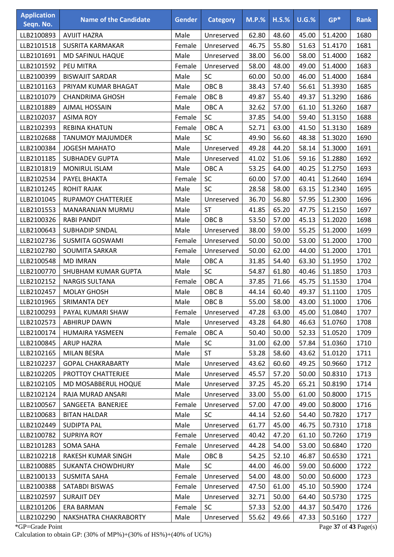| <b>Application</b> | <b>Name of the Candidate</b> | <b>Gender</b> | <b>Category</b>  | $M.P.$ % | $H.S.\%$ | $U.G.\%$ | $GP*$                 | <b>Rank</b> |
|--------------------|------------------------------|---------------|------------------|----------|----------|----------|-----------------------|-------------|
| Seqn. No.          |                              |               |                  |          |          |          |                       |             |
| LLB2100893         | <b>AVIJIT HAZRA</b>          | Male          | Unreserved       | 62.80    | 48.60    | 45.00    | 51.4200               | 1680        |
| LLB2101518         | <b>SUSRITA KARMAKAR</b>      | Female        | Unreserved       | 46.75    | 55.80    | 51.63    | 51.4170               | 1681        |
| LLB2101691         | MD SAFINUL HAQUE             | Male          | Unreserved       | 38.00    | 56.00    | 58.00    | 51.4000               | 1682        |
| LLB2101592         | PEU MITRA                    | Female        | Unreserved       | 58.00    | 48.00    | 49.00    | 51.4000               | 1683        |
| LLB2100399         | <b>BISWAJIT SARDAR</b>       | Male          | <b>SC</b>        | 60.00    | 50.00    | 46.00    | 51.4000               | 1684        |
| LLB2101163         | PRIYAM KUMAR BHAGAT          | Male          | OBC <sub>B</sub> | 38.43    | 57.40    | 56.61    | 51.3930               | 1685        |
| LLB2101079         | <b>CHANDRIMA GHOSH</b>       | Female        | OBC <sub>B</sub> | 49.87    | 55.40    | 49.37    | 51.3290               | 1686        |
| LLB2101889         | <b>AJMAL HOSSAIN</b>         | Male          | OBC A            | 32.62    | 57.00    | 61.10    | 51.3260               | 1687        |
| LLB2102037         | <b>ASIMA ROY</b>             | Female        | SC               | 37.85    | 54.00    | 59.40    | 51.3150               | 1688        |
| LLB2102393         | <b>REBINA KHATUN</b>         | Female        | OBC A            | 52.71    | 63.00    | 41.50    | 51.3130               | 1689        |
| LLB2102688         | <b>TANUMOY MAJUMDER</b>      | Male          | <b>SC</b>        | 49.90    | 56.60    | 48.38    | 51.3020               | 1690        |
| LLB2100384         | <b>JOGESH MAHATO</b>         | Male          | Unreserved       | 49.28    | 44.20    | 58.14    | 51.3000               | 1691        |
| LLB2101185         | <b>SUBHADEV GUPTA</b>        | Male          | Unreserved       | 41.02    | 51.06    | 59.16    | 51.2880               | 1692        |
| LLB2101819         | <b>MONIRUL ISLAM</b>         | Male          | OBC A            | 53.25    | 64.00    | 40.25    | 51.2750               | 1693        |
| LLB2102534         | PAYEL BHAKTA                 | Female        | SC               | 60.00    | 57.00    | 40.41    | 51.2640               | 1694        |
| LLB2101245         | <b>ROHIT RAJAK</b>           | Male          | SC               | 28.58    | 58.00    | 63.15    | 51.2340               | 1695        |
| LLB2101045         | RUPAMOY CHATTERJEE           | Male          | Unreserved       | 36.70    | 56.80    | 57.95    | 51.2300               | 1696        |
| LLB2101553         | MANARANJAN MURMU             | Male          | <b>ST</b>        | 41.85    | 65.20    | 47.75    | 51.2150               | 1697        |
| LLB2100326         | <b>RABI PANDIT</b>           | Male          | OBC <sub>B</sub> | 53.50    | 57.00    | 45.13    | 51.2020               | 1698        |
| LLB2100643         | <b>SUBHADIP SINDAL</b>       | Male          | Unreserved       | 38.00    | 59.00    | 55.25    | 51.2000               | 1699        |
| LLB2102736         | <b>SUSMITA GOSWAMI</b>       | Female        | Unreserved       | 50.00    | 50.00    | 53.00    | 51.2000               | 1700        |
| LLB2102780         | SOUMITA SARKAR               | Female        | Unreserved       | 50.00    | 62.00    | 44.00    | 51.2000               | 1701        |
| LLB2100548         | <b>MD IMRAN</b>              | Male          | OBC A            | 31.85    | 54.40    | 63.30    | 51.1950               | 1702        |
| LLB2100770         | SHUBHAM KUMAR GUPTA          | Male          | SC               | 54.87    | 61.80    | 40.46    | 51.1850               | 1703        |
| LLB2102152         | <b>NARGIS SULTANA</b>        | Female        | OBC A            | 37.85    | 71.66    | 45.75    | 51.1530               | 1704        |
| LLB2102457         | <b>MOLAY GHOSH</b>           | Male          | OBC <sub>B</sub> | 44.14    | 60.40    | 49.37    | 51.1100               | 1705        |
| LLB2101965         | SRIMANTA DEY                 | Male          | OBC <sub>B</sub> | 55.00    | 58.00    | 43.00    | 51.1000               | 1706        |
| LLB2100293         | PAYAL KUMARI SHAW            | Female        | Unreserved       | 47.28    | 63.00    | 45.00    | 51.0840               | 1707        |
| LLB2102573         | <b>ABHIRUP DAWN</b>          | Male          | Unreserved       | 43.28    | 64.80    | 46.63    | 51.0760               | 1708        |
| LLB2100174         | HUMAIRA YASMEEN              | Female        | OBC A            | 50.40    | 50.00    | 52.33    | 51.0520               | 1709        |
| LLB2100845         | <b>ARUP HAZRA</b>            | Male          | <b>SC</b>        | 31.00    | 62.00    | 57.84    | 51.0360               | 1710        |
| LLB2102165         | MILAN BESRA                  | Male          | <b>ST</b>        | 53.28    | 58.60    | 43.62    | 51.0120               | 1711        |
| LLB2102237         | <b>GOPAL CHAKRABARTY</b>     | Male          | Unreserved       | 43.62    | 60.60    | 49.25    | 50.9660               | 1712        |
| LLB2102205         | PROTTOY CHATTERJEE           | Male          | Unreserved       | 45.57    | 57.20    | 50.00    | 50.8310               | 1713        |
| LLB2102105         | MD MOSABBERUL HOQUE          | Male          | Unreserved       | 37.25    | 45.20    | 65.21    | 50.8190               | 1714        |
| LLB2102124         | RAJA MURAD ANSARI            | Male          | Unreserved       | 33.00    | 55.00    | 61.00    | 50.8000               | 1715        |
| LLB2100567         | SANGEETA BANERJEE            | Female        | Unreserved       | 57.00    | 47.00    | 49.00    | 50.8000               | 1716        |
| LLB2100683         | <b>BITAN HALDAR</b>          | Male          | <b>SC</b>        | 44.14    | 52.60    | 54.40    | 50.7820               | 1717        |
| LLB2102449         | <b>SUDIPTA PAL</b>           | Male          | Unreserved       | 61.77    | 45.00    | 46.75    | 50.7310               | 1718        |
| LLB2100782         | <b>SUPRIYA ROY</b>           | Female        | Unreserved       | 40.42    | 47.20    | 61.10    | 50.7260               | 1719        |
| LLB2101283         | SOMA SAHA                    | Female        | Unreserved       | 44.28    | 54.00    | 53.00    | 50.6840               | 1720        |
| LLB2102218         | RAKESH KUMAR SINGH           | Male          | OBC <sub>B</sub> | 54.25    | 52.10    | 46.87    | 50.6530               | 1721        |
| LLB2100885         | <b>SUKANTA CHOWDHURY</b>     | Male          | <b>SC</b>        | 44.00    | 46.00    | 59.00    | 50.6000               | 1722        |
| LLB2100133         | <b>SUSMITA SAHA</b>          | Female        | Unreserved       | 54.00    | 48.00    | 50.00    | 50.6000               | 1723        |
| LLB2100388         | SATABDI BISWAS               | Female        | Unreserved       | 47.50    | 61.00    | 45.10    | 50.5900               | 1724        |
| LLB2102597         | <b>SURAJIT DEY</b>           | Male          | Unreserved       | 32.71    | 50.00    | 64.40    | 50.5730               | 1725        |
| LLB2101206         | ERA BARMAN                   | Female        | <b>SC</b>        | 57.33    | 52.00    | 44.37    | 50.5470               | 1726        |
| LLB2102290         | NAKSHATRA CHAKRABORTY        | Male          | Unreserved       | 55.62    | 49.66    | 47.33    | 50.5160               | 1727        |
| *GP=Grade Point    |                              |               |                  |          |          |          | Page 37 of 43 Page(s) |             |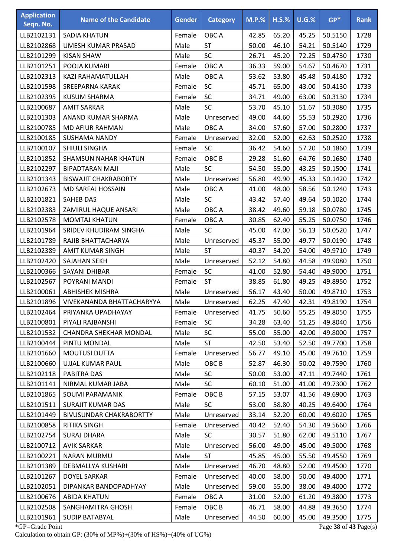| <b>Application</b><br>Seqn. No. | <b>Name of the Candidate</b>   | <b>Gender</b> | <b>Category</b>  | <b>M.P.%</b> | $H.S.\%$ | U.G.% | $GP*$   | <b>Rank</b> |
|---------------------------------|--------------------------------|---------------|------------------|--------------|----------|-------|---------|-------------|
| LLB2102131                      | <b>SADIA KHATUN</b>            | Female        | OBC A            | 42.85        | 65.20    | 45.25 | 50.5150 | 1728        |
| LLB2102868                      | UMESH KUMAR PRASAD             | Male          | ST               | 50.00        | 46.10    | 54.21 | 50.5140 | 1729        |
| LLB2101299                      | <b>KISAN SHAW</b>              | Male          | <b>SC</b>        | 26.71        | 45.20    | 72.25 | 50.4730 | 1730        |
| LLB2101251                      | POOJA KUMARI                   | Female        | OBC A            | 36.33        | 59.00    | 54.67 | 50.4670 | 1731        |
| LLB2102313                      | KAZI RAHAMATULLAH              | Male          | OBC A            | 53.62        | 53.80    | 45.48 | 50.4180 | 1732        |
| LLB2101598                      | <b>SREEPARNA KARAK</b>         | Female        | SC               | 45.71        | 65.00    | 43.00 | 50.4130 | 1733        |
| LLB2102395                      | <b>KUSUM SHARMA</b>            | Female        | SC               | 34.71        | 49.00    | 63.00 | 50.3130 | 1734        |
| LLB2100687                      | <b>AMIT SARKAR</b>             | Male          | SC               | 53.70        | 45.10    | 51.67 | 50.3080 | 1735        |
| LLB2101303                      | ANAND KUMAR SHARMA             | Male          | Unreserved       | 49.00        | 44.60    | 55.53 | 50.2920 | 1736        |
| LLB2100785                      | <b>MD AFIUR RAHMAN</b>         | Male          | OBC A            | 34.00        | 57.60    | 57.00 | 50.2800 | 1737        |
| LLB2100185                      | SUSHAMA NANDY                  | Female        | Unreserved       | 32.00        | 52.00    | 62.63 | 50.2520 | 1738        |
| LLB2100107                      | <b>SHIULI SINGHA</b>           | Female        | SC               | 36.42        | 54.60    | 57.20 | 50.1860 | 1739        |
| LLB2101852                      | <b>SHAMSUN NAHAR KHATUN</b>    | Female        | OBC <sub>B</sub> | 29.28        | 51.60    | 64.76 | 50.1680 | 1740        |
| LLB2102297                      | <b>BIPADTARAN MAJI</b>         | Male          | SC               | 54.50        | 55.00    | 43.25 | 50.1500 | 1741        |
| LLB2101343                      | <b>BISWAJIT CHAKRABORTY</b>    | Male          | Unreserved       | 56.80        | 49.90    | 45.33 | 50.1420 | 1742        |
| LLB2102673                      | MD SARFAJ HOSSAIN              | Male          | OBC A            | 41.00        | 48.00    | 58.56 | 50.1240 | 1743        |
| LLB2101821                      | <b>SAHEB DAS</b>               | Male          | SC               | 43.42        | 57.40    | 49.64 | 50.1020 | 1744        |
| LLB2102383                      | ZAMIRUL HAQUE ANSARI           | Male          | OBC A            | 38.42        | 49.60    | 59.18 | 50.0780 | 1745        |
| LLB2102578                      | <b>MOMTAJ KHATUN</b>           | Female        | OBC A            | 30.85        | 62.40    | 55.25 | 50.0750 | 1746        |
| LLB2101964                      | SRIDEV KHUDIRAM SINGHA         | Male          | <b>SC</b>        | 45.00        | 47.00    | 56.13 | 50.0520 | 1747        |
| LLB2101789                      | RAJIB BHATTACHARYA             | Male          | Unreserved       | 45.37        | 55.00    | 49.77 | 50.0190 | 1748        |
| LLB2102389                      | AMIT KUMAR SINGH               | Male          | <b>ST</b>        | 40.37        | 54.20    | 54.00 | 49.9710 | 1749        |
| LLB2102420                      | <b>SAJAHAN SEKH</b>            | Male          | Unreserved       | 52.12        | 54.80    | 44.58 | 49.9080 | 1750        |
| LLB2100366                      | <b>SAYANI DHIBAR</b>           | Female        | SC               | 41.00        | 52.80    | 54.40 | 49.9000 | 1751        |
| LLB2102567                      | POYRANI MANDI                  | Female        | <b>ST</b>        | 38.85        | 61.80    | 49.25 | 49.8950 | 1752        |
| LLB2100061                      | <b>ABHISHEK MISHRA</b>         | Male          | Unreserved       | 56.17        | 43.40    | 50.00 | 49.8710 | 1753        |
| LLB2101896                      | VIVEKANANDA BHATTACHARYYA      | Male          | Unreserved       | 62.25        | 47.40    | 42.31 | 49.8190 | 1754        |
| LLB2102464                      | PRIYANKA UPADHAYAY             | Female        | Unreserved       | 41.75        | 50.60    | 55.25 | 49.8050 | 1755        |
| LLB2100801                      | PIYALI RAJBANSHI               | Female        | <b>SC</b>        | 34.28        | 63.40    | 51.25 | 49.8040 | 1756        |
| LLB2101532                      | <b>CHANDRA SHEKHAR MONDAL</b>  | Male          | <b>SC</b>        | 55.00        | 55.00    | 42.00 | 49.8000 | 1757        |
| LLB2100444                      | PINTU MONDAL                   | Male          | <b>ST</b>        | 42.50        | 53.40    | 52.50 | 49.7700 | 1758        |
| LLB2101660                      | <b>MOUTUSI DUTTA</b>           | Female        | Unreserved       | 56.77        | 49.10    | 45.00 | 49.7610 | 1759        |
| LLB2100660                      | UJJAL KUMAR PAUL               | Male          | OBC B            | 52.87        | 46.30    | 50.02 | 49.7590 | 1760        |
| LLB2102118                      | PABITRA DAS                    | Male          | <b>SC</b>        | 50.00        | 53.00    | 47.11 | 49.7440 | 1761        |
| LLB2101141                      | NIRMAL KUMAR JABA              | Male          | <b>SC</b>        | 60.10        | 51.00    | 41.00 | 49.7300 | 1762        |
| LLB2101865                      | SOUMI PARAMANIK                | Female        | OBC B            | 57.15        | 53.07    | 41.56 | 49.6900 | 1763        |
| LLB2101511                      | <b>SURAJIT KUMAR DAS</b>       | Male          | <b>SC</b>        | 53.00        | 58.80    | 40.25 | 49.6400 | 1764        |
| LLB2101449                      | <b>BIVUSUNDAR CHAKRABORTTY</b> | Male          | Unreserved       | 33.14        | 52.20    | 60.00 | 49.6020 | 1765        |
| LLB2100858                      | RITIKA SINGH                   | Female        | Unreserved       | 40.42        | 52.40    | 54.30 | 49.5660 | 1766        |
| LLB2102754                      | <b>SURAJ DHARA</b>             | Male          | <b>SC</b>        | 30.57        | 51.80    | 62.00 | 49.5110 | 1767        |
| LLB2100712                      | <b>AVIK SARKAR</b>             | Male          | Unreserved       | 56.00        | 49.00    | 45.00 | 49.5000 | 1768        |
| LLB2100221                      | <b>NARAN MURMU</b>             | Male          | <b>ST</b>        | 45.85        | 45.00    | 55.50 | 49.4550 | 1769        |
| LLB2101389                      | DEBMALLYA KUSHARI              | Male          | Unreserved       | 46.70        | 48.80    | 52.00 | 49.4500 | 1770        |
| LLB2101267                      | <b>DOYEL SARKAR</b>            | Female        | Unreserved       | 40.00        | 58.00    | 50.00 | 49.4000 | 1771        |
| LLB2102051                      | DIPANKAR BANDOPADHYAY          | Male          | Unreserved       | 59.00        | 55.00    | 38.00 | 49.4000 | 1772        |
| LLB2100676                      | <b>ABIDA KHATUN</b>            | Female        | OBC A            | 31.00        | 52.00    | 61.20 | 49.3800 | 1773        |
| LLB2102508                      | SANGHAMITRA GHOSH              | Female        | OBC <sub>B</sub> | 46.71        | 58.00    | 44.88 | 49.3650 | 1774        |
| LLB2101961                      | <b>SUDIP BATABYAL</b>          | Male          | Unreserved       | 44.50        | 60.00    | 45.00 | 49.3500 | 1775        |

\*GP=Grade Point Page **38** of **43** Page(s) Calculation to obtain GP: (30% of MP%)+(30% of HS%)+(40% of UG%)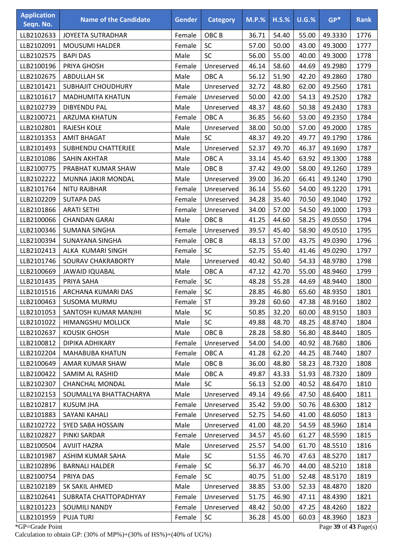| <b>Application</b><br>Seqn. No. | <b>Name of the Candidate</b> | <b>Gender</b> | <b>Category</b>  | $M.P.$ % | $H.S.\%$ | U.G.% | $GP*$   | <b>Rank</b> |
|---------------------------------|------------------------------|---------------|------------------|----------|----------|-------|---------|-------------|
| LLB2102633                      | <b>JOYEETA SUTRADHAR</b>     | Female        | OBC <sub>B</sub> | 36.71    | 54.40    | 55.00 | 49.3330 | 1776        |
| LLB2102091                      | <b>MOUSUMI HALDER</b>        | Female        | SC               | 57.00    | 50.00    | 43.00 | 49.3000 | 1777        |
| LLB2102575                      | <b>BAPI DAS</b>              | Male          | <b>SC</b>        | 56.00    | 55.00    | 40.00 | 49.3000 | 1778        |
| LLB2100196                      | PRIYA GHOSH                  | Female        | Unreserved       | 46.14    | 58.60    | 44.69 | 49.2980 | 1779        |
| LLB2102675                      | <b>ABDULLAH SK</b>           | Male          | OBC A            | 56.12    | 51.90    | 42.20 | 49.2860 | 1780        |
| LLB2101421                      | <b>SUBHAJIT CHOUDHURY</b>    | Male          | Unreserved       | 32.72    | 48.80    | 62.00 | 49.2560 | 1781        |
| LLB2101617                      | <b>MADHUMITA KHATUN</b>      | Female        | Unreserved       | 50.00    | 42.00    | 54.13 | 49.2520 | 1782        |
| LLB2102739                      | <b>DIBYENDU PAL</b>          | Male          | Unreserved       | 48.37    | 48.60    | 50.38 | 49.2430 | 1783        |
| LLB2100721                      | <b>ARZUMA KHATUN</b>         | Female        | OBC A            | 36.85    | 56.60    | 53.00 | 49.2350 | 1784        |
| LLB2102801                      | <b>RAJESH KOLE</b>           | Male          | Unreserved       | 38.00    | 50.00    | 57.00 | 49.2000 | 1785        |
| LLB2101353                      | <b>AMIT BHAGAT</b>           | Male          | <b>SC</b>        | 48.37    | 49.20    | 49.77 | 49.1790 | 1786        |
| LLB2101493                      | <b>SUBHENDU CHATTERJEE</b>   | Male          | Unreserved       | 52.37    | 49.70    | 46.37 | 49.1690 | 1787        |
| LLB2101086                      | <b>SAHIN AKHTAR</b>          | Male          | OBC A            | 33.14    | 45.40    | 63.92 | 49.1300 | 1788        |
| LLB2100775                      | PRABHAT KUMAR SHAW           | Male          | OBC <sub>B</sub> | 37.42    | 49.00    | 58.00 | 49.1260 | 1789        |
| LLB2102222                      | MUNNA JAKIR MONDAL           | Male          | Unreserved       | 39.00    | 36.20    | 66.41 | 49.1240 | 1790        |
| LLB2101764                      | <b>NITU RAJBHAR</b>          | Female        | Unreserved       | 36.14    | 55.60    | 54.00 | 49.1220 | 1791        |
| LLB2102209                      | <b>SUTAPA DAS</b>            | Female        | Unreserved       | 34.28    | 35.40    | 70.50 | 49.1040 | 1792        |
| LLB2101866                      | <b>ARATI SETHI</b>           | Female        | Unreserved       | 34.00    | 57.00    | 54.50 | 49.1000 | 1793        |
| LLB2100066                      | <b>CHANDAN GARAI</b>         | Male          | OBC <sub>B</sub> | 41.25    | 44.60    | 58.25 | 49.0550 | 1794        |
| LLB2100346                      | <b>SUMANA SINGHA</b>         | Female        | Unreserved       | 39.57    | 45.40    | 58.90 | 49.0510 | 1795        |
| LLB2100394                      | SUNAYANA SINGHA              | Female        | OBC <sub>B</sub> | 48.13    | 57.00    | 43.75 | 49.0390 | 1796        |
| LLB2102413                      | ALKA KUMARI SINGH            | Female        | <b>SC</b>        | 52.75    | 55.40    | 41.46 | 49.0290 | 1797        |
| LLB2101746                      | SOURAV CHAKRABORTY           | Male          | Unreserved       | 40.42    | 50.40    | 54.33 | 48.9780 | 1798        |
| LLB2100669                      | <b>JAWAID IQUABAL</b>        | Male          | OBC A            | 47.12    | 42.70    | 55.00 | 48.9460 | 1799        |
| LLB2101435                      | PRIYA SAHA                   | Female        | SC               | 48.28    | 55.28    | 44.69 | 48.9440 | 1800        |
| LLB2101516                      | ARCHANA KUMARI DAS           | Female        | SC               | 28.85    | 46.80    | 65.60 | 48.9350 | 1801        |
| LLB2100463                      | <b>SUSOMA MURMU</b>          | Female        | <b>ST</b>        | 39.28    | 60.60    | 47.38 | 48.9160 | 1802        |
| LLB2101053                      | SANTOSH KUMAR MANJHI         | Male          | <b>SC</b>        | 50.85    | 32.20    | 60.00 | 48.9150 | 1803        |
| LLB2101022                      | <b>HIMANGSHU MOLLICK</b>     | Male          | <b>SC</b>        | 49.88    | 48.70    | 48.25 | 48.8740 | 1804        |
| LLB2102637                      | <b>KOUSIK GHOSH</b>          | Male          | OBC <sub>B</sub> | 28.28    | 58.80    | 56.80 | 48.8440 | 1805        |
| LLB2100812                      | DIPIKA ADHIKARY              | Female        | Unreserved       | 54.00    | 54.00    | 40.92 | 48.7680 | 1806        |
| LLB2102204                      | <b>MAHABUBA KHATUN</b>       | Female        | OBC A            | 41.28    | 62.20    | 44.25 | 48.7440 | 1807        |
| LLB2100649                      | AMAR KUMAR SHAW              | Male          | OBC <sub>B</sub> | 36.00    | 48.80    | 58.23 | 48.7320 | 1808        |
| LLB2100422                      | SAMIM AL RASHID              | Male          | OBC A            | 49.87    | 43.33    | 51.93 | 48.7320 | 1809        |
| LLB2102307                      | <b>CHANCHAL MONDAL</b>       | Male          | <b>SC</b>        | 56.13    | 52.00    | 40.52 | 48.6470 | 1810        |
| LLB2102153                      | SOUMALLYA BHATTACHARYA       | Male          | Unreserved       | 49.14    | 49.66    | 47.50 | 48.6400 | 1811        |
| LLB2102817                      | <b>KUSUM JHA</b>             | Female        | Unreserved       | 35.42    | 59.00    | 50.76 | 48.6300 | 1812        |
| LLB2101883                      | SAYANI KAHALI                | Female        | Unreserved       | 52.75    | 54.60    | 41.00 | 48.6050 | 1813        |
| LLB2102722                      | SYED SABA HOSSAIN            | Male          | Unreserved       | 41.00    | 48.20    | 54.59 | 48.5960 | 1814        |
| LLB2102827                      | PINKI SARDAR                 | Female        | Unreserved       | 34.57    | 45.60    | 61.27 | 48.5590 | 1815        |
| LLB2100504                      | <b>AVIJIT HAZRA</b>          | Male          | Unreserved       | 25.57    | 54.00    | 61.70 | 48.5510 | 1816        |
| LLB2101987                      | ASHIM KUMAR SAHA             | Male          | SC               | 51.55    | 46.70    | 47.63 | 48.5270 | 1817        |
| LLB2102896                      | <b>BARNALI HALDER</b>        | Female        | <b>SC</b>        | 56.37    | 46.70    | 44.00 | 48.5210 | 1818        |
| LLB2100754                      | PRIYA DAS                    | Female        | <b>SC</b>        | 40.75    | 51.00    | 52.48 | 48.5170 | 1819        |
| LLB2102189                      | SK SAKIL AHMED               | Male          | Unreserved       | 38.85    | 53.00    | 52.33 | 48.4870 | 1820        |
| LLB2102641                      | SUBRATA CHATTOPADHYAY        | Female        | Unreserved       | 51.75    | 46.90    | 47.11 | 48.4390 | 1821        |
| LLB2101223                      | <b>SOUMILI NANDY</b>         | Female        | Unreserved       | 48.42    | 50.00    | 47.25 | 48.4260 | 1822        |
| LLB2101959                      | <b>PUJA TURI</b>             | Female        | <b>SC</b>        | 36.28    | 45.00    | 60.03 | 48.3960 | 1823        |

\*GP=Grade Point Page **39** of **43** Page(s) Calculation to obtain GP: (30% of MP%)+(30% of HS%)+(40% of UG%)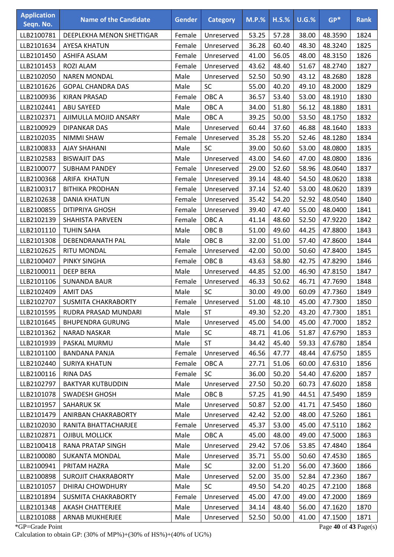| <b>Application</b><br>Seqn. No. | <b>Name of the Candidate</b> | <b>Gender</b> | <b>Category</b>  | $M.P.$ % | $H.S.\%$ | U.G.% | $GP*$   | <b>Rank</b> |
|---------------------------------|------------------------------|---------------|------------------|----------|----------|-------|---------|-------------|
| LLB2100781                      | DEEPLEKHA MENON SHETTIGAR    | Female        | Unreserved       | 53.25    | 57.28    | 38.00 | 48.3590 | 1824        |
| LLB2101634                      | <b>AYESA KHATUN</b>          | Female        | Unreserved       | 36.28    | 60.40    | 48.30 | 48.3240 | 1825        |
| LLB2101450                      | ASHIFA ASLAM                 | Female        | Unreserved       | 41.00    | 56.05    | 48.00 | 48.3150 | 1826        |
| LLB2101453                      | <b>ROZI ALAM</b>             | Female        | Unreserved       | 43.62    | 48.40    | 51.67 | 48.2740 | 1827        |
| LLB2102050                      | <b>NAREN MONDAL</b>          | Male          | Unreserved       | 52.50    | 50.90    | 43.12 | 48.2680 | 1828        |
| LLB2101626                      | <b>GOPAL CHANDRA DAS</b>     | Male          | <b>SC</b>        | 55.00    | 40.20    | 49.10 | 48.2000 | 1829        |
| LLB2100936                      | <b>KIRAN PRASAD</b>          | Female        | OBC A            | 36.57    | 53.40    | 53.00 | 48.1910 | 1830        |
| LLB2102441                      | <b>ABU SAYEED</b>            | Male          | OBC A            | 34.00    | 51.80    | 56.12 | 48.1880 | 1831        |
| LLB2102371                      | AJIMULLA MOJID ANSARY        | Male          | OBC A            | 39.25    | 50.00    | 53.50 | 48.1750 | 1832        |
| LLB2100929                      | <b>DIPANKAR DAS</b>          | Male          | Unreserved       | 60.44    | 37.60    | 46.88 | 48.1640 | 1833        |
| LLB2102035                      | NIMMI SHAW                   | Female        | Unreserved       | 35.28    | 55.20    | 52.46 | 48.1280 | 1834        |
| LLB2100833                      | <b>AJAY SHAHANI</b>          | Male          | <b>SC</b>        | 39.00    | 50.60    | 53.00 | 48.0800 | 1835        |
| LLB2102583                      | <b>BISWAJIT DAS</b>          | Male          | Unreserved       | 43.00    | 54.60    | 47.00 | 48.0800 | 1836        |
| LLB2100077                      | <b>SUBHAM PANDEY</b>         | Female        | Unreserved       | 29.00    | 52.60    | 58.96 | 48.0640 | 1837        |
| LLB2100368                      | <b>ARIFA KHATUN</b>          | Female        | Unreserved       | 39.14    | 48.40    | 54.50 | 48.0620 | 1838        |
| LLB2100317                      | <b>BITHIKA PRODHAN</b>       | Female        | Unreserved       | 37.14    | 52.40    | 53.00 | 48.0620 | 1839        |
| LLB2102638                      | <b>DANIA KHATUN</b>          | Female        | Unreserved       | 35.42    | 54.20    | 52.92 | 48.0540 | 1840        |
| LLB2100855                      | <b>DITIPRIYA GHOSH</b>       | Female        | Unreserved       | 39.40    | 47.40    | 55.00 | 48.0400 | 1841        |
| LLB2102139                      | <b>SHAHISTA PARVEEN</b>      | Female        | OBC A            | 41.14    | 48.60    | 52.50 | 47.9220 | 1842        |
| LLB2101110                      | <b>TUHIN SAHA</b>            | Male          | OBC <sub>B</sub> | 51.00    | 49.60    | 44.25 | 47.8800 | 1843        |
| LLB2101308                      | DEBENDRANATH PAL             | Male          | OBC <sub>B</sub> | 32.00    | 51.00    | 57.40 | 47.8600 | 1844        |
| LLB2102625                      | RITU MONDAL                  | Female        | Unreserved       | 42.00    | 50.00    | 50.60 | 47.8400 | 1845        |
| LLB2100407                      | <b>PINKY SINGHA</b>          | Female        | OBC <sub>B</sub> | 43.63    | 58.80    | 42.75 | 47.8290 | 1846        |
| LLB2100011                      | <b>DEEP BERA</b>             | Male          | Unreserved       | 44.85    | 52.00    | 46.90 | 47.8150 | 1847        |
| LLB2101106                      | <b>SUNANDA BAUR</b>          | Female        | Unreserved       | 46.33    | 50.62    | 46.71 | 47.7690 | 1848        |
| LLB2102409                      | <b>AMIT DAS</b>              | Male          | SC               | 30.00    | 49.00    | 60.09 | 47.7360 | 1849        |
| LLB2102707                      | SUSMITA CHAKRABORTY          | Female        | Unreserved       | 51.00    | 48.10    | 45.00 | 47.7300 | 1850        |
| LLB2101595                      | RUDRA PRASAD MUNDARI         | Male          | <b>ST</b>        | 49.30    | 52.20    | 43.20 | 47.7300 | 1851        |
| LLB2101645                      | <b>BHUPENDRA GURUNG</b>      | Male          | Unreserved       | 45.00    | 54.00    | 45.00 | 47.7000 | 1852        |
| LLB2101362                      | <b>NARAD NASKAR</b>          | Male          | <b>SC</b>        | 48.71    | 41.06    | 51.87 | 47.6790 | 1853        |
| LLB2101939                      | PASKAL MURMU                 | Male          | <b>ST</b>        | 34.42    | 45.40    | 59.33 | 47.6780 | 1854        |
| LLB2101100                      | <b>BANDANA PANJA</b>         | Female        | Unreserved       | 46.56    | 47.77    | 48.44 | 47.6750 | 1855        |
| LLB2102440                      | <b>SURIYA KHATUN</b>         | Female        | OBC A            | 27.71    | 51.06    | 60.00 | 47.6310 | 1856        |
| LLB2100116                      | <b>RINA DAS</b>              | Female        | <b>SC</b>        | 36.00    | 50.20    | 54.40 | 47.6200 | 1857        |
| LLB2102797                      | <b>BAKTYAR KUTBUDDIN</b>     | Male          | Unreserved       | 27.50    | 50.20    | 60.73 | 47.6020 | 1858        |
| LLB2101078                      | <b>SWADESH GHOSH</b>         | Male          | OBC <sub>B</sub> | 57.25    | 41.90    | 44.51 | 47.5490 | 1859        |
| LLB2101957                      | <b>SAHARUK SK</b>            | Male          | Unreserved       | 50.87    | 52.00    | 41.71 | 47.5450 | 1860        |
| LLB2101479                      | ANIRBAN CHAKRABORTY          | Male          | Unreserved       | 42.42    | 52.00    | 48.00 | 47.5260 | 1861        |
| LLB2102030                      | RANITA BHATTACHARJEE         | Female        | Unreserved       | 45.37    | 53.00    | 45.00 | 47.5110 | 1862        |
| LLB2102871                      | <b>OJIBUL MOLLICK</b>        | Male          | OBC A            | 45.00    | 48.00    | 49.00 | 47.5000 | 1863        |
| LLB2100418                      | RANA PRATAP SINGH            | Male          | Unreserved       | 29.42    | 57.06    | 53.85 | 47.4840 | 1864        |
| LLB2100080                      | <b>SUKANTA MONDAL</b>        | Male          | Unreserved       | 35.71    | 55.00    | 50.60 | 47.4530 | 1865        |
| LLB2100941                      | PRITAM HAZRA                 | Male          | <b>SC</b>        | 32.00    | 51.20    | 56.00 | 47.3600 | 1866        |
| LLB2100898                      | <b>SUROJIT CHAKRABORTY</b>   | Male          | Unreserved       | 52.00    | 35.00    | 52.84 | 47.2360 | 1867        |
| LLB2101057                      | <b>DHIRAJ CHOWDHURY</b>      | Male          | <b>SC</b>        | 49.50    | 54.20    | 40.25 | 47.2100 | 1868        |
| LLB2101894                      | SUSMITA CHAKRABORTY          | Female        | Unreserved       | 45.00    | 47.00    | 49.00 | 47.2000 | 1869        |
| LLB2101348                      | <b>AKASH CHATTERJEE</b>      | Male          | Unreserved       | 34.14    | 48.40    | 56.00 | 47.1620 | 1870        |
| LLB2101088                      | ARNAB MUKHERJEE              | Male          | Unreserved       | 52.50    | 50.00    | 41.00 | 47.1500 | 1871        |

\*GP=Grade Point Page **40** of **43** Page(s) Calculation to obtain GP: (30% of MP%)+(30% of HS%)+(40% of UG%)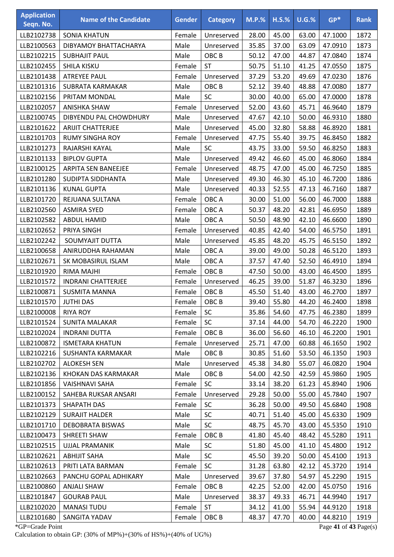| <b>Application</b><br>Seqn. No. | <b>Name of the Candidate</b> | <b>Gender</b> | <b>Category</b>  | $M.P.$ % | $H.S.\%$ | U.G.% | $GP*$   | <b>Rank</b> |
|---------------------------------|------------------------------|---------------|------------------|----------|----------|-------|---------|-------------|
| LLB2102738                      | <b>SONIA KHATUN</b>          | Female        | Unreserved       | 28.00    | 45.00    | 63.00 | 47.1000 | 1872        |
| LLB2100563                      | DIBYAMOY BHATTACHARYA        | Male          | Unreserved       | 35.85    | 37.00    | 63.09 | 47.0910 | 1873        |
| LLB2102215                      | <b>SUBHAJIT PAUL</b>         | Male          | OBC <sub>B</sub> | 50.12    | 47.00    | 44.87 | 47.0840 | 1874        |
| LLB2102455                      | SHILA KISKU                  | Female        | <b>ST</b>        | 50.75    | 51.10    | 41.25 | 47.0550 | 1875        |
| LLB2101438                      | <b>ATREYEE PAUL</b>          | Female        | Unreserved       | 37.29    | 53.20    | 49.69 | 47.0230 | 1876        |
| LLB2101316                      | SUBRATA KARMAKAR             | Male          | OBC <sub>B</sub> | 52.12    | 39.40    | 48.88 | 47.0080 | 1877        |
| LLB2102156                      | PRITAM MONDAL                | Male          | SC               | 30.00    | 40.00    | 65.00 | 47.0000 | 1878        |
| LLB2102057                      | <b>ANISHKA SHAW</b>          | Female        | Unreserved       | 52.00    | 43.60    | 45.71 | 46.9640 | 1879        |
| LLB2100745                      | DIBYENDU PAL CHOWDHURY       | Male          | Unreserved       | 47.67    | 42.10    | 50.00 | 46.9310 | 1880        |
| LLB2101622                      | <b>ARIJIT CHATTERJEE</b>     | Male          | Unreserved       | 45.00    | 32.80    | 58.88 | 46.8920 | 1881        |
| LLB2101703                      | <b>RUMY SINGHA ROY</b>       | Female        | Unreserved       | 47.75    | 55.40    | 39.75 | 46.8450 | 1882        |
| LLB2101273                      | RAJARSHI KAYAL               | Male          | <b>SC</b>        | 43.75    | 33.00    | 59.50 | 46.8250 | 1883        |
| LLB2101133                      | <b>BIPLOV GUPTA</b>          | Male          | Unreserved       | 49.42    | 46.60    | 45.00 | 46.8060 | 1884        |
| LLB2100125                      | <b>ARPITA SEN BANEEJEE</b>   | Female        | Unreserved       | 48.75    | 47.00    | 45.00 | 46.7250 | 1885        |
| LLB2101280                      | SUDIPTA SIDDHANTA            | Male          | Unreserved       | 49.30    | 46.30    | 45.10 | 46.7200 | 1886        |
| LLB2101136                      | <b>KUNAL GUPTA</b>           | Male          | Unreserved       | 40.33    | 52.55    | 47.13 | 46.7160 | 1887        |
| LLB2101720                      | REJUANA SULTANA              | Female        | OBC A            | 30.00    | 51.00    | 56.00 | 46.7000 | 1888        |
| LLB2102560                      | <b>ASMIRA SYED</b>           | Female        | OBC A            | 50.37    | 48.20    | 42.81 | 46.6950 | 1889        |
| LLB2102582                      | <b>ABDUL HAMID</b>           | Male          | OBC A            | 50.50    | 48.90    | 42.10 | 46.6600 | 1890        |
| LLB2102652                      | PRIYA SINGH                  | Female        | Unreserved       | 40.85    | 42.40    | 54.00 | 46.5750 | 1891        |
| LLB2102242                      | SOUMYAJIT DUTTA              | Male          | Unreserved       | 45.85    | 48.20    | 45.75 | 46.5150 | 1892        |
| LLB2100658                      | ANIRUDDHA RAHAMAN            | Male          | OBC A            | 39.00    | 49.00    | 50.28 | 46.5120 | 1893        |
| LLB2102671                      | SK MOBASIRUL ISLAM           | Male          | OBC A            | 37.57    | 47.40    | 52.50 | 46.4910 | 1894        |
| LLB2101920                      | RIMA MAJHI                   | Female        | OBC <sub>B</sub> | 47.50    | 50.00    | 43.00 | 46.4500 | 1895        |
| LLB2101572                      | <b>INDRANI CHATTERJEE</b>    | Female        | Unreserved       | 46.25    | 39.00    | 51.87 | 46.3230 | 1896        |
| LLB2100871                      | <b>SUSMITA MANNA</b>         | Female        | OBC <sub>B</sub> | 45.50    | 51.40    | 43.00 | 46.2700 | 1897        |
| LLB2101570                      | <b>JUTHI DAS</b>             | Female        | OBC <sub>B</sub> | 39.40    | 55.80    | 44.20 | 46.2400 | 1898        |
| LLB2100008                      | <b>RIYA ROY</b>              | Female        | <b>SC</b>        | 35.86    | 54.60    | 47.75 | 46.2380 | 1899        |
| LLB2101524                      | <b>SUNITA MALAKAR</b>        | Female        | <b>SC</b>        | 37.14    | 44.00    | 54.70 | 46.2220 | 1900        |
| LLB2102024                      | <b>INDRANI DUTTA</b>         | Female        | OBC <sub>B</sub> | 36.00    | 56.60    | 46.10 | 46.2200 | 1901        |
| LLB2100872                      | <b>ISMETARA KHATUN</b>       | Female        | Unreserved       | 25.71    | 47.00    | 60.88 | 46.1650 | 1902        |
| LLB2102216                      | SUSHANTA KARMAKAR            | Male          | OBC B            | 30.85    | 51.60    | 53.50 | 46.1350 | 1903        |
| LLB2102702                      | <b>ALOKESH SEN</b>           | Male          | Unreserved       | 45.38    | 34.80    | 55.07 | 46.0820 | 1904        |
| LLB2102136                      | KHOKAN DAS KARMAKAR          | Male          | OBC B            | 54.00    | 42.50    | 42.59 | 45.9860 | 1905        |
| LLB2101856                      | VAISHNAVI SAHA               | Female        | <b>SC</b>        | 33.14    | 38.20    | 61.23 | 45.8940 | 1906        |
| LLB2100152                      | SAHEBA RUKSAR ANSARI         | Female        | Unreserved       | 29.28    | 50.00    | 55.00 | 45.7840 | 1907        |
| LLB2101373                      | <b>SHAPATH DAS</b>           | Female        | <b>SC</b>        | 36.28    | 50.00    | 49.50 | 45.6840 | 1908        |
| LLB2102129                      | <b>SURAJIT HALDER</b>        | Male          | <b>SC</b>        | 40.71    | 51.40    | 45.00 | 45.6330 | 1909        |
| LLB2101710                      | DEBOBRATA BISWAS             | Male          | <b>SC</b>        | 48.75    | 45.70    | 43.00 | 45.5350 | 1910        |
| LLB2100473                      | SHREETI SHAW                 | Female        | OBC <sub>B</sub> | 41.80    | 45.40    | 48.42 | 45.5280 | 1911        |
| LLB2102515                      | UJJAL PRAMANIK               | Male          | <b>SC</b>        | 51.80    | 45.00    | 41.10 | 45.4800 | 1912        |
| LLB2102621                      | <b>ABHIJIT SAHA</b>          | Male          | <b>SC</b>        | 45.50    | 39.20    | 50.00 | 45.4100 | 1913        |
| LLB2102613                      | PRITI LATA BARMAN            | Female        | <b>SC</b>        | 31.28    | 63.80    | 42.12 | 45.3720 | 1914        |
| LLB2102663                      | PANCHU GOPAL ADHIKARY        | Male          | Unreserved       | 39.67    | 37.80    | 54.97 | 45.2290 | 1915        |
| LLB2100860                      | <b>ANJALI SHAW</b>           | Female        | OBC <sub>B</sub> | 42.25    | 52.00    | 42.00 | 45.0750 | 1916        |
| LLB2101847                      | <b>GOURAB PAUL</b>           | Male          | Unreserved       | 38.37    | 49.33    | 46.71 | 44.9940 | 1917        |
| LLB2102020                      | <b>MANASI TUDU</b>           | Female        | <b>ST</b>        | 34.12    | 41.00    | 55.94 | 44.9120 | 1918        |
| LLB2101680                      | SANGITA YADAV                | Female        | OBC <sub>B</sub> | 48.37    | 47.70    | 40.00 | 44.8210 | 1919        |

\*GP=Grade Point Page **41** of **43** Page(s) Calculation to obtain GP: (30% of MP%)+(30% of HS%)+(40% of UG%)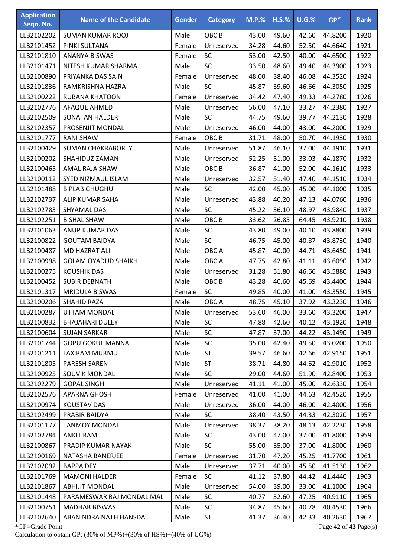| <b>Application</b><br>Seqn. No. | <b>Name of the Candidate</b> | <b>Gender</b> | <b>Category</b>  | $M.P.\%$ | $H.S.\%$ | $U.G.\%$ | $GP*$                 | <b>Rank</b> |
|---------------------------------|------------------------------|---------------|------------------|----------|----------|----------|-----------------------|-------------|
| LLB2102202                      | SUMAN KUMAR ROOJ             | Male          | OBC <sub>B</sub> | 43.00    | 49.60    | 42.60    | 44.8200               | 1920        |
| LLB2101452                      | PINKI SULTANA                | Female        | Unreserved       | 34.28    | 44.60    | 52.50    | 44.6640               | 1921        |
| LLB2101810                      | ANANYA BISWAS                | Female        | <b>SC</b>        | 53.00    | 42.50    | 40.00    | 44.6500               | 1922        |
| LLB2101471                      | NITESH KUMAR SHARMA          | Male          | SC               | 33.50    | 48.60    | 49.40    | 44.3900               | 1923        |
| LLB2100890                      | PRIYANKA DAS SAIN            | Female        | Unreserved       | 48.00    | 38.40    | 46.08    | 44.3520               | 1924        |
| LLB2101836                      | RAMKRISHNA HAZRA             | Male          | <b>SC</b>        | 45.87    | 39.60    | 46.66    | 44.3050               | 1925        |
| LLB2100222                      | <b>RUBANA KHATOON</b>        | Female        | Unreserved       | 34.42    | 47.40    | 49.33    | 44.2780               | 1926        |
| LLB2102776                      | AFAQUE AHMED                 | Male          | Unreserved       | 56.00    | 47.10    | 33.27    | 44.2380               | 1927        |
| LLB2102509                      | <b>SONATAN HALDER</b>        | Male          | SC               | 44.75    | 49.60    | 39.77    | 44.2130               | 1928        |
| LLB2102357                      | PROSENJIT MONDAL             | Male          | Unreserved       | 46.00    | 44.00    | 43.00    | 44.2000               | 1929        |
| LLB2101777                      | <b>RANI SHAW</b>             | Female        | OBC <sub>B</sub> | 31.71    | 48.00    | 50.70    | 44.1930               | 1930        |
| LLB2100429                      | <b>SUMAN CHAKRABORTY</b>     | Male          | Unreserved       | 51.87    | 46.10    | 37.00    | 44.1910               | 1931        |
| LLB2100202                      | SHAHIDUZ ZAMAN               | Male          | Unreserved       | 52.25    | 51.00    | 33.03    | 44.1870               | 1932        |
| LLB2100465                      | AMAL RAJA SHAW               | Male          | OBC <sub>B</sub> | 36.87    | 41.00    | 52.00    | 44.1610               | 1933        |
| LLB2100112                      | <b>SYED NIZMAUL ISLAM</b>    | Male          | Unreserved       | 32.57    | 51.40    | 47.40    | 44.1510               | 1934        |
| LLB2101488                      | <b>BIPLAB GHUGHU</b>         | Male          | <b>SC</b>        | 42.00    | 45.00    | 45.00    | 44.1000               | 1935        |
| LLB2102737                      | ALIP KUMAR SAHA              | Male          | Unreserved       | 43.88    | 40.20    | 47.13    | 44.0760               | 1936        |
| LLB2102783                      | SHYAMAL DAS                  | Male          | <b>SC</b>        | 45.22    | 36.10    | 48.97    | 43.9840               | 1937        |
| LLB2102251                      | <b>BISHAL SHAW</b>           | Male          | OBC <sub>B</sub> | 33.62    | 26.85    | 64.45    | 43.9210               | 1938        |
| LLB2101063                      | ANUP KUMAR DAS               | Male          | SC               | 43.80    | 49.00    | 40.10    | 43.8800               | 1939        |
| LLB2100822                      | <b>GOUTAM BAIDYA</b>         | Male          | SC               | 46.75    | 45.00    | 40.87    | 43.8730               | 1940        |
| LLB2100487                      | MD HAZRAT ALI                | Male          | OBC A            | 45.87    | 40.00    | 44.71    | 43.6450               | 1941        |
| LLB2100998                      | <b>GOLAM OYADUD SHAIKH</b>   | Male          | OBC A            | 47.75    | 42.80    | 41.11    | 43.6090               | 1942        |
| LLB2100275                      | <b>KOUSHIK DAS</b>           | Male          | Unreserved       | 31.28    | 51.80    | 46.66    | 43.5880               | 1943        |
| LLB2100452                      | <b>SUBIR DEBNATH</b>         | Male          | OBC <sub>B</sub> | 43.28    | 40.60    | 45.69    | 43.4400               | 1944        |
| LLB2101317                      | <b>MRIDULA BISWAS</b>        | Female        | SC               | 49.85    | 40.00    | 41.00    | 43.3550               | 1945        |
| LLB2100206                      | SHAHID RAZA                  | Male          | OBC A            | 48.75    | 45.10    | 37.92    | 43.3230               | 1946        |
| LLB2100287                      | UTTAM MONDAL                 | Male          | Unreserved       | 53.60    | 46.00    | 33.60    | 43.3200               | 1947        |
| LLB2100832                      | <b>BHAJAHARI DULEY</b>       | Male          | <b>SC</b>        | 47.88    | 42.60    | 40.12    | 43.1920               | 1948        |
| LLB2100604                      | <b>SUJAN SARKAR</b>          | Male          | <b>SC</b>        | 47.87    | 37.00    | 44.22    | 43.1490               | 1949        |
| LLB2101744                      | <b>GOPU GOKUL MANNA</b>      | Male          | SC               | 35.00    | 42.40    | 49.50    | 43.0200               | 1950        |
| LLB2101211                      | LAXIRAM MURMU                | Male          | <b>ST</b>        | 39.57    | 46.60    | 42.66    | 42.9150               | 1951        |
| LLB2101805                      | <b>PARESH SAREN</b>          | Male          | <b>ST</b>        | 38.71    | 44.80    | 44.62    | 42.9010               | 1952        |
| LLB2100925                      | SOUVIK MONDAL                | Male          | <b>SC</b>        | 29.00    | 44.60    | 51.90    | 42.8400               | 1953        |
| LLB2102279                      | <b>GOPAL SINGH</b>           | Male          | Unreserved       | 41.11    | 41.00    | 45.00    | 42.6330               | 1954        |
| LLB2102576                      | APARNA GHOSH                 | Female        | Unreserved       | 41.00    | 41.00    | 44.63    | 42.4520               | 1955        |
| LLB2100974                      | <b>KOUSTAV DAS</b>           | Male          | Unreserved       | 36.00    | 44.00    | 46.00    | 42.4000               | 1956        |
| LLB2102499                      | PRABIR BAIDYA                | Male          | <b>SC</b>        | 38.40    | 43.50    | 44.33    | 42.3020               | 1957        |
| LLB2101177                      | <b>TANMOY MONDAL</b>         | Male          | Unreserved       | 38.37    | 38.20    | 48.13    | 42.2230               | 1958        |
| LLB2102784                      | <b>ANKIT RAM</b>             | Male          | <b>SC</b>        | 43.00    | 47.00    | 37.00    | 41.8000               | 1959        |
| LLB2100867                      | PRADIP KUMAR NAYAK           | Male          | <b>SC</b>        | 55.00    | 35.00    | 37.00    | 41.8000               | 1960        |
| LLB2100169                      | NATASHA BANERJEE             | Female        | Unreserved       | 31.70    | 47.20    | 45.25    | 41.7700               | 1961        |
| LLB2102092                      | <b>BAPPA DEY</b>             | Male          | Unreserved       | 37.71    | 40.00    | 45.50    | 41.5130               | 1962        |
| LLB2101769                      | <b>MAMONI HALDER</b>         | Female        | <b>SC</b>        | 41.12    | 37.80    | 44.42    | 41.4440               | 1963        |
| LLB2101867                      | <b>ABHIJIT MONDAL</b>        | Male          | Unreserved       | 54.00    | 39.00    | 33.00    | 41.1000               | 1964        |
| LLB2101448                      | PARAMESWAR RAJ MONDAL MAL    | Male          | <b>SC</b>        | 40.77    | 32.60    | 47.25    | 40.9110               | 1965        |
| LLB2100751                      | <b>MADHAB BISWAS</b>         | Male          | <b>SC</b>        | 34.87    | 45.60    | 40.78    | 40.4530               | 1966        |
| LLB2102640                      | ABANINDRA NATH HANSDA        | Male          | <b>ST</b>        | 41.37    | 36.40    | 42.33    | 40.2630               | 1967        |
| *GP=Grade Point                 |                              |               |                  |          |          |          | Page 42 of 43 Page(s) |             |